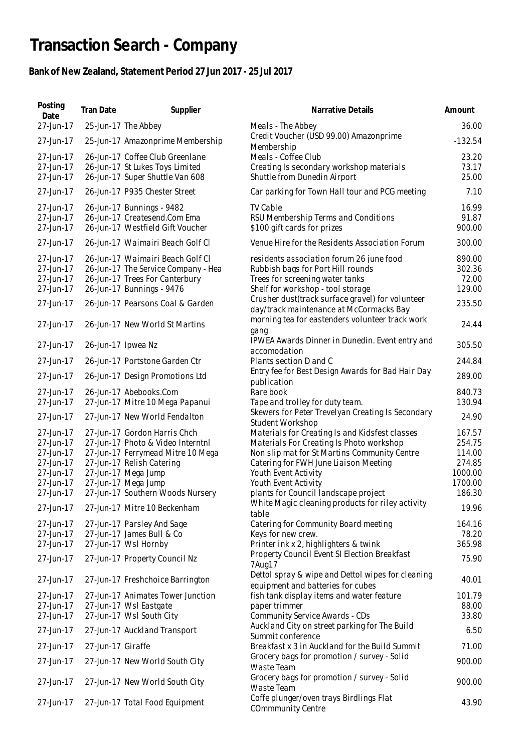## **Transaction Search - Company**

## **Bank of New Zealand, Statement Period 27 Jun 2017 - 25 Jul 2017**

| Posting<br>Date                                                                         | Tran Date          | Supplier                                                                                                                                                                                                              | Narrative Details                                                                                                                                                                                                                                                           | Amount                                                               |
|-----------------------------------------------------------------------------------------|--------------------|-----------------------------------------------------------------------------------------------------------------------------------------------------------------------------------------------------------------------|-----------------------------------------------------------------------------------------------------------------------------------------------------------------------------------------------------------------------------------------------------------------------------|----------------------------------------------------------------------|
| 27-Jun-17                                                                               |                    | 25-Jun-17 The Abbey                                                                                                                                                                                                   | Meals - The Abbey                                                                                                                                                                                                                                                           | 36.00                                                                |
| 27-Jun-17                                                                               |                    | 25-Jun-17 Amazonprime Membership                                                                                                                                                                                      | Credit Voucher (USD 99.00) Amazonprime<br>Membership                                                                                                                                                                                                                        | $-132.54$                                                            |
| 27-Jun-17<br>27-Jun-17<br>27-Jun-17                                                     |                    | 26-Jun-17 Coffee Club Greenlane<br>26-Jun-17 St Lukes Toys Limited<br>26-Jun-17 Super Shuttle Van 608                                                                                                                 | Meals - Coffee Club<br>Creating Is secondary workshop materials<br>Shuttle from Dunedin Airport                                                                                                                                                                             | 23.20<br>73.17<br>25.00                                              |
| 27-Jun-17                                                                               |                    | 26-Jun-17 P935 Chester Street                                                                                                                                                                                         | Car parking for Town Hall tour and PCG meeting                                                                                                                                                                                                                              | 7.10                                                                 |
| 27-Jun-17<br>27-Jun-17<br>27-Jun-17                                                     |                    | 26-Jun-17 Bunnings - 9482<br>26-Jun-17 Createsend.Com Ema<br>26-Jun-17 Westfield Gift Voucher                                                                                                                         | <b>TV Cable</b><br>RSU Membership Terms and Conditions<br>\$100 gift cards for prizes                                                                                                                                                                                       | 16.99<br>91.87<br>900.00                                             |
| 27-Jun-17                                                                               |                    | 26-Jun-17 Waimairi Beach Golf Cl                                                                                                                                                                                      | Venue Hire for the Residents Association Forum                                                                                                                                                                                                                              | 300.00                                                               |
| 27-Jun-17<br>27-Jun-17<br>27-Jun-17<br>27-Jun-17<br>27-Jun-17                           |                    | 26-Jun-17 Waimairi Beach Golf Cl<br>26-Jun-17 The Service Company - Hea<br>26-Jun-17 Trees For Canterbury<br>26-Jun-17 Bunnings - 9476<br>26-Jun-17 Pearsons Coal & Garden                                            | residents association forum 26 june food<br>Rubbish bags for Port Hill rounds<br>Trees for screening water tanks<br>Shelf for workshop - tool storage<br>Crusher dust(track surface gravel) for volunteer                                                                   | 890.00<br>302.36<br>72.00<br>129.00<br>235.50                        |
| 27-Jun-17                                                                               |                    | 26-Jun-17 New World St Martins                                                                                                                                                                                        | day/track maintenance at McCormacks Bay<br>morning tea for eastenders volunteer track work                                                                                                                                                                                  | 24.44                                                                |
| 27-Jun-17                                                                               | 26-Jun-17 Ipwea Nz |                                                                                                                                                                                                                       | gang<br>IPWEA Awards Dinner in Dunedin. Event entry and<br>accomodation                                                                                                                                                                                                     | 305.50                                                               |
| 27-Jun-17                                                                               |                    | 26-Jun-17 Portstone Garden Ctr                                                                                                                                                                                        | Plants section D and C                                                                                                                                                                                                                                                      | 244.84                                                               |
| 27-Jun-17                                                                               |                    | 26-Jun-17 Design Promotions Ltd                                                                                                                                                                                       | Entry fee for Best Design Awards for Bad Hair Day<br>publication                                                                                                                                                                                                            | 289.00                                                               |
| 27-Jun-17<br>27-Jun-17                                                                  |                    | 26-Jun-17 Abebooks.Com<br>27-Jun-17 Mitre 10 Mega Papanui                                                                                                                                                             | Rare book<br>Tape and trolley for duty team.                                                                                                                                                                                                                                | 840.73<br>130.94                                                     |
| 27-Jun-17                                                                               |                    | 27-Jun-17 New World Fendalton                                                                                                                                                                                         | Skewers for Peter Trevelyan Creating Is Secondary<br>Student Workshop                                                                                                                                                                                                       | 24.90                                                                |
| 27-Jun-17<br>27-Jun-17<br>27-Jun-17<br>27-Jun-17<br>27-Jun-17<br>27-Jun-17<br>27-Jun-17 |                    | 27-Jun-17 Gordon Harris Chch<br>27-Jun-17 Photo & Video Interntnl<br>27-Jun-17 Ferrymead Mitre 10 Mega<br>27-Jun-17 Relish Catering<br>27-Jun-17 Mega Jump<br>27-Jun-17 Mega Jump<br>27-Jun-17 Southern Woods Nursery | Materials for Creating Is and Kidsfest classes<br>Materials For Creating Is Photo workshop<br>Non slip mat for St Martins Community Centre<br>Catering for FWH June Liaison Meeting<br>Youth Event Activity<br>Youth Event Activity<br>plants for Council landscape project | 167.57<br>254.75<br>114.00<br>274.85<br>1000.00<br>1700.00<br>186.30 |
| 27-Jun-17                                                                               |                    | 27-Jun-17 Mitre 10 Beckenham                                                                                                                                                                                          | White Magic cleaning products for riley activity<br>table                                                                                                                                                                                                                   | 19.96                                                                |
| 27-Jun-17<br>27-Jun-17<br>27-Jun-17                                                     |                    | 27-Jun-17 Parsley And Sage<br>27-Jun-17 James Bull & Co<br>27-Jun-17 Wsl Hornby                                                                                                                                       | Catering for Community Board meeting<br>Keys for new crew.<br>Printer ink x 2, highlighters & twink<br>Property Council Event SI Election Breakfast                                                                                                                         | 164.16<br>78.20<br>365.98                                            |
| 27-Jun-17                                                                               |                    | 27-Jun-17 Property Council Nz                                                                                                                                                                                         | 7Aug17                                                                                                                                                                                                                                                                      | 75.90                                                                |
| 27-Jun-17                                                                               |                    | 27-Jun-17 Freshchoice Barrington                                                                                                                                                                                      | Dettol spray & wipe and Dettol wipes for cleaning<br>equipment and batteries for cubes                                                                                                                                                                                      | 40.01                                                                |
| 27-Jun-17<br>27-Jun-17<br>27-Jun-17<br>27-Jun-17                                        |                    | 27-Jun-17 Animates Tower Junction<br>27-Jun-17 Wsl Eastgate<br>27-Jun-17 Wsl South City<br>27-Jun-17 Auckland Transport                                                                                               | fish tank display items and water feature<br>paper trimmer<br>Community Service Awards - CDs<br>Auckland City on street parking for The Build                                                                                                                               | 101.79<br>88.00<br>33.80<br>6.50                                     |
| 27-Jun-17                                                                               | 27-Jun-17 Giraffe  |                                                                                                                                                                                                                       | Summit conference<br>Breakfast x 3 in Auckland for the Build Summit                                                                                                                                                                                                         | 71.00                                                                |
| 27-Jun-17                                                                               |                    | 27-Jun-17 New World South City                                                                                                                                                                                        | Grocery bags for promotion / survey - Solid<br>Waste Team                                                                                                                                                                                                                   | 900.00                                                               |
| 27-Jun-17                                                                               |                    | 27-Jun-17 New World South City                                                                                                                                                                                        | Grocery bags for promotion / survey - Solid<br>Waste Team                                                                                                                                                                                                                   | 900.00                                                               |
| 27-Jun-17                                                                               |                    | 27-Jun-17 Total Food Equipment                                                                                                                                                                                        | Coffe plunger/oven trays Birdlings Flat<br><b>COmmmunity Centre</b>                                                                                                                                                                                                         | 43.90                                                                |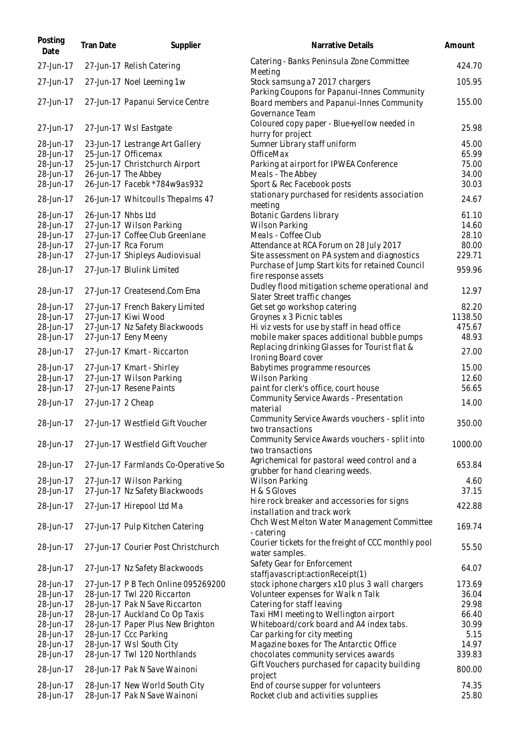| Posting<br>Date        | Tran Date          | Supplier                                                       | Narrative Details                                                                | Amount         |
|------------------------|--------------------|----------------------------------------------------------------|----------------------------------------------------------------------------------|----------------|
| 27-Jun-17              |                    | 27-Jun-17 Relish Catering                                      | Catering - Banks Peninsula Zone Committee<br>Meeting                             | 424.70         |
| 27-Jun-17              |                    | 27-Jun-17 Noel Leeming 1w                                      | Stock samsung a7 2017 chargers<br>Parking Coupons for Papanui-Innes Community    | 105.95         |
| 27-Jun-17              |                    | 27-Jun-17 Papanui Service Centre                               | Board members and Papanui-Innes Community<br>Governance Team                     | 155.00         |
| 27-Jun-17              |                    | 27-Jun-17 Wsl Eastgate                                         | Coloured copy paper - Blue+yellow needed in<br>hurry for project                 | 25.98          |
| 28-Jun-17              |                    | 23-Jun-17 Lestrange Art Gallery                                | Sumner Library staff uniform                                                     | 45.00          |
| 28-Jun-17              |                    | 25-Jun-17 Officemax                                            | OfficeMax                                                                        | 65.99          |
| 28-Jun-17              |                    | 25-Jun-17 Christchurch Airport                                 | Parking at airport for IPWEA Conference                                          | 75.00          |
| 28-Jun-17              |                    | 26-Jun-17 The Abbey                                            | Meals - The Abbey                                                                | 34.00          |
| 28-Jun-17              |                    | 26-Jun-17 Facebk *784w9as932                                   | Sport & Rec Facebook posts                                                       | 30.03          |
| 28-Jun-17              |                    | 26-Jun-17 Whitcoulls Thepalms 47                               | stationary purchased for residents association<br>meeting                        | 24.67          |
| 28-Jun-17              | 26-Jun-17 Nhbs Ltd |                                                                | Botanic Gardens library                                                          | 61.10          |
| 28-Jun-17              |                    | 27-Jun-17 Wilson Parking                                       | <b>Wilson Parking</b>                                                            | 14.60          |
| 28-Jun-17              |                    | 27-Jun-17 Coffee Club Greenlane                                | Meals - Coffee Club                                                              | 28.10          |
| 28-Jun-17              |                    | 27-Jun-17 Rca Forum                                            | Attendance at RCA Forum on 28 July 2017                                          | 80.00          |
| 28-Jun-17              |                    | 27-Jun-17 Shipleys Audiovisual                                 | Site assessment on PA system and diagnostics                                     | 229.71         |
| 28-Jun-17              |                    | 27-Jun-17 Blulink Limited                                      | Purchase of Jump Start kits for retained Council<br>fire response assets         | 959.96         |
| 28-Jun-17              |                    | 27-Jun-17 Createsend.Com Ema                                   | Dudley flood mitigation scheme operational and<br>Slater Street traffic changes  | 12.97          |
| 28-Jun-17              |                    | 27-Jun-17 French Bakery Limited                                | Get set go workshop catering                                                     | 82.20          |
| 28-Jun-17              |                    | 27-Jun-17 Kiwi Wood                                            | Groynes x 3 Picnic tables                                                        | 1138.50        |
| 28-Jun-17              |                    | 27-Jun-17 Nz Safety Blackwoods                                 | Hi viz vests for use by staff in head office                                     | 475.67         |
| 28-Jun-17              |                    | 27-Jun-17 Eeny Meeny                                           | mobile maker spaces additional bubble pumps                                      | 48.93          |
| 28-Jun-17              |                    | 27-Jun-17 Kmart - Riccarton                                    | Replacing drinking Glasses for Tourist flat &<br>Ironing Board cover             | 27.00          |
| 28-Jun-17              |                    | 27-Jun-17 Kmart - Shirley                                      | Babytimes programme resources                                                    | 15.00          |
| 28-Jun-17              |                    | 27-Jun-17 Wilson Parking                                       | <b>Wilson Parking</b>                                                            | 12.60          |
| 28-Jun-17              |                    | 27-Jun-17 Resene Paints                                        | paint for clerk's office, court house                                            | 56.65          |
| 28-Jun-17              | 27-Jun-17 2 Cheap  |                                                                | Community Service Awards - Presentation<br>material                              | 14.00          |
| 28-Jun-17              |                    | 27-Jun-17 Westfield Gift Voucher                               | Community Service Awards vouchers - split into<br>two transactions               | 350.00         |
| 28-Jun-17              |                    | 27-Jun-17 Westfield Gift Voucher                               | Community Service Awards vouchers - split into<br>two transactions               | 1000.00        |
| 28-Jun-17              |                    | 27-Jun-17 Farmlands Co-Operative So                            | Agrichemical for pastoral weed control and a<br>grubber for hand clearing weeds. | 653.84         |
| 28-Jun-17              |                    | 27-Jun-17 Wilson Parking                                       | Wilson Parking                                                                   | 4.60           |
| 28-Jun-17              |                    | 27-Jun-17 Nz Safety Blackwoods                                 | H & S Gloves                                                                     | 37.15          |
| 28-Jun-17              |                    | 27-Jun-17 Hirepool Ltd Ma                                      | hire rock breaker and accessories for signs<br>installation and track work       | 422.88         |
| 28-Jun-17              |                    | 27-Jun-17 Pulp Kitchen Catering                                | Chch West Melton Water Management Committee<br>- catering                        | 169.74         |
| 28-Jun-17              |                    | 27-Jun-17 Courier Post Christchurch                            | Courier tickets for the freight of CCC monthly pool<br>water samples.            | 55.50          |
| 28-Jun-17              |                    | 27-Jun-17 Nz Safety Blackwoods                                 | Safety Gear for Enforcement<br>staffjavascript:actionReceipt(1)                  | 64.07          |
| 28-Jun-17              |                    | 27-Jun-17 P B Tech Online 095269200                            | stock iphone chargers x10 plus 3 wall chargers                                   | 173.69         |
| 28-Jun-17              |                    | 28-Jun-17 Twl 220 Riccarton                                    | Volunteer expenses for Walk n Talk                                               | 36.04          |
| 28-Jun-17              |                    | 28-Jun-17 Pak N Save Riccarton                                 | Catering for staff leaving                                                       | 29.98          |
| 28-Jun-17              |                    | 28-Jun-17 Auckland Co Op Taxis                                 | Taxi HMI meeting to Wellington airport                                           | 66.40          |
| 28-Jun-17              |                    | 28-Jun-17 Paper Plus New Brighton                              | Whiteboard/cork board and A4 index tabs.                                         | 30.99          |
| 28-Jun-17              |                    | 28-Jun-17 Ccc Parking                                          | Car parking for city meeting                                                     | 5.15           |
| 28-Jun-17              |                    | 28-Jun-17 Wsl South City                                       | Magazine boxes for The Antarctic Office                                          | 14.97          |
| 28-Jun-17              |                    | 28-Jun-17 Twl 120 Northlands                                   | chocolates community services awards                                             | 339.83         |
| 28-Jun-17              |                    | 28-Jun-17 Pak N Save Wainoni                                   | Gift Vouchers purchased for capacity building<br>project                         | 800.00         |
| 28-Jun-17<br>28-Jun-17 |                    | 28-Jun-17 New World South City<br>28-Jun-17 Pak N Save Wainoni | End of course supper for volunteers<br>Rocket club and activities supplies       | 74.35<br>25.80 |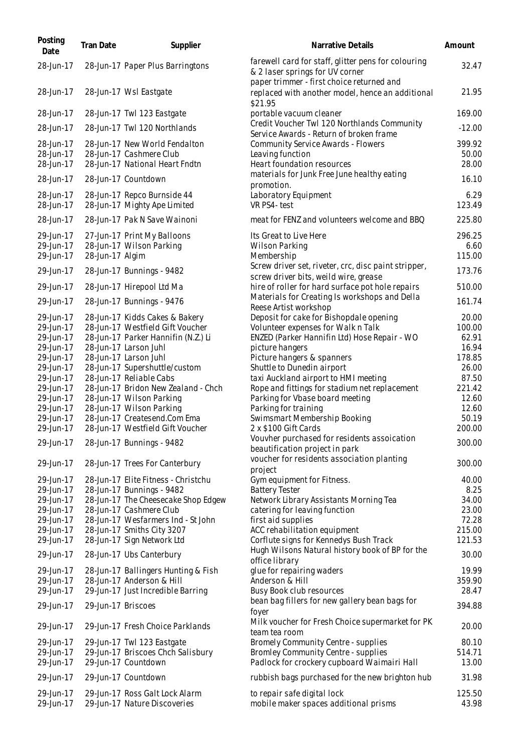| Posting<br>Date        | <b>Tran Date</b>   | Supplier                                                       | Narrative Details                                                                                                                   | Amount          |
|------------------------|--------------------|----------------------------------------------------------------|-------------------------------------------------------------------------------------------------------------------------------------|-----------------|
| 28-Jun-17              |                    | 28-Jun-17 Paper Plus Barringtons                               | farewell card for staff, glitter pens for colouring<br>& 2 laser springs for UV corner<br>paper trimmer - first choice returned and | 32.47           |
| 28-Jun-17              |                    | 28-Jun-17 Wsl Eastgate                                         | replaced with another model, hence an additional<br>\$21.95                                                                         | 21.95           |
| 28-Jun-17              |                    | 28-Jun-17 Twl 123 Eastgate                                     | portable vacuum cleaner                                                                                                             | 169.00          |
| 28-Jun-17              |                    | 28-Jun-17 Twl 120 Northlands                                   | Credit Voucher Twl 120 Northlands Community<br>Service Awards - Return of broken frame                                              | $-12.00$        |
| 28-Jun-17              |                    | 28-Jun-17 New World Fendalton                                  | <b>Community Service Awards - Flowers</b>                                                                                           | 399.92          |
| 28-Jun-17              |                    | 28-Jun-17 Cashmere Club                                        | Leaving function                                                                                                                    | 50.00           |
| 28-Jun-17              |                    | 28-Jun-17 National Heart Fndtn                                 | Heart foundation resources                                                                                                          | 28.00           |
| 28-Jun-17              |                    | 28-Jun-17 Countdown                                            | materials for Junk Free June healthy eating<br>promotion.                                                                           | 16.10           |
| 28-Jun-17              |                    | 28-Jun-17 Repco Burnside 44                                    | Laboratory Equipment                                                                                                                | 6.29            |
| 28-Jun-17              |                    | 28-Jun-17 Mighty Ape Limited                                   | VR PS4-test                                                                                                                         | 123.49          |
| 28-Jun-17              |                    | 28-Jun-17 Pak N Save Wainoni                                   | meat for FENZ and volunteers welcome and BBQ                                                                                        | 225.80          |
| 29-Jun-17              |                    | 27-Jun-17 Print My Balloons                                    | Its Great to Live Here                                                                                                              | 296.25          |
| 29-Jun-17              |                    | 28-Jun-17 Wilson Parking                                       | <b>Wilson Parking</b>                                                                                                               | 6.60            |
| 29-Jun-17              | 28-Jun-17 Algim    |                                                                | Membership                                                                                                                          | 115.00          |
| 29-Jun-17              |                    | 28-Jun-17 Bunnings - 9482                                      | Screw driver set, riveter, crc, disc paint stripper,<br>screw driver bits, weild wire, grease                                       | 173.76          |
| 29-Jun-17              |                    | 28-Jun-17 Hirepool Ltd Ma                                      | hire of roller for hard surface pot hole repairs                                                                                    | 510.00          |
| 29-Jun-17              |                    | 28-Jun-17 Bunnings - 9476                                      | Materials for Creating Is workshops and Della<br>Reese Artist workshop                                                              | 161.74          |
| 29-Jun-17              |                    | 28-Jun-17 Kidds Cakes & Bakery                                 | Deposit for cake for Bishopdale opening                                                                                             | 20.00           |
| 29-Jun-17              |                    | 28-Jun-17 Westfield Gift Voucher                               | Volunteer expenses for Walk n Talk                                                                                                  | 100.00          |
| 29-Jun-17              |                    | 28-Jun-17 Parker Hannifin (N.Z.) Li                            | ENZED (Parker Hannifin Ltd) Hose Repair - WO                                                                                        | 62.91           |
| 29-Jun-17              |                    | 28-Jun-17 Larson Juhl                                          | picture hangers                                                                                                                     | 16.94           |
| 29-Jun-17              |                    | 28-Jun-17 Larson Juhl                                          | Picture hangers & spanners                                                                                                          | 178.85          |
| 29-Jun-17              |                    | 28-Jun-17 Supershuttle/custom                                  | Shuttle to Dunedin airport                                                                                                          | 26.00           |
| 29-Jun-17              |                    | 28-Jun-17 Reliable Cabs                                        | taxi Auckland airport to HMI meeting                                                                                                | 87.50           |
| 29-Jun-17              |                    | 28-Jun-17 Bridon New Zealand - Chch                            | Rope and fittings for stadium net replacement                                                                                       | 221.42          |
| 29-Jun-17              |                    | 28-Jun-17 Wilson Parking                                       | Parking for Vbase board meeting                                                                                                     | 12.60           |
| 29-Jun-17              |                    | 28-Jun-17 Wilson Parking                                       | Parking for training                                                                                                                | 12.60           |
| 29-Jun-17              |                    | 28-Jun-17 Createsend.Com Ema                                   | Swimsmart Membership Booking                                                                                                        | 50.19           |
| 29-Jun-17              |                    | 28-Jun-17 Westfield Gift Voucher                               | 2 x \$100 Gift Cards                                                                                                                | 200.00          |
| 29-Jun-17              |                    | 28-Jun-17 Bunnings - 9482                                      | Vouvher purchased for residents assoication<br>beautification project in park                                                       | 300.00          |
| 29-Jun-17              |                    | 28-Jun-17 Trees For Canterbury                                 | voucher for residents association planting<br>project                                                                               | 300.00          |
| 29-Jun-17              |                    | 28-Jun-17 Elite Fitness - Christchu                            | Gym equipment for Fitness.                                                                                                          | 40.00           |
| 29-Jun-17              |                    | 28-Jun-17 Bunnings - 9482                                      | <b>Battery Tester</b>                                                                                                               | 8.25            |
| 29-Jun-17              |                    | 28-Jun-17 The Cheesecake Shop Edgew                            | Network Library Assistants Morning Tea                                                                                              | 34.00           |
| 29-Jun-17              |                    | 28-Jun-17 Cashmere Club                                        | catering for leaving function                                                                                                       | 23.00           |
| 29-Jun-17              |                    | 28-Jun-17 Wesfarmers Ind - St John                             | first aid supplies                                                                                                                  | 72.28           |
| 29-Jun-17              |                    | 28-Jun-17 Smiths City 3207                                     | ACC rehabilitation equipment                                                                                                        | 215.00          |
| 29-Jun-17              |                    | 28-Jun-17 Sign Network Ltd                                     | Corflute signs for Kennedys Bush Track                                                                                              | 121.53          |
| 29-Jun-17              |                    | 28-Jun-17 Ubs Canterbury                                       | Hugh Wilsons Natural history book of BP for the<br>office library                                                                   | 30.00           |
| 29-Jun-17              |                    | 28-Jun-17 Ballingers Hunting & Fish                            | glue for repairing waders                                                                                                           | 19.99           |
| 29-Jun-17              |                    | 28-Jun-17 Anderson & Hill                                      | Anderson & Hill                                                                                                                     | 359.90          |
| 29-Jun-17              |                    | 29-Jun-17 Just Incredible Barring                              | Busy Book club resources                                                                                                            | 28.47           |
| 29-Jun-17              | 29-Jun-17 Briscoes |                                                                | bean bag fillers for new gallery bean bags for<br>foyer                                                                             | 394.88          |
| 29-Jun-17              |                    | 29-Jun-17 Fresh Choice Parklands                               | Milk voucher for Fresh Choice supermarket for PK<br>team tea room                                                                   | 20.00           |
| 29-Jun-17              |                    | 29-Jun-17 Twl 123 Eastgate                                     | Bromely Community Centre - supplies                                                                                                 | 80.10           |
| 29-Jun-17              |                    | 29-Jun-17 Briscoes Chch Salisbury                              | Bromley Community Centre - supplies                                                                                                 | 514.71          |
| 29-Jun-17              |                    | 29-Jun-17 Countdown                                            | Padlock for crockery cupboard Waimairi Hall                                                                                         | 13.00           |
| 29-Jun-17              |                    | 29-Jun-17 Countdown                                            | rubbish bags purchased for the new brighton hub                                                                                     | 31.98           |
| 29-Jun-17<br>29-Jun-17 |                    | 29-Jun-17 Ross Galt Lock Alarm<br>29-Jun-17 Nature Discoveries | to repair safe digital lock<br>mobile maker spaces additional prisms                                                                | 125.50<br>43.98 |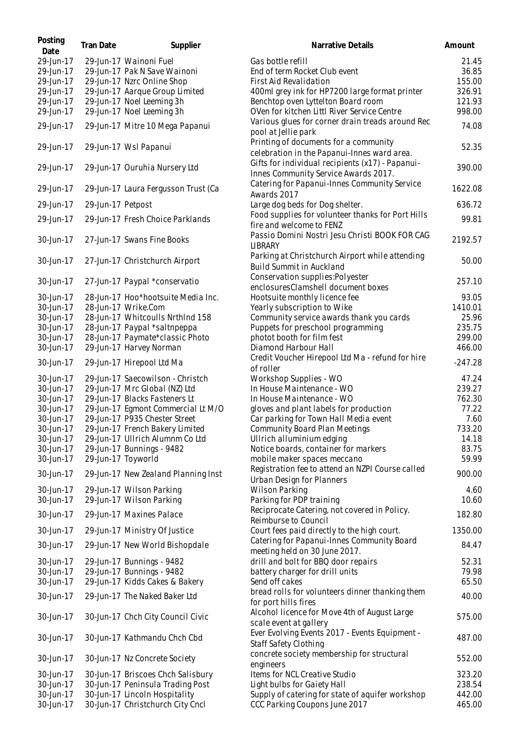| Posting<br>Date | <b>Tran Date</b>   | Supplier                            | Narrative Details                                                                            | Amount    |
|-----------------|--------------------|-------------------------------------|----------------------------------------------------------------------------------------------|-----------|
| 29-Jun-17       |                    | 29-Jun-17 Wainoni Fuel              | Gas bottle refill                                                                            | 21.45     |
| 29-Jun-17       |                    | 29-Jun-17 Pak N Save Wainoni        | End of term Rocket Club event                                                                | 36.85     |
| 29-Jun-17       |                    | 29-Jun-17 Nzrc Online Shop          | First Aid Revalidation                                                                       | 155.00    |
| 29-Jun-17       |                    | 29-Jun-17 Aarque Group Limited      | 400ml grey ink for HP7200 large format printer                                               | 326.91    |
| 29-Jun-17       |                    | 29-Jun-17 Noel Leeming 3h           | Benchtop oven Lyttelton Board room                                                           | 121.93    |
| 29-Jun-17       |                    | 29-Jun-17 Noel Leeming 3h           | OVen for kitchen Littl River Service Centre                                                  | 998.00    |
| 29-Jun-17       |                    | 29-Jun-17 Mitre 10 Mega Papanui     | Various glues for corner drain treads around Rec<br>pool at Jellie park                      | 74.08     |
| 29-Jun-17       |                    | 29-Jun-17 Wsl Papanui               | Printing of documents for a community<br>celebration in the Papanui-Innes ward area.         | 52.35     |
| 29-Jun-17       |                    | 29-Jun-17 Ouruhia Nursery Ltd       | Gifts for individual recipients (x17) - Papanui-<br>Innes Community Service Awards 2017.     | 390.00    |
| 29-Jun-17       |                    | 29-Jun-17 Laura Fergusson Trust (Ca | Catering for Papanui-Innes Community Service<br>Awards 2017                                  | 1622.08   |
| 29-Jun-17       | 29-Jun-17 Petpost  |                                     | Large dog beds for Dog shelter.                                                              | 636.72    |
| 29-Jun-17       |                    | 29-Jun-17 Fresh Choice Parklands    | Food supplies for volunteer thanks for Port Hills                                            | 99.81     |
| 30-Jun-17       |                    | 27-Jun-17 Swans Fine Books          | fire and welcome to FENZ<br>Passio Domini Nostri Jesu Christi BOOK FOR CAG<br><b>LIBRARY</b> | 2192.57   |
| 30-Jun-17       |                    | 27-Jun-17 Christchurch Airport      | Parking at Christchurch Airport while attending<br><b>Build Summit in Auckland</b>           | 50.00     |
| 30-Jun-17       |                    | 27-Jun-17 Paypal *conservatio       | Conservation supplies: Polyester                                                             | 257.10    |
|                 |                    |                                     | enclosuresClamshell document boxes                                                           |           |
| 30-Jun-17       |                    | 28-Jun-17 Hoo*hootsuite Media Inc.  | Hootsuite monthly licence fee                                                                | 93.05     |
| 30-Jun-17       |                    | 28-Jun-17 Wrike.Com                 | Yearly subscription to Wike                                                                  | 1410.01   |
| 30-Jun-17       |                    | 28-Jun-17 Whitcoulls NrthInd 158    | Community service awards thank you cards                                                     | 25.96     |
| 30-Jun-17       |                    | 28-Jun-17 Paypal *saltnpeppa        | Puppets for preschool programming                                                            | 235.75    |
| 30-Jun-17       |                    | 28-Jun-17 Paymate*classic Photo     | photot booth for film fest                                                                   | 299.00    |
| 30-Jun-17       |                    | 29-Jun-17 Harvey Norman             | Diamond Harbour Hall                                                                         | 466.00    |
| 30-Jun-17       |                    | 29-Jun-17 Hirepool Ltd Ma           | Credit Voucher Hirepool Ltd Ma - refund for hire<br>of roller                                | $-247.28$ |
| 30-Jun-17       |                    | 29-Jun-17 Saecowilson - Christch    | Workshop Supplies - WO                                                                       | 47.24     |
| 30-Jun-17       |                    | 29-Jun-17 Mrc Global (NZ) Ltd       | In House Maintenance - WO                                                                    | 239.27    |
| 30-Jun-17       |                    | 29-Jun-17 Blacks Fasteners Lt       | In House Maintenance - WO                                                                    | 762.30    |
| 30-Jun-17       |                    | 29-Jun-17 Egmont Commercial Lt M/O  | gloves and plant labels for production                                                       | 77.22     |
| 30-Jun-17       |                    | 29-Jun-17 P935 Chester Street       | Car parking for Town Hall Media event                                                        | 7.60      |
| 30-Jun-17       |                    | 29-Jun-17 French Bakery Limited     | <b>Community Board Plan Meetings</b>                                                         | 733.20    |
| 30-Jun-17       |                    | 29-Jun-17 Ullrich Alumnm Co Ltd     | Ullrich alluminium edging                                                                    | 14.18     |
| 30-Jun-17       |                    | 29-Jun-17 Bunnings - 9482           | Notice boards, container for markers                                                         | 83.75     |
| 30-Jun-17       | 29-Jun-17 Toyworld |                                     | mobile maker spaces meccano                                                                  | 59.99     |
| 30-Jun-17       |                    | 29-Jun-17 New Zealand Planning Inst | Registration fee to attend an NZPI Course called<br>Urban Design for Planners                | 900.00    |
| 30-Jun-17       |                    | 29-Jun-17 Wilson Parking            | <b>Wilson Parking</b>                                                                        | 4.60      |
| 30-Jun-17       |                    | 29-Jun-17 Wilson Parking            | Parking for PDP training                                                                     | 10.60     |
| 30-Jun-17       |                    | 29-Jun-17 Maxines Palace            | Reciprocate Catering, not covered in Policy.<br>Reimburse to Council                         | 182.80    |
| 30-Jun-17       |                    | 29-Jun-17 Ministry Of Justice       | Court fees paid directly to the high court.                                                  | 1350.00   |
| 30-Jun-17       |                    | 29-Jun-17 New World Bishopdale      | Catering for Papanui-Innes Community Board<br>meeting held on 30 June 2017.                  | 84.47     |
| 30-Jun-17       |                    | 29-Jun-17 Bunnings - 9482           | drill and bolt for BBQ door repairs                                                          | 52.31     |
| 30-Jun-17       |                    | 29-Jun-17 Bunnings - 9482           | battery charger for drill units                                                              | 79.98     |
| 30-Jun-17       |                    | 29-Jun-17 Kidds Cakes & Bakery      | Send off cakes                                                                               | 65.50     |
| 30-Jun-17       |                    | 29-Jun-17 The Naked Baker Ltd       | bread rolls for volunteers dinner thanking them<br>for port hills fires                      | 40.00     |
| 30-Jun-17       |                    | 30-Jun-17 Chch City Council Civic   | Alcohol licence for Move 4th of August Large<br>scale event at gallery                       | 575.00    |
| 30-Jun-17       |                    | 30-Jun-17 Kathmandu Chch Cbd        | Ever Evolving Events 2017 - Events Equipment -<br>Staff Safety Clothing                      | 487.00    |
| 30-Jun-17       |                    | 30-Jun-17 Nz Concrete Society       | concrete society membership for structural<br>engineers                                      | 552.00    |
| 30-Jun-17       |                    | 30-Jun-17 Briscoes Chch Salisbury   | Items for NCL Creative Studio                                                                | 323.20    |
| 30-Jun-17       |                    | 30-Jun-17 Peninsula Trading Post    | Light bulbs for Gaiety Hall                                                                  | 238.54    |
| 30-Jun-17       |                    | 30-Jun-17 Lincoln Hospitality       | Supply of catering for state of aquifer workshop                                             | 442.00    |
| 30-Jun-17       |                    | 30-Jun-17 Christchurch City Cncl    | CCC Parking Coupons June 2017                                                                | 465.00    |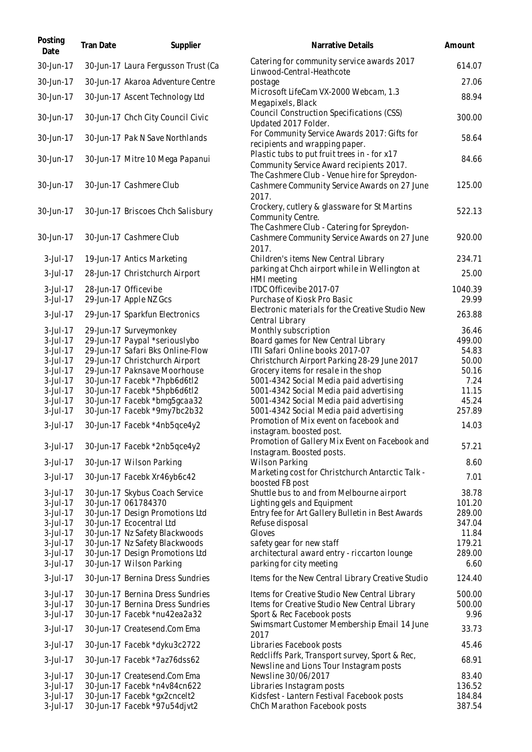| Posting<br>Date         | Tran Date | Supplier                                                     | Narrative Details                                                                                                                        | Amount           |
|-------------------------|-----------|--------------------------------------------------------------|------------------------------------------------------------------------------------------------------------------------------------------|------------------|
| 30-Jun-17               |           | 30-Jun-17 Laura Fergusson Trust (Ca                          | Catering for community service awards 2017<br>Linwood-Central-Heathcote                                                                  | 614.07           |
| 30-Jun-17               |           | 30-Jun-17 Akaroa Adventure Centre                            | postage                                                                                                                                  | 27.06            |
| 30-Jun-17               |           | 30-Jun-17 Ascent Technology Ltd                              | Microsoft LifeCam VX-2000 Webcam, 1.3<br>Megapixels, Black                                                                               | 88.94            |
| 30-Jun-17               |           | 30-Jun-17 Chch City Council Civic                            | Council Construction Specifications (CSS)<br>Updated 2017 Folder.                                                                        | 300.00           |
| 30-Jun-17               |           | 30-Jun-17 Pak N Save Northlands                              | For Community Service Awards 2017: Gifts for<br>recipients and wrapping paper.                                                           | 58.64            |
| 30-Jun-17               |           | 30-Jun-17 Mitre 10 Mega Papanui                              | Plastic tubs to put fruit trees in - for x17<br>Community Service Award recipients 2017.<br>The Cashmere Club - Venue hire for Spreydon- | 84.66            |
| 30-Jun-17               |           | 30-Jun-17 Cashmere Club                                      | Cashmere Community Service Awards on 27 June<br>2017.                                                                                    | 125.00           |
| 30-Jun-17               |           | 30-Jun-17 Briscoes Chch Salisbury                            | Crockery, cutlery & glassware for St Martins<br>Community Centre.                                                                        | 522.13           |
| 30-Jun-17               |           | 30-Jun-17 Cashmere Club                                      | The Cashmere Club - Catering for Spreydon-<br>Cashmere Community Service Awards on 27 June<br>2017.                                      | 920.00           |
| $3$ -Jul-17             |           | 19-Jun-17 Antics Marketing                                   | Children's items New Central Library                                                                                                     | 234.71           |
| 3-Jul-17                |           | 28-Jun-17 Christchurch Airport                               | parking at Chch airport while in Wellington at<br>HMI meeting                                                                            | 25.00            |
| $3$ -Jul-17             |           | 28-Jun-17 Officevibe                                         | ITDC Officevibe 2017-07                                                                                                                  | 1040.39          |
| $3$ -Jul-17             |           | 29-Jun-17 Apple NZ Gcs                                       | Purchase of Kiosk Pro Basic                                                                                                              | 29.99            |
| 3-Jul-17                |           | 29-Jun-17 Sparkfun Electronics                               | Electronic materials for the Creative Studio New<br>Central Library                                                                      | 263.88           |
| 3-Jul-17                |           | 29-Jun-17 Surveymonkey                                       | Monthly subscription                                                                                                                     | 36.46            |
| $3$ -Jul-17             |           | 29-Jun-17 Paypal *seriouslybo                                | Board games for New Central Library                                                                                                      | 499.00           |
| $3$ -Jul-17             |           | 29-Jun-17 Safari Bks Online-Flow                             | ITII Safari Online books 2017-07                                                                                                         | 54.83            |
| 3-Jul-17                |           | 29-Jun-17 Christchurch Airport                               | Christchurch Airport Parking 28-29 June 2017                                                                                             | 50.00            |
| 3-Jul-17                |           | 29-Jun-17 Paknsave Moorhouse                                 | Grocery items for resale in the shop                                                                                                     | 50.16            |
| 3-Jul-17                |           | 30-Jun-17 Facebk *7hpb6d6tl2                                 | 5001-4342 Social Media paid advertising                                                                                                  | 7.24<br>11.15    |
| $3$ -Jul-17<br>3-Jul-17 |           | 30-Jun-17 Facebk *5hpb6d6tl2<br>30-Jun-17 Facebk *bmg5gcaa32 | 5001-4342 Social Media paid advertising<br>5001-4342 Social Media paid advertising                                                       | 45.24            |
| 3-Jul-17                |           | 30-Jun-17 Facebk *9my7bc2b32                                 | 5001-4342 Social Media paid advertising                                                                                                  | 257.89           |
|                         |           |                                                              | Promotion of Mix event on facebook and                                                                                                   |                  |
| 3-Jul-17                |           | 30-Jun-17 Facebk *4nb5qce4y2                                 | instagram. boosted post.<br>Promotion of Gallery Mix Event on Facebook and                                                               | 14.03            |
| $3$ -Jul-17             |           | 30-Jun-17 Facebk *2nb5qce4y2                                 | Instagram. Boosted posts.                                                                                                                | 57.21            |
| 3-Jul-17                |           | 30-Jun-17 Wilson Parking                                     | <b>Wilson Parking</b>                                                                                                                    | 8.60             |
| 3-Jul-17                |           | 30-Jun-17 Facebk Xr46yb6c42                                  | Marketing cost for Christchurch Antarctic Talk -                                                                                         | 7.01             |
|                         |           |                                                              | boosted FB post                                                                                                                          |                  |
| $3$ -Jul-17             |           | 30-Jun-17 Skybus Coach Service                               | Shuttle bus to and from Melbourne airport                                                                                                | 38.78            |
| $3$ -Jul-17             |           | 30-Jun-17 061784370                                          | Lighting gels and Equipment                                                                                                              | 101.20           |
| 3-Jul-17                |           | 30-Jun-17 Design Promotions Ltd<br>30-Jun-17 Ecocentral Ltd  | Entry fee for Art Gallery Bulletin in Best Awards                                                                                        | 289.00<br>347.04 |
| 3-Jul-17<br>3-Jul-17    |           | 30-Jun-17 Nz Safety Blackwoods                               | Refuse disposal<br>Gloves                                                                                                                | 11.84            |
| 3-Jul-17                |           | 30-Jun-17 Nz Safety Blackwoods                               | safety gear for new staff                                                                                                                | 179.21           |
| 3-Jul-17                |           | 30-Jun-17 Design Promotions Ltd                              | architectural award entry - riccarton lounge                                                                                             | 289.00           |
| 3-Jul-17                |           | 30-Jun-17 Wilson Parking                                     | parking for city meeting                                                                                                                 | 6.60             |
| 3-Jul-17                |           | 30-Jun-17 Bernina Dress Sundries                             | Items for the New Central Library Creative Studio                                                                                        | 124.40           |
| $3$ -Jul-17             |           | 30-Jun-17 Bernina Dress Sundries                             | Items for Creative Studio New Central Library                                                                                            | 500.00           |
| $3$ -Jul-17             |           | 30-Jun-17 Bernina Dress Sundries                             | Items for Creative Studio New Central Library                                                                                            | 500.00           |
| 3-Jul-17                |           | 30-Jun-17 Facebk *nu42ea2a32                                 | Sport & Rec Facebook posts                                                                                                               | 9.96             |
| 3-Jul-17                |           | 30-Jun-17 Createsend.Com Ema                                 | Swimsmart Customer Membership Email 14 June<br>2017                                                                                      | 33.73            |
| 3-Jul-17                |           | 30-Jun-17 Facebk *dyku3c2722                                 | Libraries Facebook posts                                                                                                                 | 45.46            |
| 3-Jul-17                |           | 30-Jun-17 Facebk *7az76dss62                                 | Redcliffs Park, Transport survey, Sport & Rec,<br>Newsline and Lions Tour Instagram posts                                                | 68.91            |
| 3-Jul-17                |           | 30-Jun-17 Createsend.Com Ema                                 | Newsline 30/06/2017                                                                                                                      | 83.40            |
| 3-Jul-17                |           | 30-Jun-17 Facebk *n4v84cn622                                 | Libraries Instagram posts                                                                                                                | 136.52           |
| $3$ -Jul-17             |           | 30-Jun-17 Facebk *gx2cncelt2                                 | Kidsfest - Lantern Festival Facebook posts                                                                                               | 184.84           |
| 3-Jul-17                |           | 30-Jun-17 Facebk *97u54djvt2                                 | ChCh Marathon Facebook posts                                                                                                             | 387.54           |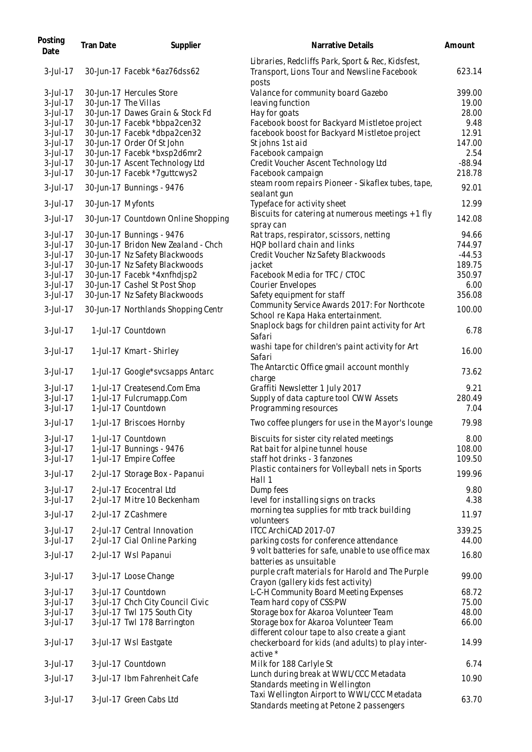| Posting<br>Date | Tran Date         | Supplier                            | Narrative Details                                                                                         | Amount   |
|-----------------|-------------------|-------------------------------------|-----------------------------------------------------------------------------------------------------------|----------|
| 3-Jul-17        |                   | 30-Jun-17 Facebk *6az76dss62        | Libraries, Redcliffs Park, Sport & Rec, Kidsfest,<br>Transport, Lions Tour and Newsline Facebook<br>posts | 623.14   |
| $3$ -Jul-17     |                   | 30-Jun-17 Hercules Store            | Valance for community board Gazebo                                                                        | 399.00   |
| $3$ -Jul-17     |                   | 30-Jun-17 The Villas                | leaving function                                                                                          | 19.00    |
| $3$ -Jul-17     |                   | 30-Jun-17 Dawes Grain & Stock Fd    | Hay for goats                                                                                             | 28.00    |
| $3$ -Jul-17     |                   | 30-Jun-17 Facebk *bbpa2cen32        | Facebook boost for Backyard Mistletoe project                                                             | 9.48     |
| 3-Jul-17        |                   | 30-Jun-17 Facebk *dbpa2cen32        | facebook boost for Backyard Mistletoe project                                                             | 12.91    |
| 3-Jul-17        |                   | 30-Jun-17 Order Of St John          | St johns 1st aid                                                                                          | 147.00   |
| $3$ -Jul-17     |                   | 30-Jun-17 Facebk *bxsp2d6mr2        | Facebook campaign                                                                                         | 2.54     |
| 3-Jul-17        |                   | 30-Jun-17 Ascent Technology Ltd     | Credit Voucher Ascent Technology Ltd                                                                      | $-88.94$ |
| 3-Jul-17        |                   | 30-Jun-17 Facebk *7guttcwys2        | Facebook campaign                                                                                         | 218.78   |
| 3-Jul-17        |                   | 30-Jun-17 Bunnings - 9476           | steam room repairs Pioneer - Sikaflex tubes, tape,                                                        | 92.01    |
| 3-Jul-17        | 30-Jun-17 Myfonts |                                     | sealant gun<br>Typeface for activity sheet                                                                | 12.99    |
| 3-Jul-17        |                   | 30-Jun-17 Countdown Online Shopping | Biscuits for catering at numerous meetings + 1 fly                                                        | 142.08   |
|                 |                   |                                     | spray can                                                                                                 |          |
| 3-Jul-17        |                   | 30-Jun-17 Bunnings - 9476           | Rat traps, respirator, scissors, netting                                                                  | 94.66    |
| $3$ -Jul-17     |                   | 30-Jun-17 Bridon New Zealand - Chch | HQP bollard chain and links                                                                               | 744.97   |
| $3$ -Jul-17     |                   | 30-Jun-17 Nz Safety Blackwoods      | Credit Voucher Nz Safety Blackwoods                                                                       | $-44.53$ |
| 3-Jul-17        |                   | 30-Jun-17 Nz Safety Blackwoods      | jacket                                                                                                    | 189.75   |
| 3-Jul-17        |                   | 30-Jun-17 Facebk *4xnfhdjsp2        | Facebook Media for TFC / CTOC                                                                             | 350.97   |
| 3-Jul-17        |                   | 30-Jun-17 Cashel St Post Shop       | Courier Envelopes                                                                                         | 6.00     |
| 3-Jul-17        |                   | 30-Jun-17 Nz Safety Blackwoods      | Safety equipment for staff                                                                                | 356.08   |
| 3-Jul-17        |                   | 30-Jun-17 Northlands Shopping Centr | Community Service Awards 2017: For Northcote<br>School re Kapa Haka entertainment.                        | 100.00   |
| $3$ -Jul-17     |                   | 1-Jul-17 Countdown                  | Snaplock bags for children paint activity for Art<br>Safari                                               | 6.78     |
| 3-Jul-17        |                   | 1-Jul-17 Kmart - Shirley            | washi tape for children's paint activity for Art<br>Safari                                                | 16.00    |
| $3$ -Jul-17     |                   | 1-Jul-17 Google*svcsapps Antarc     | The Antarctic Office gmail account monthly<br>charge                                                      | 73.62    |
| $3$ -Jul-17     |                   | 1-Jul-17 Createsend.Com Ema         | Graffiti Newsletter 1 July 2017                                                                           | 9.21     |
| 3-Jul-17        |                   | 1-Jul-17 Fulcrumapp.Com             | Supply of data capture tool CWW Assets                                                                    | 280.49   |
| 3-Jul-17        |                   | 1-Jul-17 Countdown                  | Programming resources                                                                                     | 7.04     |
| 3-Jul-17        |                   | 1-Jul-17 Briscoes Hornby            | Two coffee plungers for use in the Mayor's lounge                                                         | 79.98    |
| $3$ -Jul-17     |                   | 1-Jul-17 Countdown                  | Biscuits for sister city related meetings                                                                 | 8.00     |
| $3$ -Jul-17     |                   | 1-Jul-17 Bunnings - 9476            | Rat bait for alpine tunnel house                                                                          | 108.00   |
| $3$ -Jul-17     |                   | 1-Jul-17 Empire Coffee              | staff hot drinks - 3 fanzones                                                                             | 109.50   |
| $3$ -Jul-17     |                   | 2-Jul-17 Storage Box - Papanui      | Plastic containers for Volleyball nets in Sports<br>Hall 1                                                | 199.96   |
| 3-Jul-17        |                   | 2-Jul-17 Ecocentral Ltd             | Dump fees                                                                                                 | 9.80     |
| 3-Jul-17        |                   | 2-Jul-17 Mitre 10 Beckenham         | level for installing signs on tracks                                                                      | 4.38     |
| 3-Jul-17        |                   | 2-Jul-17 Z Cashmere                 | morning tea supplies for mtb track building<br>volunteers                                                 | 11.97    |
| 3-Jul-17        |                   | 2-Jul-17 Central Innovation         | ITCC ArchiCAD 2017-07                                                                                     | 339.25   |
| 3-Jul-17        |                   | 2-Jul-17 Cial Online Parking        | parking costs for conference attendance                                                                   | 44.00    |
| 3-Jul-17        |                   | 2-Jul-17 Wsl Papanui                | 9 volt batteries for safe, unable to use office max                                                       | 16.80    |
| 3-Jul-17        |                   | 3-Jul-17 Loose Change               | batteries as unsuitable<br>purple craft materials for Harold and The Purple                               | 99.00    |
|                 |                   |                                     | Crayon (gallery kids fest activity)                                                                       |          |
| $3$ -Jul-17     |                   | 3-Jul-17 Countdown                  | L-C-H Community Board Meeting Expenses                                                                    | 68.72    |
| 3-Jul-17        |                   | 3-Jul-17 Chch City Council Civic    | Team hard copy of CSS:PW                                                                                  | 75.00    |
| 3-Jul-17        |                   | 3-Jul-17 Twl 175 South City         | Storage box for Akaroa Volunteer Team                                                                     | 48.00    |
| 3-Jul-17        |                   | 3-Jul-17 Twl 178 Barrington         | Storage box for Akaroa Volunteer Team                                                                     | 66.00    |
| 3-Jul-17        |                   | 3-Jul-17 Wsl Eastgate               | different colour tape to also create a giant<br>checkerboard for kids (and adults) to play inter-         | 14.99    |
| 3-Jul-17        |                   | 3-Jul-17 Countdown                  | active *<br>Milk for 188 Carlyle St                                                                       | 6.74     |
| 3-Jul-17        |                   | 3-Jul-17 Ibm Fahrenheit Cafe        | Lunch during break at WWL/CCC Metadata                                                                    | 10.90    |
|                 |                   |                                     | Standards meeting in Wellington<br>Taxi Wellington Airport to WWL/CCC Metadata                            |          |
| 3-Jul-17        |                   | 3-Jul-17 Green Cabs Ltd             | Standards meeting at Petone 2 passengers                                                                  | 63.70    |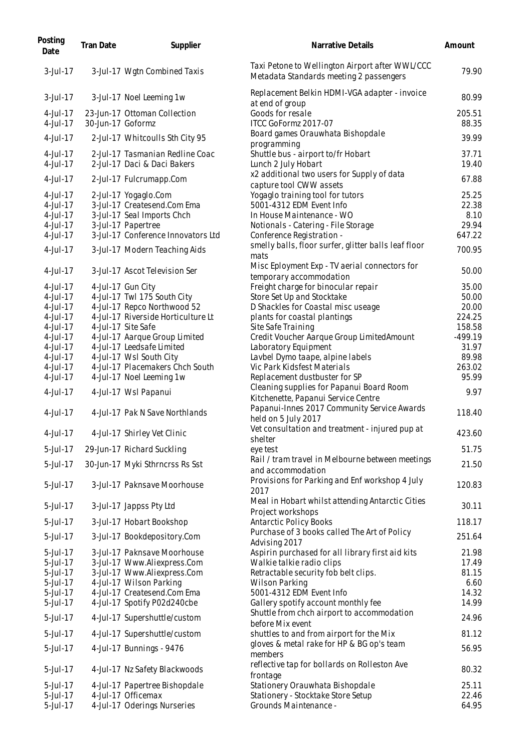| Posting<br>Date      | Tran Date         | Supplier                                                       | Narrative Details                                                                          | Amount          |
|----------------------|-------------------|----------------------------------------------------------------|--------------------------------------------------------------------------------------------|-----------------|
| $3$ -Jul-17          |                   | 3-Jul-17 Wgtn Combined Taxis                                   | Taxi Petone to Wellington Airport after WWL/CCC<br>Metadata Standards meeting 2 passengers | 79.90           |
| 3-Jul-17             |                   | 3-Jul-17 Noel Leeming 1w                                       | Replacement Belkin HDMI-VGA adapter - invoice<br>at end of group                           | 80.99           |
| 4-Jul-17<br>4-Jul-17 | 30-Jun-17 Goformz | 23-Jun-17 Ottoman Collection                                   | Goods for resale<br>ITCC GoFormz 2017-07                                                   | 205.51<br>88.35 |
| 4-Jul-17             |                   | 2-Jul-17 Whitcoulls Sth City 95                                | Board games Orauwhata Bishopdale<br>programming                                            | 39.99           |
| 4-Jul-17<br>4-Jul-17 |                   | 2-Jul-17 Tasmanian Redline Coac<br>2-Jul-17 Daci & Daci Bakers | Shuttle bus - airport to/fr Hobart<br>Lunch 2 July Hobart                                  | 37.71<br>19.40  |
| 4-Jul-17             |                   | 2-Jul-17 Fulcrumapp.Com                                        | x2 additional two users for Supply of data<br>capture tool CWW assets                      | 67.88           |
| 4-Jul-17             |                   | 2-Jul-17 Yogaglo.Com                                           | Yogaglo training tool for tutors                                                           | 25.25           |
| 4-Jul-17             |                   | 3-Jul-17 Createsend.Com Ema                                    | 5001-4312 EDM Event Info                                                                   | 22.38           |
| 4-Jul-17             |                   | 3-Jul-17 Seal Imports Chch                                     | In House Maintenance - WO                                                                  | 8.10            |
| 4-Jul-17             |                   | 3-Jul-17 Papertree                                             | Notionals - Catering - File Storage                                                        | 29.94           |
| 4-Jul-17             |                   | 3-Jul-17 Conference Innovators Ltd                             | Conference Registration -                                                                  | 647.22          |
| 4-Jul-17             |                   | 3-Jul-17 Modern Teaching Aids                                  | smelly balls, floor surfer, glitter balls leaf floor<br>mats                               | 700.95          |
| 4-Jul-17             |                   | 3-Jul-17 Ascot Television Ser                                  | Misc Eployment Exp - TV aerial connectors for<br>temporary accommodation                   | 50.00           |
| 4-Jul-17             |                   | 4-Jul-17 Gun City                                              | Freight charge for binocular repair                                                        | 35.00           |
| 4-Jul-17             |                   | 4-Jul-17 Twl 175 South City                                    | Store Set Up and Stocktake                                                                 | 50.00           |
| 4-Jul-17             |                   | 4-Jul-17 Repco Northwood 52                                    | D Shackles for Coastal misc useage                                                         | 20.00           |
| 4-Jul-17             |                   | 4-Jul-17 Riverside Horticulture Lt                             | plants for coastal plantings                                                               | 224.25          |
| 4-Jul-17             |                   | 4-Jul-17 Site Safe                                             | Site Safe Training                                                                         | 158.58          |
| 4-Jul-17             |                   | 4-Jul-17 Aarque Group Limited                                  | Credit Voucher Aarque Group LimitedAmount                                                  | $-499.19$       |
| 4-Jul-17             |                   | 4-Jul-17 Leedsafe Limited                                      | Laboratory Equipment                                                                       | 31.97           |
| 4-Jul-17             |                   | 4-Jul-17 Wsl South City                                        | Lavbel Dymo taape, alpine labels                                                           | 89.98           |
| 4-Jul-17             |                   | 4-Jul-17 Placemakers Chch South                                | Vic Park Kidsfest Materials                                                                | 263.02          |
| 4-Jul-17             |                   | 4-Jul-17 Noel Leeming 1w                                       | Replacement dustbuster for SP                                                              | 95.99           |
| 4-Jul-17             |                   | 4-Jul-17 Wsl Papanui                                           | Cleaning supplies for Papanui Board Room<br>Kitchenette, Papanui Service Centre            | 9.97            |
| $4$ -Jul-17          |                   | 4-Jul-17 Pak N Save Northlands                                 | Papanui-Innes 2017 Community Service Awards<br>held on 5 July 2017                         | 118.40          |
| 4-Jul-17             |                   | 4-Jul-17 Shirley Vet Clinic                                    | Vet consultation and treatment - injured pup at<br>shelter                                 | 423.60          |
| 5-Jul-17             |                   | 29-Jun-17 Richard Suckling                                     | eye test                                                                                   | 51.75           |
| 5-Jul-17             |                   | 30-Jun-17 Myki Sthrncrss Rs Sst                                | Rail / tram travel in Melbourne between meetings<br>and accommodation                      | 21.50           |
| 5-Jul-17             |                   | 3-Jul-17 Paknsave Moorhouse                                    | Provisions for Parking and Enf workshop 4 July<br>2017                                     | 120.83          |
| 5-Jul-17             |                   | 3-Jul-17 Jappss Pty Ltd                                        | Meal in Hobart whilst attending Antarctic Cities<br>Project workshops                      | 30.11           |
| 5-Jul-17             |                   | 3-Jul-17 Hobart Bookshop                                       | <b>Antarctic Policy Books</b>                                                              | 118.17          |
| 5-Jul-17             |                   | 3-Jul-17 Bookdepository.Com                                    | Purchase of 3 books called The Art of Policy<br>Advising 2017                              | 251.64          |
| 5-Jul-17             |                   | 3-Jul-17 Paknsave Moorhouse                                    | Aspirin purchased for all library first aid kits                                           | 21.98           |
| 5-Jul-17             |                   | 3-Jul-17 Www.Aliexpress.Com                                    | Walkie talkie radio clips                                                                  | 17.49           |
| 5-Jul-17             |                   | 3-Jul-17 Www.Aliexpress.Com                                    | Retractable security fob belt clips.                                                       | 81.15           |
| 5-Jul-17             |                   | 4-Jul-17 Wilson Parking                                        | <b>Wilson Parking</b>                                                                      | 6.60            |
| 5-Jul-17             |                   | 4-Jul-17 Createsend.Com Ema                                    | 5001-4312 EDM Event Info                                                                   | 14.32           |
| 5-Jul-17             |                   | 4-Jul-17 Spotify P02d240cbe                                    | Gallery spotify account monthly fee                                                        | 14.99           |
| 5-Jul-17             |                   | 4-Jul-17 Supershuttle/custom                                   | Shuttle from chch airport to accommodation<br>before Mix event                             | 24.96           |
| 5-Jul-17             |                   | 4-Jul-17 Supershuttle/custom                                   | shuttles to and from airport for the Mix                                                   | 81.12           |
| 5-Jul-17             |                   | 4-Jul-17 Bunnings - 9476                                       | gloves & metal rake for HP & BG op's team<br>members                                       | 56.95           |
| 5-Jul-17             |                   | 4-Jul-17 Nz Safety Blackwoods                                  | reflective tap for bollards on Rolleston Ave<br>frontage                                   | 80.32           |
| 5-Jul-17             |                   | 4-Jul-17 Papertree Bishopdale                                  | Stationery Orauwhata Bishopdale                                                            | 25.11           |
| 5-Jul-17             |                   | 4-Jul-17 Officemax                                             | Stationery - Stocktake Store Setup                                                         | 22.46           |
| 5-Jul-17             |                   | 4-Jul-17 Oderings Nurseries                                    | Grounds Maintenance -                                                                      | 64.95           |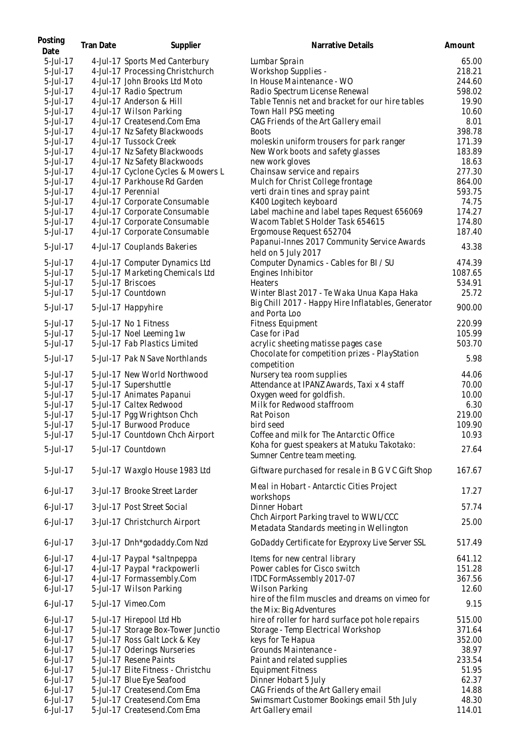| Posting<br>Date | <b>Tran Date</b> | Supplier                           | Narrative Details                                                           | Amount  |
|-----------------|------------------|------------------------------------|-----------------------------------------------------------------------------|---------|
| 5-Jul-17        |                  | 4-Jul-17 Sports Med Canterbury     | Lumbar Sprain                                                               | 65.00   |
| 5-Jul-17        |                  | 4-Jul-17 Processing Christchurch   | Workshop Supplies -                                                         | 218.21  |
| $5$ -Jul-17     |                  | 4-Jul-17 John Brooks Ltd Moto      | In House Maintenance - WO                                                   | 244.60  |
| 5-Jul-17        |                  | 4-Jul-17 Radio Spectrum            | Radio Spectrum License Renewal                                              | 598.02  |
| 5-Jul-17        |                  | 4-Jul-17 Anderson & Hill           | Table Tennis net and bracket for our hire tables                            | 19.90   |
| 5-Jul-17        |                  | 4-Jul-17 Wilson Parking            | Town Hall PSG meeting                                                       | 10.60   |
| 5-Jul-17        |                  | 4-Jul-17 Createsend.Com Ema        | CAG Friends of the Art Gallery email                                        | 8.01    |
| 5-Jul-17        |                  | 4-Jul-17 Nz Safety Blackwoods      | <b>Boots</b>                                                                | 398.78  |
| 5-Jul-17        |                  | 4-Jul-17 Tussock Creek             | moleskin uniform trousers for park ranger                                   | 171.39  |
| 5-Jul-17        |                  | 4-Jul-17 Nz Safety Blackwoods      | New Work boots and safety glasses                                           | 183.89  |
| 5-Jul-17        |                  | 4-Jul-17 Nz Safety Blackwoods      | new work gloves                                                             | 18.63   |
| 5-Jul-17        |                  | 4-Jul-17 Cyclone Cycles & Mowers L | Chainsaw service and repairs                                                | 277.30  |
| 5-Jul-17        |                  | 4-Jul-17 Parkhouse Rd Garden       | Mulch for Christ College frontage                                           | 864.00  |
| 5-Jul-17        |                  | 4-Jul-17 Perennial                 | verti drain tines and spray paint                                           | 593.75  |
| 5-Jul-17        |                  | 4-Jul-17 Corporate Consumable      | K400 Logitech keyboard                                                      | 74.75   |
| 5-Jul-17        |                  | 4-Jul-17 Corporate Consumable      | Label machine and label tapes Request 656069                                | 174.27  |
| 5-Jul-17        |                  | 4-Jul-17 Corporate Consumable      | Wacom Tablet S Holder Task 654615                                           | 174.80  |
| 5-Jul-17        |                  | 4-Jul-17 Corporate Consumable      | Ergomouse Request 652704                                                    | 187.40  |
| 5-Jul-17        |                  | 4-Jul-17 Couplands Bakeries        | Papanui-Innes 2017 Community Service Awards                                 | 43.38   |
|                 |                  |                                    | held on 5 July 2017                                                         |         |
| 5-Jul-17        |                  | 4-Jul-17 Computer Dynamics Ltd     | Computer Dynamics - Cables for BI / SU                                      | 474.39  |
| 5-Jul-17        |                  | 5-Jul-17 Marketing Chemicals Ltd   | Engines Inhibitor                                                           | 1087.65 |
| 5-Jul-17        |                  | 5-Jul-17 Briscoes                  | <b>Heaters</b>                                                              | 534.91  |
| 5-Jul-17        |                  | 5-Jul-17 Countdown                 | Winter Blast 2017 - Te Waka Unua Kapa Haka                                  | 25.72   |
| 5-Jul-17        |                  | 5-Jul-17 Happyhire                 | Big Chill 2017 - Happy Hire Inflatables, Generator                          | 900.00  |
|                 |                  |                                    | and Porta Loo                                                               |         |
| 5-Jul-17        |                  | 5-Jul-17 No 1 Fitness              | Fitness Equipment                                                           | 220.99  |
| 5-Jul-17        |                  | 5-Jul-17 Noel Leeming 1w           | Case for iPad                                                               | 105.99  |
| 5-Jul-17        |                  | 5-Jul-17 Fab Plastics Limited      | acrylic sheeting matisse pages case                                         | 503.70  |
| 5-Jul-17        |                  | 5-Jul-17 Pak N Save Northlands     | Chocolate for competition prizes - PlayStation<br>competition               | 5.98    |
| 5-Jul-17        |                  | 5-Jul-17 New World Northwood       | Nursery tea room supplies                                                   | 44.06   |
| 5-Jul-17        |                  | 5-Jul-17 Supershuttle              | Attendance at IPANZ Awards, Taxi x 4 staff                                  | 70.00   |
| 5-Jul-17        |                  | 5-Jul-17 Animates Papanui          | Oxygen weed for goldfish.                                                   | 10.00   |
| 5-Jul-17        |                  | 5-Jul-17 Caltex Redwood            | Milk for Redwood staffroom                                                  | 6.30    |
| 5-Jul-17        |                  | 5-Jul-17 Pgg Wrightson Chch        | Rat Poison                                                                  | 219.00  |
| 5-Jul-17        |                  | 5-Jul-17 Burwood Produce           | bird seed                                                                   | 109.90  |
| 5-Jul-17        |                  | 5-Jul-17 Countdown Chch Airport    | Coffee and milk for The Antarctic Office                                    | 10.93   |
| 5-Jul-17        |                  | 5-Jul-17 Countdown                 | Koha for guest speakers at Matuku Takotako:<br>Sumner Centre team meeting.  | 27.64   |
| 5-Jul-17        |                  | 5-Jul-17 Waxglo House 1983 Ltd     | Giftware purchased for resale in B G V C Gift Shop                          | 167.67  |
| $6$ -Jul-17     |                  | 3-Jul-17 Brooke Street Larder      | Meal in Hobart - Antarctic Cities Project<br>workshops                      | 17.27   |
| $6$ -Jul-17     |                  | 3-Jul-17 Post Street Social        | Dinner Hobart                                                               | 57.74   |
| $6$ -Jul-17     |                  |                                    | Chch Airport Parking travel to WWL/CCC                                      | 25.00   |
|                 |                  | 3-Jul-17 Christchurch Airport      | Metadata Standards meeting in Wellington                                    |         |
| $6$ -Jul-17     |                  | 3-Jul-17 Dnh*godaddy.Com Nzd       | GoDaddy Certificate for Ezyproxy Live Server SSL                            | 517.49  |
| $6$ -Jul-17     |                  | 4-Jul-17 Paypal *saltnpeppa        | Items for new central library                                               | 641.12  |
| $6$ -Jul-17     |                  | 4-Jul-17 Paypal *rackpowerli       | Power cables for Cisco switch                                               | 151.28  |
| $6$ -Jul-17     |                  | 4-Jul-17 Formassembly.Com          | ITDC FormAssembly 2017-07                                                   | 367.56  |
| $6$ -Jul-17     |                  | 5-Jul-17 Wilson Parking            | Wilson Parking                                                              | 12.60   |
| $6$ -Jul-17     |                  | 5-Jul-17 Vimeo.Com                 | hire of the film muscles and dreams on vimeo for<br>the Mix: Big Adventures | 9.15    |
| $6$ -Jul-17     |                  | 5-Jul-17 Hirepool Ltd Hb           | hire of roller for hard surface pot hole repairs                            | 515.00  |
| $6$ -Jul-17     |                  | 5-Jul-17 Storage Box-Tower Junctio | Storage - Temp Electrical Workshop                                          | 371.64  |
| $6$ -Jul-17     |                  | 5-Jul-17 Ross Galt Lock & Key      | keys for Te Hapua                                                           | 352.00  |
| $6$ -Jul-17     |                  | 5-Jul-17 Oderings Nurseries        | Grounds Maintenance -                                                       | 38.97   |
| $6$ -Jul-17     |                  | 5-Jul-17 Resene Paints             | Paint and related supplies                                                  | 233.54  |
| $6$ -Jul-17     |                  | 5-Jul-17 Elite Fitness - Christchu | Equipment Fitness                                                           | 51.95   |
| $6$ -Jul-17     |                  | 5-Jul-17 Blue Eye Seafood          | Dinner Hobart 5 July                                                        | 62.37   |
| $6$ -Jul-17     |                  | 5-Jul-17 Createsend.Com Ema        | CAG Friends of the Art Gallery email                                        | 14.88   |
| 6-Jul-17        |                  | 5-Jul-17 Createsend.Com Ema        | Swimsmart Customer Bookings email 5th July                                  | 48.30   |
| 6-Jul-17        |                  | 5-Jul-17 Createsend.Com Ema        | Art Gallery email                                                           | 114.01  |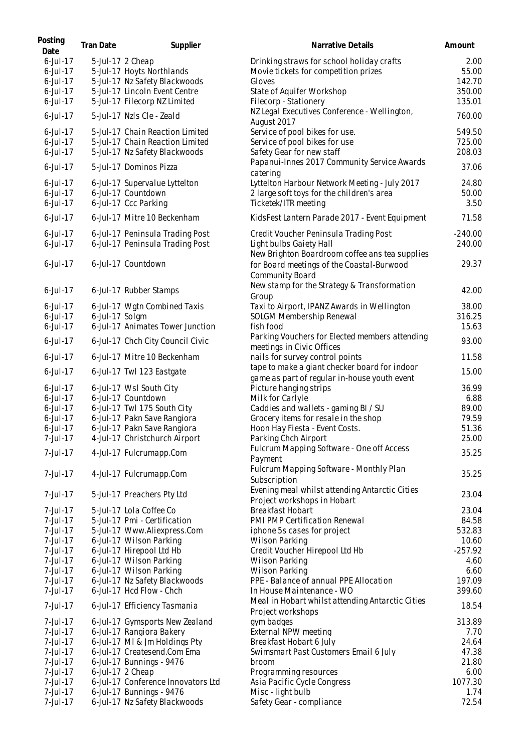| Posting<br>Date | Tran Date      | Supplier                           | Narrative Details                                                           | Amount    |
|-----------------|----------------|------------------------------------|-----------------------------------------------------------------------------|-----------|
| $6$ -Jul-17     |                | 5-Jul-17 2 Cheap                   | Drinking straws for school holiday crafts                                   | 2.00      |
| $6$ -Jul-17     |                | 5-Jul-17 Hoyts Northlands          | Movie tickets for competition prizes                                        | 55.00     |
| $6$ -Jul-17     |                | 5-Jul-17 Nz Safety Blackwoods      | Gloves                                                                      | 142.70    |
| $6$ -Jul-17     |                | 5-Jul-17 Lincoln Event Centre      | State of Aquifer Workshop                                                   | 350.00    |
| $6$ -Jul-17     |                | 5-Jul-17 Filecorp NZ Limited       | Filecorp - Stationery                                                       | 135.01    |
| $6$ -Jul-17     |                | 5-Jul-17 Nzls Cle - Zeald          | NZ Legal Executives Conference - Wellington,<br>August 2017                 | 760.00    |
| $6$ -Jul-17     |                | 5-Jul-17 Chain Reaction Limited    | Service of pool bikes for use.                                              | 549.50    |
| $6$ -Jul-17     |                | 5-Jul-17 Chain Reaction Limited    | Service of pool bikes for use                                               | 725.00    |
| $6$ -Jul-17     |                | 5-Jul-17 Nz Safety Blackwoods      | Safety Gear for new staff                                                   | 208.03    |
| $6$ -Jul-17     |                | 5-Jul-17 Dominos Pizza             | Papanui-Innes 2017 Community Service Awards<br>catering                     | 37.06     |
| $6$ -Jul-17     |                | 6-Jul-17 Supervalue Lyttelton      | Lyttelton Harbour Network Meeting - July 2017                               | 24.80     |
| $6$ -Jul-17     |                | 6-Jul-17 Countdown                 | 2 large soft toys for the children's area                                   | 50.00     |
| $6$ -Jul-17     |                | 6-Jul-17 Ccc Parking               | Ticketek/ITR meeting                                                        | 3.50      |
| $6$ -Jul-17     |                | 6-Jul-17 Mitre 10 Beckenham        | KidsFest Lantern Parade 2017 - Event Equipment                              | 71.58     |
| $6$ -Jul-17     |                | 6-Jul-17 Peninsula Trading Post    | Credit Voucher Peninsula Trading Post                                       | $-240.00$ |
| $6$ -Jul-17     |                | 6-Jul-17 Peninsula Trading Post    | Light bulbs Gaiety Hall                                                     | 240.00    |
|                 |                |                                    | New Brighton Boardroom coffee ans tea supplies                              |           |
| $6$ -Jul-17     |                | 6-Jul-17 Countdown                 | for Board meetings of the Coastal-Burwood<br><b>Community Board</b>         | 29.37     |
| $6$ -Jul-17     |                | 6-Jul-17 Rubber Stamps             | New stamp for the Strategy & Transformation<br>Group                        | 42.00     |
| $6$ -Jul-17     |                | 6-Jul-17 Wgtn Combined Taxis       | Taxi to Airport, IPANZ Awards in Wellington                                 | 38.00     |
| $6$ -Jul-17     | 6-Jul-17 Solgm |                                    | SOLGM Membership Renewal                                                    | 316.25    |
| $6$ -Jul-17     |                | 6-Jul-17 Animates Tower Junction   | fish food                                                                   | 15.63     |
| $6$ -Jul-17     |                | 6-Jul-17 Chch City Council Civic   | Parking Vouchers for Elected members attending<br>meetings in Civic Offices | 93.00     |
| $6$ -Jul-17     |                | 6-Jul-17 Mitre 10 Beckenham        | nails for survey control points                                             | 11.58     |
|                 |                |                                    | tape to make a giant checker board for indoor                               |           |
| $6$ -Jul-17     |                | 6-Jul-17 Twl 123 Eastgate          | game as part of regular in-house youth event                                | 15.00     |
| $6$ -Jul-17     |                | 6-Jul-17 Wsl South City            | Picture hanging strips                                                      | 36.99     |
| $6$ -Jul-17     |                | 6-Jul-17 Countdown                 | Milk for Carlyle                                                            | 6.88      |
| $6$ -Jul-17     |                | 6-Jul-17 Twl 175 South City        | Caddies and wallets - gaming BI / SU                                        | 89.00     |
| $6$ -Jul-17     |                | 6-Jul-17 Pakn Save Rangiora        | Grocery items for resale in the shop                                        | 79.59     |
| $6$ -Jul-17     |                | 6-Jul-17 Pakn Save Rangiora        | Hoon Hay Fiesta - Event Costs.                                              | 51.36     |
| 7-Jul-17        |                | 4-Jul-17 Christchurch Airport      | Parking Chch Airport                                                        | 25.00     |
|                 |                |                                    | Fulcrum Mapping Software - One off Access                                   |           |
| 7-Jul-17        |                | 4-Jul-17 Fulcrumapp.Com            | Payment                                                                     | 35.25     |
| 7-Jul-17        |                | 4-Jul-17 Fulcrumapp.Com            | Fulcrum Mapping Software - Monthly Plan                                     | 35.25     |
|                 |                |                                    | Subscription                                                                |           |
| 7-Jul-17        |                | 5-Jul-17 Preachers Pty Ltd         | Evening meal whilst attending Antarctic Cities                              | 23.04     |
|                 |                |                                    | Project workshops in Hobart                                                 |           |
| 7-Jul-17        |                | 5-Jul-17 Lola Coffee Co            | Breakfast Hobart                                                            | 23.04     |
| 7-Jul-17        |                | 5-Jul-17 Pmi - Certification       | PMI PMP Certification Renewal                                               | 84.58     |
| 7-Jul-17        |                | 5-Jul-17 Www.Aliexpress.Com        | iphone 5s cases for project                                                 | 532.83    |
| 7-Jul-17        |                | 6-Jul-17 Wilson Parking            | <b>Wilson Parking</b>                                                       | 10.60     |
| 7-Jul-17        |                | 6-Jul-17 Hirepool Ltd Hb           | Credit Voucher Hirepool Ltd Hb                                              | $-257.92$ |
| 7-Jul-17        |                | 6-Jul-17 Wilson Parking            | <b>Wilson Parking</b>                                                       | 4.60      |
| 7-Jul-17        |                | 6-Jul-17 Wilson Parking            | <b>Wilson Parking</b>                                                       | 6.60      |
| 7-Jul-17        |                | 6-Jul-17 Nz Safety Blackwoods      | PPE - Balance of annual PPE Allocation                                      | 197.09    |
| 7-Jul-17        |                | 6-Jul-17 Hcd Flow - Chch           | In House Maintenance - WO                                                   | 399.60    |
| 7-Jul-17        |                | 6-Jul-17 Efficiency Tasmania       | Meal in Hobart whilst attending Antarctic Cities<br>Project workshops       | 18.54     |
| 7-Jul-17        |                | 6-Jul-17 Gymsports New Zealand     | gym badges                                                                  | 313.89    |
| 7-Jul-17        |                | 6-Jul-17 Rangiora Bakery           | External NPW meeting                                                        | 7.70      |
| 7-Jul-17        |                | 6-Jul-17 MI & Jm Holdings Pty      | Breakfast Hobart 6 July                                                     | 24.64     |
| 7-Jul-17        |                | 6-Jul-17 Createsend.Com Ema        | Swimsmart Past Customers Email 6 July                                       | 47.38     |
| 7-Jul-17        |                | 6-Jul-17 Bunnings - 9476           | broom                                                                       | 21.80     |
| 7-Jul-17        |                | 6-Jul-17 2 Cheap                   | Programming resources                                                       | 6.00      |
| 7-Jul-17        |                | 6-Jul-17 Conference Innovators Ltd | Asia Pacific Cycle Congress                                                 | 1077.30   |
| 7-Jul-17        |                | 6-Jul-17 Bunnings - 9476           | Misc - light bulb                                                           | 1.74      |
| 7-Jul-17        |                | 6-Jul-17 Nz Safety Blackwoods      | Safety Gear - compliance                                                    | 72.54     |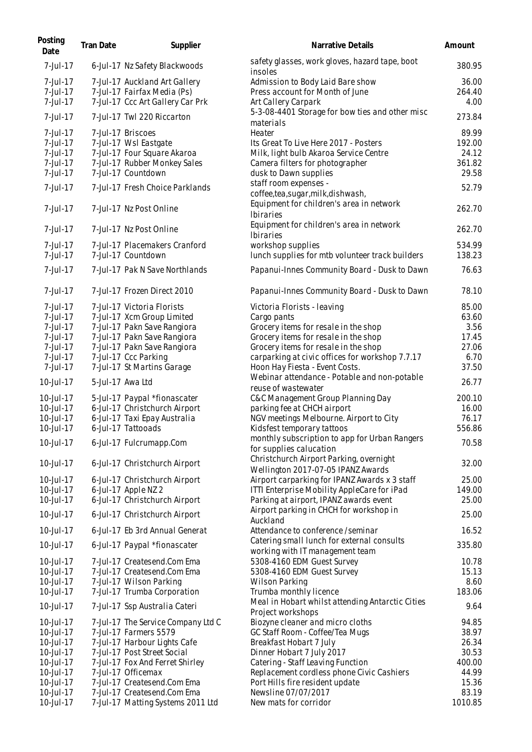| Posting<br>Date | Tran Date | Supplier                           | Narrative Details                                                             | Amount  |
|-----------------|-----------|------------------------------------|-------------------------------------------------------------------------------|---------|
| 7-Jul-17        |           | 6-Jul-17 Nz Safety Blackwoods      | safety glasses, work gloves, hazard tape, boot<br>insoles                     | 380.95  |
| 7-Jul-17        |           | 7-Jul-17 Auckland Art Gallery      | Admission to Body Laid Bare show                                              | 36.00   |
| 7-Jul-17        |           | 7-Jul-17 Fairfax Media (Ps)        | Press account for Month of June                                               | 264.40  |
| 7-Jul-17        |           | 7-Jul-17 Ccc Art Gallery Car Prk   | Art Callery Carpark                                                           | 4.00    |
| 7-Jul-17        |           | 7-Jul-17 Twl 220 Riccarton         | 5-3-08-4401 Storage for bow ties and other misc<br>materials                  | 273.84  |
| 7-Jul-17        |           | 7-Jul-17 Briscoes                  | Heater                                                                        | 89.99   |
| 7-Jul-17        |           | 7-Jul-17 Wsl Eastgate              | Its Great To Live Here 2017 - Posters                                         | 192.00  |
| 7-Jul-17        |           | 7-Jul-17 Four Square Akaroa        | Milk, light bulb Akaroa Service Centre                                        | 24.12   |
| 7-Jul-17        |           | 7-Jul-17 Rubber Monkey Sales       | Camera filters for photographer                                               | 361.82  |
| 7-Jul-17        |           | 7-Jul-17 Countdown                 | dusk to Dawn supplies                                                         | 29.58   |
| 7-Jul-17        |           | 7-Jul-17 Fresh Choice Parklands    | staff room expenses -<br>coffee, tea, sugar, milk, dishwash,                  | 52.79   |
| 7-Jul-17        |           | 7-Jul-17 Nz Post Online            | Equipment for children's area in network<br><b>Ibiraries</b>                  | 262.70  |
| 7-Jul-17        |           | 7-Jul-17 Nz Post Online            | Equipment for children's area in network<br>Ibiraries                         | 262.70  |
| 7-Jul-17        |           | 7-Jul-17 Placemakers Cranford      | workshop supplies                                                             | 534.99  |
| 7-Jul-17        |           | 7-Jul-17 Countdown                 | lunch supplies for mtb volunteer track builders                               | 138.23  |
| 7-Jul-17        |           | 7-Jul-17 Pak N Save Northlands     | Papanui-Innes Community Board - Dusk to Dawn                                  | 76.63   |
| 7-Jul-17        |           | 7-Jul-17 Frozen Direct 2010        | Papanui-Innes Community Board - Dusk to Dawn                                  | 78.10   |
| 7-Jul-17        |           | 7-Jul-17 Victoria Florists         | Victoria Florists - leaving                                                   | 85.00   |
| 7-Jul-17        |           | 7-Jul-17 Xcm Group Limited         | Cargo pants                                                                   | 63.60   |
| 7-Jul-17        |           | 7-Jul-17 Pakn Save Rangiora        | Grocery items for resale in the shop                                          | 3.56    |
| 7-Jul-17        |           | 7-Jul-17 Pakn Save Rangiora        | Grocery items for resale in the shop                                          | 17.45   |
| 7-Jul-17        |           | 7-Jul-17 Pakn Save Rangiora        | Grocery items for resale in the shop                                          | 27.06   |
| 7-Jul-17        |           | 7-Jul-17 Ccc Parking               | carparking at civic offices for workshop 7.7.17                               | 6.70    |
| 7-Jul-17        |           | 7-Jul-17 St Martins Garage         | Hoon Hay Fiesta - Event Costs.                                                | 37.50   |
| 10-Jul-17       |           | 5-Jul-17 Awa Ltd                   | Webinar attendance - Potable and non-potable<br>reuse of wastewater           | 26.77   |
| 10-Jul-17       |           | 5-Jul-17 Paypal *fionascater       | C&C Management Group Planning Day                                             | 200.10  |
| 10-Jul-17       |           | 6-Jul-17 Christchurch Airport      | parking fee at CHCH airport                                                   | 16.00   |
| 10-Jul-17       |           | 6-Jul-17 Taxi Epay Australia       | NGV meetings Melbourne. Airport to City                                       | 76.17   |
| 10-Jul-17       |           | 6-Jul-17 Tattooads                 | Kidsfest temporary tattoos                                                    | 556.86  |
| 10-Jul-17       |           | 6-Jul-17 Fulcrumapp.Com            | monthly subscription to app for Urban Rangers<br>for supplies calucation      | 70.58   |
| 10-Jul-17       |           | 6-Jul-17 Christchurch Airport      | Christchurch Airport Parking, overnight<br>Wellington 2017-07-05 IPANZ Awards | 32.00   |
| 10-Jul-17       |           | 6-Jul-17 Christchurch Airport      | Airport carparking for IPANZ Awards x 3 staff                                 | 25.00   |
| 10-Jul-17       |           | 6-Jul-17 Apple NZ 2                | ITTI Enterprise Mobility AppleCare for iPad                                   | 149.00  |
| 10-Jul-17       |           | 6-Jul-17 Christchurch Airport      | Parking at airport, IPANZ awards event                                        | 25.00   |
| 10-Jul-17       |           | 6-Jul-17 Christchurch Airport      | Airport parking in CHCH for workshop in                                       | 25.00   |
| 10-Jul-17       |           | 6-Jul-17 Eb 3rd Annual Generat     | Auckland<br>Attendance to conference /seminar                                 | 16.52   |
| 10-Jul-17       |           | 6-Jul-17 Paypal *fionascater       | Catering small lunch for external consults<br>working with IT management team | 335.80  |
| 10-Jul-17       |           | 7-Jul-17 Createsend.Com Ema        | 5308-4160 EDM Guest Survey                                                    | 10.78   |
| 10-Jul-17       |           | 7-Jul-17 Createsend.Com Ema        | 5308-4160 EDM Guest Survey                                                    | 15.13   |
| 10-Jul-17       |           | 7-Jul-17 Wilson Parking            | Wilson Parking                                                                | 8.60    |
| 10-Jul-17       |           | 7-Jul-17 Trumba Corporation        | Trumba monthly licence                                                        | 183.06  |
| 10-Jul-17       |           | 7-Jul-17 Ssp Australia Cateri      | Meal in Hobart whilst attending Antarctic Cities<br>Project workshops         | 9.64    |
| 10-Jul-17       |           | 7-Jul-17 The Service Company Ltd C | Biozyne cleaner and micro cloths                                              | 94.85   |
| 10-Jul-17       |           | 7-Jul-17 Farmers 5579              | GC Staff Room - Coffee/Tea Mugs                                               | 38.97   |
| 10-Jul-17       |           | 7-Jul-17 Harbour Lights Cafe       | Breakfast Hobart 7 July                                                       | 26.34   |
| 10-Jul-17       |           | 7-Jul-17 Post Street Social        | Dinner Hobart 7 July 2017                                                     | 30.53   |
| 10-Jul-17       |           | 7-Jul-17 Fox And Ferret Shirley    | Catering - Staff Leaving Function                                             | 400.00  |
| 10-Jul-17       |           | 7-Jul-17 Officemax                 | Replacement cordless phone Civic Cashiers                                     | 44.99   |
| 10-Jul-17       |           | 7-Jul-17 Createsend.Com Ema        | Port Hills fire resident update                                               | 15.36   |
| 10-Jul-17       |           | 7-Jul-17 Createsend.Com Ema        | Newsline 07/07/2017                                                           | 83.19   |
| 10-Jul-17       |           | 7-Jul-17 Matting Systems 2011 Ltd  | New mats for corridor                                                         | 1010.85 |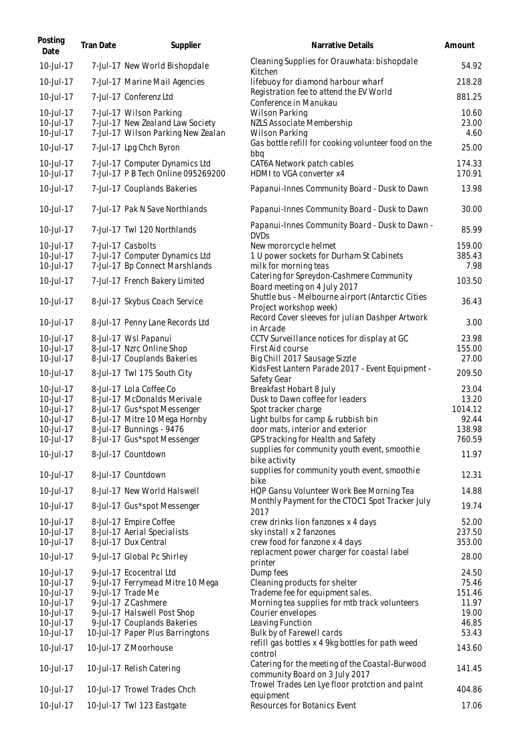| Posting<br>Date                     | Tran Date | Supplier                                                                                          | Narrative Details                                                                                             | Amount                 |
|-------------------------------------|-----------|---------------------------------------------------------------------------------------------------|---------------------------------------------------------------------------------------------------------------|------------------------|
| 10-Jul-17                           |           | 7-Jul-17 New World Bishopdale                                                                     | Cleaning Supplies for Orauwhata: bishopdale<br>Kitchen                                                        | 54.92                  |
| 10-Jul-17                           |           | 7-Jul-17 Marine Mail Agencies                                                                     | lifebuoy for diamond harbour wharf                                                                            | 218.28                 |
| 10-Jul-17                           |           | 7-Jul-17 Conferenz Ltd                                                                            | Registration fee to attend the EV World<br>Conference in Manukau                                              | 881.25                 |
| 10-Jul-17<br>10-Jul-17<br>10-Jul-17 |           | 7-Jul-17 Wilson Parking<br>7-Jul-17 New Zealand Law Society<br>7-Jul-17 Wilson Parking New Zealan | <b>Wilson Parking</b><br>NZLS Associate Membership<br><b>Wilson Parking</b>                                   | 10.60<br>23.00<br>4.60 |
| 10-Jul-17                           |           | 7-Jul-17 Lpg Chch Byron                                                                           | Gas bottle refill for cooking volunteer food on the<br>bbq                                                    | 25.00                  |
| 10-Jul-17<br>10-Jul-17              |           | 7-Jul-17 Computer Dynamics Ltd<br>7-Jul-17 P B Tech Online 095269200                              | CAT6A Network patch cables<br>HDMI to VGA converter x4                                                        | 174.33<br>170.91       |
| 10-Jul-17                           |           | 7-Jul-17 Couplands Bakeries                                                                       | Papanui-Innes Community Board - Dusk to Dawn                                                                  | 13.98                  |
| 10-Jul-17                           |           | 7-Jul-17 Pak N Save Northlands                                                                    | Papanui-Innes Community Board - Dusk to Dawn                                                                  | 30.00                  |
| 10-Jul-17                           |           | 7-Jul-17 Twl 120 Northlands                                                                       | Papanui-Innes Community Board - Dusk to Dawn -<br><b>DVDs</b>                                                 | 85.99                  |
| 10-Jul-17                           |           | 7-Jul-17 Casbolts                                                                                 | New mororcycle helmet                                                                                         | 159.00                 |
| 10-Jul-17                           |           | 7-Jul-17 Computer Dynamics Ltd                                                                    | 1 U power sockets for Durham St Cabinets                                                                      | 385.43                 |
| 10-Jul-17                           |           | 7-Jul-17 Bp Connect Marshlands                                                                    | milk for morning teas                                                                                         | 7.98                   |
| 10-Jul-17                           |           | 7-Jul-17 French Bakery Limited                                                                    | Catering for Spreydon-Cashmere Community<br>Board meeting on 4 July 2017                                      | 103.50                 |
| 10-Jul-17                           |           | 8-Jul-17 Skybus Coach Service                                                                     | Shuttle bus - Melbourne airport (Antarctic Cities<br>Project workshop week)                                   | 36.43                  |
| 10-Jul-17                           |           | 8-Jul-17 Penny Lane Records Ltd                                                                   | Record Cover sleeves for julian Dashper Artwork<br>in Arcade                                                  | 3.00                   |
| 10-Jul-17                           |           | 8-Jul-17 Wsl Papanui                                                                              | CCTV Surveillance notices for display at GC                                                                   | 23.98                  |
| 10-Jul-17                           |           | 8-Jul-17 Nzrc Online Shop                                                                         | First Aid course                                                                                              | 155.00                 |
| 10-Jul-17                           |           | 8-Jul-17 Couplands Bakeries                                                                       | Big Chill 2017 Sausage Sizzle                                                                                 | 27.00                  |
| 10-Jul-17                           |           | 8-Jul-17 Twl 175 South City                                                                       | KidsFest Lantern Parade 2017 - Event Equipment -<br>Safety Gear                                               | 209.50                 |
| 10-Jul-17                           |           | 8-Jul-17 Lola Coffee Co                                                                           | Breakfast Hobart 8 July                                                                                       | 23.04                  |
| 10-Jul-17                           |           | 8-Jul-17 McDonalds Merivale                                                                       | Dusk to Dawn coffee for leaders                                                                               | 13.20                  |
| 10-Jul-17                           |           | 8-Jul-17 Gus*spot Messenger                                                                       | Spot tracker charge                                                                                           | 1014.12                |
| 10-Jul-17                           |           | 8-Jul-17 Mitre 10 Mega Hornby                                                                     | Light bulbs for camp & rubbish bin                                                                            | 92.44                  |
| 10-Jul-17                           |           | 8-Jul-17 Bunnings - 9476                                                                          | door mats, interior and exterior                                                                              | 138.98                 |
| 10-Jul-17                           |           | 8-Jul-17 Gus*spot Messenger                                                                       | GPS tracking for Health and Safety                                                                            | 760.59                 |
| 10-Jul-17                           |           | 8-Jul-17 Countdown                                                                                | supplies for community youth event, smoothie<br>bike activity<br>supplies for community youth event, smoothie | 11.97                  |
| 10-Jul-17                           |           | 8-Jul-17 Countdown                                                                                | bike                                                                                                          | 12.31                  |
| 10-Jul-17                           |           | 8-Jul-17 New World Halswell                                                                       | HQP Gansu Volunteer Work Bee Morning Tea<br>Monthly Payment for the CTOC1 Spot Tracker July                   | 14.88                  |
| 10-Jul-17                           |           | 8-Jul-17 Gus*spot Messenger                                                                       | 2017                                                                                                          | 19.74                  |
| $10 -$ Jul $-17$                    |           | 8-Jul-17 Empire Coffee                                                                            | crew drinks lion fanzones x 4 days                                                                            | 52.00                  |
| 10-Jul-17                           |           | 8-Jul-17 Aerial Specialists                                                                       | sky install x 2 fanzones                                                                                      | 237.50                 |
| 10-Jul-17<br>10-Jul-17              |           | 8-Jul-17 Dux Central<br>9-Jul-17 Global Pc Shirley                                                | crew food for fanzone x 4 days<br>replacment power charger for coastal label                                  | 353.00<br>28.00        |
| 10-Jul-17                           |           | 9-Jul-17 Ecocentral Ltd                                                                           | printer<br>Dump fees                                                                                          | 24.50                  |
| 10-Jul-17                           |           | 9-Jul-17 Ferrymead Mitre 10 Mega                                                                  | Cleaning products for shelter                                                                                 | 75.46                  |
| 10-Jul-17                           |           | 9-Jul-17 Trade Me                                                                                 | Trademe fee for equipment sales.                                                                              | 151.46                 |
| 10-Jul-17                           |           | 9-Jul-17 Z Cashmere                                                                               | Morning tea supplies for mtb track volunteers                                                                 | 11.97                  |
| 10-Jul-17                           |           | 9-Jul-17 Halswell Post Shop                                                                       | Courier envelopes                                                                                             | 19.00                  |
| 10-Jul-17                           |           | 9-Jul-17 Couplands Bakeries                                                                       | Leaving Function                                                                                              | 46.85                  |
| 10-Jul-17                           |           | 10-Jul-17 Paper Plus Barringtons                                                                  | Bulk by of Farewell cards                                                                                     | 53.43                  |
| 10-Jul-17                           |           | 10-Jul-17 Z Moorhouse                                                                             | refill gas bottles x 4 9kg bottles for path weed<br>control                                                   | 143.60                 |
| 10-Jul-17                           |           | 10-Jul-17 Relish Catering                                                                         | Catering for the meeting of the Coastal-Burwood<br>community Board on 3 July 2017                             | 141.45                 |
| 10-Jul-17                           |           | 10-Jul-17 Trowel Trades Chch                                                                      | Trowel Trades Len Lye floor protction and paint<br>equipment                                                  | 404.86                 |
| 10-Jul-17                           |           | 10-Jul-17 Twl 123 Eastgate                                                                        | Resources for Botanics Event                                                                                  | 17.06                  |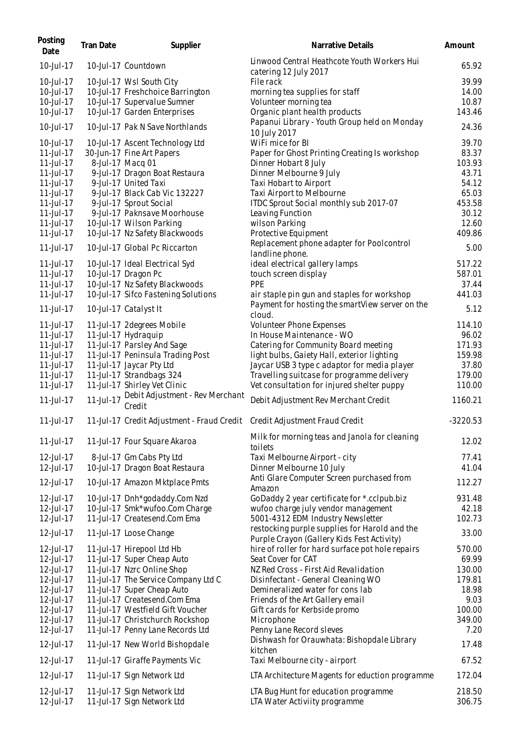| Posting<br>Date           | Tran Date | Supplier                                                                  | Narrative Details                                                                              | Amount         |
|---------------------------|-----------|---------------------------------------------------------------------------|------------------------------------------------------------------------------------------------|----------------|
| 10-Jul-17                 |           | 10-Jul-17 Countdown                                                       | Linwood Central Heathcote Youth Workers Hui<br>catering 12 July 2017                           | 65.92          |
| $10 -$ Jul $-17$          |           | 10-Jul-17 Wsl South City                                                  | <b>File rack</b>                                                                               | 39.99          |
| 10-Jul-17                 |           | 10-Jul-17 Freshchoice Barrington                                          | morning tea supplies for staff                                                                 | 14.00          |
| 10-Jul-17                 |           | 10-Jul-17 Supervalue Sumner                                               | Volunteer morning tea                                                                          | 10.87          |
| 10-Jul-17                 |           | 10-Jul-17 Garden Enterprises                                              | Organic plant health products                                                                  | 143.46         |
| 10-Jul-17                 |           | 10-Jul-17 Pak N Save Northlands                                           | Papanui Library - Youth Group held on Monday<br>10 July 2017                                   | 24.36          |
| 10-Jul-17                 |           | 10-Jul-17 Ascent Technology Ltd                                           | WiFi mice for BI                                                                               | 39.70          |
| $11 -$ Jul $-17$          |           | 30-Jun-17 Fine Art Papers                                                 | Paper for Ghost Printing Creating Is workshop                                                  | 83.37          |
| 11-Jul-17                 |           | 8-Jul-17 Macq 01                                                          | Dinner Hobart 8 July                                                                           | 103.93         |
| $11$ -Jul-17              |           | 9-Jul-17 Dragon Boat Restaura                                             | Dinner Melbourne 9 July                                                                        | 43.71          |
| $11 -$ Jul $-17$          |           | 9-Jul-17 United Taxi                                                      | Taxi Hobart to Airport                                                                         | 54.12          |
| $11 -$ Jul $-17$          |           | 9-Jul-17 Black Cab Vic 132227                                             | Taxi Airport to Melbourne                                                                      | 65.03          |
| $11$ -Jul-17              |           | 9-Jul-17 Sprout Social                                                    | ITDC Sprout Social monthly sub 2017-07                                                         | 453.58         |
| 11-Jul-17                 |           | 9-Jul-17 Paknsave Moorhouse                                               | Leaving Function                                                                               | 30.12          |
| $11$ -Jul-17              |           | 10-Jul-17 Wilson Parking                                                  | wilson Parking                                                                                 | 12.60          |
| 11-Jul-17                 |           | 10-Jul-17 Nz Safety Blackwoods                                            | Protective Equipment                                                                           | 409.86         |
|                           |           |                                                                           | Replacement phone adapter for Poolcontrol                                                      |                |
| $11 -$ Jul $-17$          |           | 10-Jul-17 Global Pc Riccarton                                             | landline phone.                                                                                | 5.00           |
| $11$ -Jul-17              |           | 10-Jul-17 Ideal Electrical Syd                                            | ideal electrical gallery lamps                                                                 | 517.22         |
| $11 -$ Jul $-17$          |           | 10-Jul-17 Dragon Pc                                                       | touch screen display                                                                           | 587.01         |
| 11-Jul-17                 |           | 10-Jul-17 Nz Safety Blackwoods                                            | PPE                                                                                            | 37.44          |
| 11-Jul-17<br>$11$ -Jul-17 |           | 10-Jul-17 Sifco Fastening Solutions<br>10-Jul-17 Catalyst It              | air staple pin gun and staples for workshop<br>Payment for hosting the smartView server on the | 441.03<br>5.12 |
|                           |           |                                                                           | cloud.                                                                                         |                |
| $11 -$ Jul $-17$          |           | 11-Jul-17 2degrees Mobile                                                 | Volunteer Phone Expenses                                                                       | 114.10         |
| 11-Jul-17                 |           | 11-Jul-17 Hydraquip                                                       | In House Maintenance - WO                                                                      | 96.02          |
| 11-Jul-17                 |           | 11-Jul-17 Parsley And Sage                                                | Catering for Community Board meeting                                                           | 171.93         |
| 11-Jul-17                 |           | 11-Jul-17 Peninsula Trading Post                                          | light bulbs, Gaiety Hall, exterior lighting                                                    | 159.98         |
| 11-Jul-17                 |           | 11-Jul-17 Jaycar Pty Ltd                                                  | Jaycar USB 3 type c adaptor for media player                                                   | 37.80          |
| 11-Jul-17                 |           | 11-Jul-17 Strandbags 324                                                  | Travelling suitcase for programme delivery                                                     | 179.00         |
| 11-Jul-17                 |           | 11-Jul-17 Shirley Vet Clinic                                              | Vet consultation for injured shelter puppy                                                     | 110.00         |
| $11$ -Jul-17              | 11-Jul-17 | Debit Adjustment - Rev Merchant<br>Credit                                 | Debit Adjustment Rev Merchant Credit                                                           | 1160.21        |
| $11$ -Jul-17              |           | 11-Jul-17 Credit Adjustment - Fraud Credit Credit Adjustment Fraud Credit |                                                                                                | $-3220.53$     |
| $11$ -Jul-17              |           | 11-Jul-17 Four Square Akaroa                                              | Milk for morning teas and Janola for cleaning<br>toilets                                       | 12.02          |
| 12-Jul-17                 |           | 8-Jul-17 Gm Cabs Pty Ltd                                                  | Taxi Melbourne Airport - city                                                                  | 77.41          |
| 12-Jul-17                 |           | 10-Jul-17 Dragon Boat Restaura                                            | Dinner Melbourne 10 July                                                                       | 41.04          |
|                           |           |                                                                           | Anti Glare Computer Screen purchased from                                                      |                |
| 12-Jul-17                 |           | 10-Jul-17 Amazon Mktplace Pmts                                            | Amazon                                                                                         | 112.27         |
| 12-Jul-17                 |           | 10-Jul-17 Dnh*godaddy.Com Nzd                                             | GoDaddy 2 year certificate for *.cclpub.biz                                                    | 931.48         |
| 12-Jul-17                 |           | 10-Jul-17 Smk*wufoo.Com Charge                                            | wufoo charge july vendor management                                                            | 42.18          |
| 12-Jul-17                 |           | 11-Jul-17 Createsend.Com Ema                                              | 5001-4312 EDM Industry Newsletter                                                              | 102.73         |
|                           |           |                                                                           | restocking purple supplies for Harold and the                                                  |                |
| 12-Jul-17                 |           | 11-Jul-17 Loose Change                                                    | Purple Crayon (Gallery Kids Fest Activity)                                                     | 33.00          |
| 12-Jul-17                 |           | 11-Jul-17 Hirepool Ltd Hb                                                 | hire of roller for hard surface pot hole repairs                                               | 570.00         |
| 12-Jul-17                 |           | 11-Jul-17 Super Cheap Auto                                                | Seat Cover for CAT                                                                             | 69.99          |
| 12-Jul-17                 |           | 11-Jul-17 Nzrc Online Shop                                                | NZ Red Cross - First Aid Revalidation                                                          | 130.00         |
| 12-Jul-17                 |           | 11-Jul-17 The Service Company Ltd C                                       | Disinfectant - General Cleaning WO                                                             | 179.81         |
| 12-Jul-17                 |           | 11-Jul-17 Super Cheap Auto                                                | Demineralized water for cons lab                                                               | 18.98          |
| 12-Jul-17                 |           | 11-Jul-17 Createsend.Com Ema                                              | Friends of the Art Gallery email                                                               | 9.03           |
| 12-Jul-17                 |           | 11-Jul-17 Westfield Gift Voucher                                          | Gift cards for Kerbside promo                                                                  | 100.00         |
| 12-Jul-17                 |           | 11-Jul-17 Christchurch Rockshop                                           | Microphone                                                                                     | 349.00         |
| 12-Jul-17                 |           | 11-Jul-17 Penny Lane Records Ltd                                          | Penny Lane Record sleves                                                                       | 7.20           |
| 12-Jul-17                 |           | 11-Jul-17 New World Bishopdale                                            | Dishwash for Orauwhata: Bishopdale Library<br>kitchen                                          | 17.48          |
| 12-Jul-17                 |           | 11-Jul-17 Giraffe Payments Vic                                            | Taxi Melbourne city - airport                                                                  | 67.52          |
| 12-Jul-17                 |           | 11-Jul-17 Sign Network Ltd                                                | LTA Architecture Magents for eduction programme                                                | 172.04         |
| 12-Jul-17                 |           | 11-Jul-17 Sign Network Ltd                                                | LTA Bug Hunt for education programme                                                           | 218.50         |
| 12-Jul-17                 |           | 11-Jul-17 Sign Network Ltd                                                | LTA Water Activiity programme                                                                  | 306.75         |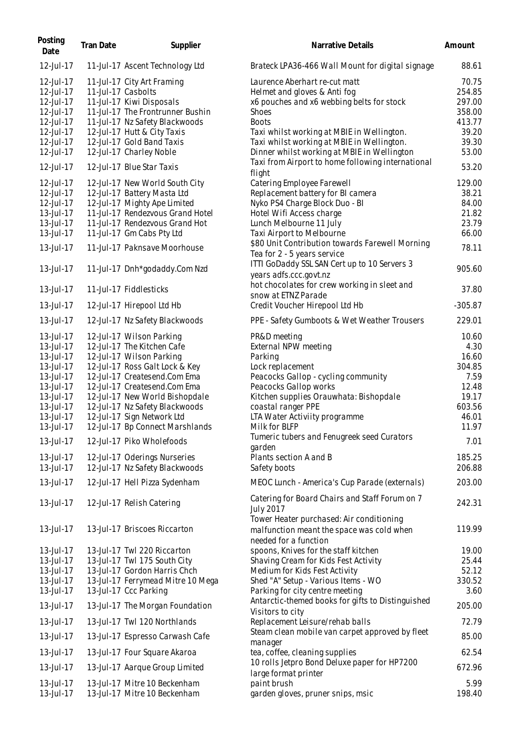| Posting<br>Date                     | Tran Date          | Supplier                                                                                       | Narrative Details                                                                                                      | Amount                     |
|-------------------------------------|--------------------|------------------------------------------------------------------------------------------------|------------------------------------------------------------------------------------------------------------------------|----------------------------|
| 12-Jul-17                           |                    | 11-Jul-17 Ascent Technology Ltd                                                                | Brateck LPA36-466 Wall Mount for digital signage                                                                       | 88.61                      |
| 12-Jul-17<br>12-Jul-17              | 11-Jul-17 Casbolts | 11-Jul-17 City Art Framing                                                                     | Laurence Aberhart re-cut matt<br>Helmet and gloves & Anti fog                                                          | 70.75<br>254.85            |
| 12-Jul-17<br>12-Jul-17<br>12-Jul-17 |                    | 11-Jul-17 Kiwi Disposals<br>11-Jul-17 The Frontrunner Bushin<br>11-Jul-17 Nz Safety Blackwoods | x6 pouches and x6 webbing belts for stock<br><b>Shoes</b><br><b>Boots</b>                                              | 297.00<br>358.00<br>413.77 |
| 12-Jul-17<br>12-Jul-17              |                    | 12-Jul-17 Hutt & City Taxis<br>12-Jul-17 Gold Band Taxis                                       | Taxi whilst working at MBIE in Wellington.<br>Taxi whilst working at MBIE in Wellington.                               | 39.20<br>39.30             |
| 12-Jul-17<br>12-Jul-17              |                    | 12-Jul-17 Charley Noble<br>12-Jul-17 Blue Star Taxis                                           | Dinner whilst working at MBIE in Wellington<br>Taxi from Airport to home following international                       | 53.00<br>53.20             |
| 12-Jul-17                           |                    | 12-Jul-17 New World South City                                                                 | flight<br>Catering Employee Farewell                                                                                   | 129.00                     |
| 12-Jul-17                           |                    | 12-Jul-17 Battery Masta Ltd                                                                    | Replacement battery for BI camera                                                                                      | 38.21                      |
| 12-Jul-17                           |                    | 12-Jul-17 Mighty Ape Limited                                                                   | Nyko PS4 Charge Block Duo - Bl                                                                                         | 84.00                      |
| 13-Jul-17                           |                    | 11-Jul-17 Rendezvous Grand Hotel                                                               | Hotel Wifi Access charge                                                                                               | 21.82                      |
| 13-Jul-17                           |                    | 11-Jul-17 Rendezvous Grand Hot                                                                 | Lunch Melbourne 11 July                                                                                                | 23.79                      |
| 13-Jul-17                           |                    | 11-Jul-17 Gm Cabs Pty Ltd                                                                      | Taxi Airport to Melbourne                                                                                              | 66.00                      |
| 13-Jul-17                           |                    | 11-Jul-17 Paknsave Moorhouse                                                                   | \$80 Unit Contribution towards Farewell Morning<br>Tea for 2 - 5 years service                                         | 78.11                      |
| 13-Jul-17                           |                    | 11-Jul-17 Dnh*godaddy.Com Nzd                                                                  | ITTI GoDaddy SSL SAN Cert up to 10 Servers 3<br>years adfs.ccc.govt.nz<br>hot chocolates for crew working in sleet and | 905.60                     |
| 13-Jul-17                           |                    | 11-Jul-17 Fiddlesticks                                                                         | snow at ETNZ Parade                                                                                                    | 37.80                      |
| 13-Jul-17                           |                    | 12-Jul-17 Hirepool Ltd Hb                                                                      | Credit Voucher Hirepool Ltd Hb                                                                                         | $-305.87$                  |
| 13-Jul-17                           |                    | 12-Jul-17 Nz Safety Blackwoods                                                                 | PPE - Safety Gumboots & Wet Weather Trousers                                                                           | 229.01                     |
| 13-Jul-17                           |                    | 12-Jul-17 Wilson Parking                                                                       | PR&D meeting                                                                                                           | 10.60                      |
| 13-Jul-17                           |                    | 12-Jul-17 The Kitchen Cafe                                                                     | External NPW meeting                                                                                                   | 4.30                       |
| 13-Jul-17                           |                    | 12-Jul-17 Wilson Parking                                                                       | Parking                                                                                                                | 16.60                      |
| 13-Jul-17                           |                    | 12-Jul-17 Ross Galt Lock & Key                                                                 | Lock replacement                                                                                                       | 304.85                     |
| 13-Jul-17                           |                    | 12-Jul-17 Createsend.Com Ema                                                                   | Peacocks Gallop - cycling community                                                                                    | 7.59                       |
| 13-Jul-17                           |                    | 12-Jul-17 Createsend.Com Ema                                                                   | Peacocks Gallop works                                                                                                  | 12.48                      |
| 13-Jul-17                           |                    | 12-Jul-17 New World Bishopdale                                                                 | Kitchen supplies Orauwhata: Bishopdale                                                                                 | 19.17                      |
| 13-Jul-17<br>13-Jul-17              |                    | 12-Jul-17 Nz Safety Blackwoods                                                                 | coastal ranger PPE                                                                                                     | 603.56                     |
|                                     |                    | 12-Jul-17 Sign Network Ltd                                                                     | LTA Water Activiity programme                                                                                          | 46.01                      |
| 13-Jul-17<br>13-Jul-17              |                    | 12-Jul-17 Bp Connect Marshlands<br>12-Jul-17 Piko Wholefoods                                   | Milk for BLFP<br>Tumeric tubers and Fenugreek seed Curators                                                            | 11.97<br>7.01              |
| 13-Jul-17                           |                    |                                                                                                | garden                                                                                                                 |                            |
| 13-Jul-17                           |                    | 12-Jul-17 Oderings Nurseries<br>12-Jul-17 Nz Safety Blackwoods                                 | Plants section A and B<br>Safety boots                                                                                 | 185.25<br>206.88           |
| 13-Jul-17                           |                    | 12-Jul-17 Hell Pizza Sydenham                                                                  | MEOC Lunch - America's Cup Parade (externals)                                                                          | 203.00                     |
| 13-Jul-17                           |                    | 12-Jul-17 Relish Catering                                                                      | Catering for Board Chairs and Staff Forum on 7<br><b>July 2017</b>                                                     | 242.31                     |
| 13-Jul-17                           |                    | 13-Jul-17 Briscoes Riccarton                                                                   | Tower Heater purchased: Air conditioning<br>malfunction meant the space was cold when                                  | 119.99                     |
| 13-Jul-17                           |                    | 13-Jul-17 Twl 220 Riccarton                                                                    | needed for a function<br>spoons, Knives for the staff kitchen                                                          | 19.00                      |
| 13-Jul-17                           |                    | 13-Jul-17 Twl 175 South City                                                                   | Shaving Cream for Kids Fest Activity                                                                                   | 25.44                      |
| 13-Jul-17                           |                    | 13-Jul-17 Gordon Harris Chch                                                                   | Medium for Kids Fest Activity                                                                                          | 52.12                      |
| 13-Jul-17                           |                    | 13-Jul-17 Ferrymead Mitre 10 Mega                                                              | Shed "A" Setup - Various Items - WO                                                                                    | 330.52                     |
| 13-Jul-17                           |                    | 13-Jul-17 Ccc Parking                                                                          | Parking for city centre meeting                                                                                        | 3.60                       |
| 13-Jul-17                           |                    | 13-Jul-17 The Morgan Foundation                                                                | Antarctic-themed books for gifts to Distinguished<br>Visitors to city                                                  | 205.00                     |
| 13-Jul-17                           |                    | 13-Jul-17 Twl 120 Northlands                                                                   | Replacement Leisure/rehab balls                                                                                        | 72.79                      |
| 13-Jul-17                           |                    | 13-Jul-17 Espresso Carwash Cafe                                                                | Steam clean mobile van carpet approved by fleet<br>manager                                                             | 85.00                      |
| 13-Jul-17                           |                    | 13-Jul-17 Four Square Akaroa                                                                   | tea, coffee, cleaning supplies                                                                                         | 62.54                      |
| 13-Jul-17                           |                    | 13-Jul-17 Aarque Group Limited                                                                 | 10 rolls Jetpro Bond Deluxe paper for HP7200<br>large format printer                                                   | 672.96                     |
| 13-Jul-17<br>13-Jul-17              |                    | 13-Jul-17 Mitre 10 Beckenham<br>13-Jul-17 Mitre 10 Beckenham                                   | paint brush<br>garden gloves, pruner snips, msic                                                                       | 5.99<br>198.40             |
|                                     |                    |                                                                                                |                                                                                                                        |                            |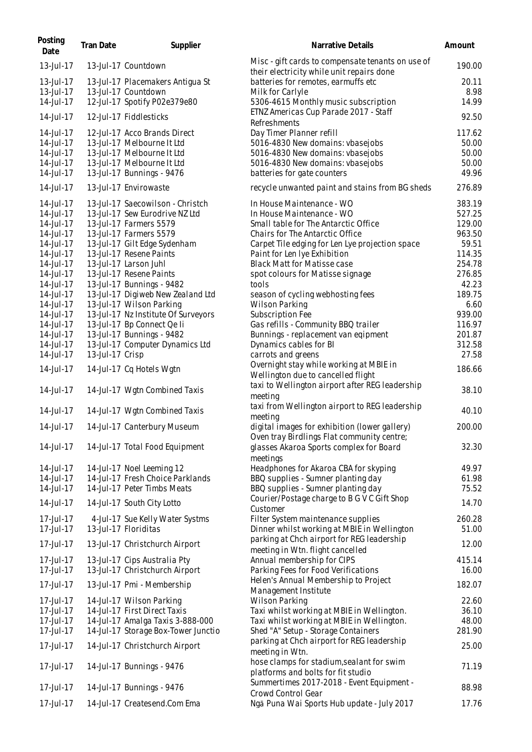| Posting<br>Date        | Tran Date       | Supplier                                                       | Narrative Details                                                                                  | Amount          |
|------------------------|-----------------|----------------------------------------------------------------|----------------------------------------------------------------------------------------------------|-----------------|
| 13-Jul-17              |                 | 13-Jul-17 Countdown                                            | Misc - gift cards to compensate tenants on use of<br>their electricity while unit repairs done     | 190.00          |
| 13-Jul-17              |                 | 13-Jul-17 Placemakers Antigua St                               | batteries for remotes, earmuffs etc                                                                | 20.11           |
| 13-Jul-17              |                 | 13-Jul-17 Countdown                                            | Milk for Carlyle                                                                                   | 8.98            |
| 14-Jul-17              |                 | 12-Jul-17 Spotify P02e379e80                                   | 5306-4615 Monthly music subscription                                                               | 14.99           |
| 14-Jul-17              |                 | 12-Jul-17 Fiddlesticks                                         | ETNZ Americas Cup Parade 2017 - Staff<br>Refreshments                                              | 92.50           |
| 14-Jul-17              |                 | 12-Jul-17 Acco Brands Direct                                   | Day Timer Planner refill                                                                           | 117.62          |
| 14-Jul-17              |                 | 13-Jul-17 Melbourne It Ltd                                     | 5016-4830 New domains: vbasejobs                                                                   | 50.00           |
| 14-Jul-17              |                 | 13-Jul-17 Melbourne It Ltd                                     | 5016-4830 New domains: vbasejobs                                                                   | 50.00           |
| 14-Jul-17              |                 | 13-Jul-17 Melbourne It Ltd                                     | 5016-4830 New domains: vbasejobs                                                                   | 50.00           |
| 14-Jul-17<br>14-Jul-17 |                 | 13-Jul-17 Bunnings - 9476<br>13-Jul-17 Envirowaste             | batteries for gate counters<br>recycle unwanted paint and stains from BG sheds                     | 49.96<br>276.89 |
| 14-Jul-17              |                 | 13-Jul-17 Saecowilson - Christch                               | In House Maintenance - WO                                                                          | 383.19          |
| 14-Jul-17              |                 | 13-Jul-17 Sew Eurodrive NZ Ltd                                 | In House Maintenance - WO                                                                          | 527.25          |
| 14-Jul-17              |                 | 13-Jul-17 Farmers 5579                                         | Small table for The Antarctic Office                                                               | 129.00          |
| 14-Jul-17              |                 | 13-Jul-17 Farmers 5579                                         | <b>Chairs for The Antarctic Office</b>                                                             | 963.50          |
| 14-Jul-17              |                 | 13-Jul-17 Gilt Edge Sydenham                                   | Carpet Tile edging for Len Lye projection space                                                    | 59.51           |
| 14-Jul-17              |                 | 13-Jul-17 Resene Paints                                        | Paint for Len Iye Exhibition                                                                       | 114.35          |
| 14-Jul-17              |                 | 13-Jul-17 Larson Juhl                                          | <b>Black Matt for Matisse case</b>                                                                 | 254.78          |
| 14-Jul-17              |                 | 13-Jul-17 Resene Paints                                        | spot colours for Matisse signage                                                                   | 276.85          |
| 14-Jul-17<br>14-Jul-17 |                 | 13-Jul-17 Bunnings - 9482<br>13-Jul-17 Digiweb New Zealand Ltd | tools<br>season of cycling webhosting fees                                                         | 42.23<br>189.75 |
| 14-Jul-17              |                 | 13-Jul-17 Wilson Parking                                       | <b>Wilson Parking</b>                                                                              | 6.60            |
| 14-Jul-17              |                 | 13-Jul-17 Nz Institute Of Surveyors                            | Subscription Fee                                                                                   | 939.00          |
| 14-Jul-17              |                 | 13-Jul-17 Bp Connect Qe li                                     | Gas refills - Community BBQ trailer                                                                | 116.97          |
| 14-Jul-17              |                 | 13-Jul-17 Bunnings - 9482                                      | Bunnings - replacement van eqipment                                                                | 201.87          |
| 14-Jul-17              |                 | 13-Jul-17 Computer Dynamics Ltd                                | Dynamics cables for BI                                                                             | 312.58          |
| 14-Jul-17              | 13-Jul-17 Crisp |                                                                | carrots and greens                                                                                 | 27.58           |
| 14-Jul-17              |                 | 14-Jul-17 Cq Hotels Wgtn                                       | Overnight stay while working at MBIE in<br>Wellington due to cancelled flight                      | 186.66          |
| 14-Jul-17              |                 | 14-Jul-17 Wgtn Combined Taxis                                  | taxi to Wellington airport after REG leadership                                                    | 38.10           |
|                        |                 |                                                                | meeting                                                                                            |                 |
| 14-Jul-17              |                 | 14-Jul-17 Wgtn Combined Taxis                                  | taxi from Wellington airport to REG leadership<br>meeting                                          | 40.10           |
| 14-Jul-17              |                 | 14-Jul-17 Canterbury Museum                                    | digital images for exhibition (lower gallery)                                                      | 200.00          |
|                        |                 |                                                                | Oven tray Birdlings Flat community centre;                                                         |                 |
| 14-Jul-17              |                 | 14-Jul-17 Total Food Equipment                                 | glasses Akaroa Sports complex for Board<br>meetings                                                | 32.30           |
| 14-Jul-17              |                 | 14-Jul-17 Noel Leeming 12                                      | Headphones for Akaroa CBA for skyping                                                              | 49.97           |
| 14-Jul-17              |                 | 14-Jul-17 Fresh Choice Parklands                               | BBQ supplies - Sumner planting day                                                                 | 61.98           |
| 14-Jul-17              |                 | 14-Jul-17 Peter Timbs Meats                                    | BBQ supplies - Sumner planting day                                                                 | 75.52           |
| 14-Jul-17              |                 | 14-Jul-17 South City Lotto                                     | Courier/Postage charge to B G V C Gift Shop<br>Customer                                            | 14.70           |
| 17-Jul-17              |                 | 4-Jul-17 Sue Kelly Water Systms                                | Filter System maintenance supplies                                                                 | 260.28          |
| 17-Jul-17              |                 | 13-Jul-17 Floriditas                                           | Dinner whilst working at MBIE in Wellington                                                        | 51.00           |
| 17-Jul-17              |                 | 13-Jul-17 Christchurch Airport                                 | parking at Chch airport for REG leadership<br>meeting in Wtn. flight cancelled                     | 12.00           |
| $17 -$ Jul $-17$       |                 | 13-Jul-17 Cips Australia Pty                                   | Annual membership for CIPS                                                                         | 415.14          |
| 17-Jul-17              |                 | 13-Jul-17 Christchurch Airport                                 | Parking Fees for Food Verifications                                                                | 16.00           |
| 17-Jul-17              |                 | 13-Jul-17 Pmi - Membership                                     | Helen's Annual Membership to Project                                                               | 182.07          |
| 17-Jul-17              |                 |                                                                | Management Institute<br><b>Wilson Parking</b>                                                      | 22.60           |
| 17-Jul-17              |                 | 14-Jul-17 Wilson Parking<br>14-Jul-17 First Direct Taxis       | Taxi whilst working at MBIE in Wellington.                                                         | 36.10           |
| 17-Jul-17              |                 | 14-Jul-17 Amalga Taxis 3-888-000                               | Taxi whilst working at MBIE in Wellington.                                                         | 48.00           |
| 17-Jul-17              |                 | 14-Jul-17 Storage Box-Tower Junctio                            | Shed "A" Setup - Storage Containers                                                                | 281.90          |
| 17-Jul-17              |                 | 14-Jul-17 Christchurch Airport                                 | parking at Chch airport for REG leadership                                                         | 25.00           |
| 17-Jul-17              |                 | 14-Jul-17 Bunnings - 9476                                      | meeting in Wtn.<br>hose clamps for stadium, sealant for swim<br>platforms and bolts for fit studio | 71.19           |
|                        |                 |                                                                | Summertimes 2017-2018 - Event Equipment -                                                          |                 |
| 17-Jul-17              |                 | 14-Jul-17 Bunnings - 9476                                      | <b>Crowd Control Gear</b>                                                                          | 88.98           |
| 17-Jul-17              |                 | 14-Jul-17 Createsend.Com Ema                                   | Ngā Puna Wai Sports Hub update - July 2017                                                         | 17.76           |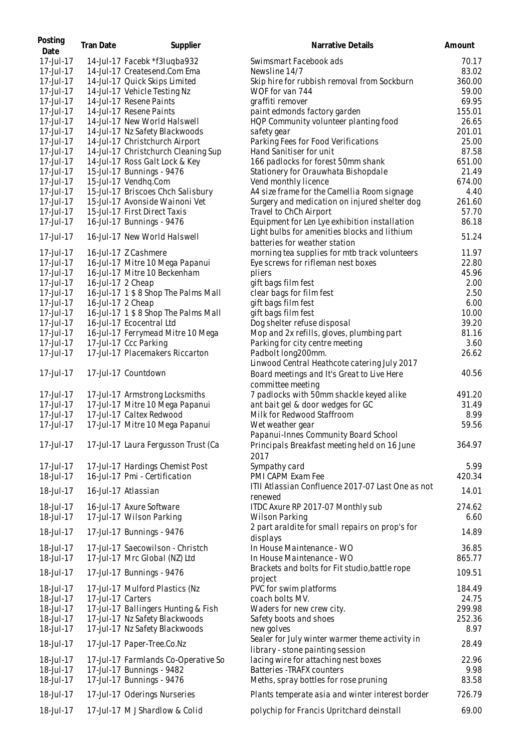| Posting<br>Date        | Tran Date         | Supplier                                                         | Narrative Details                                           | Amount          |
|------------------------|-------------------|------------------------------------------------------------------|-------------------------------------------------------------|-----------------|
| 17-Jul-17              |                   | 14-Jul-17 Facebk *f3luqba932                                     | Swimsmart Facebook ads                                      | 70.17           |
| 17-Jul-17              |                   | 14-Jul-17 Createsend.Com Ema                                     | Newsline 14/7                                               | 83.02           |
| 17-Jul-17              |                   | 14-Jul-17 Quick Skips Limited                                    | Skip hire for rubbish removal from Sockburn                 | 360.00          |
| 17-Jul-17              |                   | 14-Jul-17 Vehicle Testing Nz                                     | WOF for van 744                                             | 59.00           |
| 17-Jul-17              |                   | 14-Jul-17 Resene Paints                                          | graffiti remover                                            | 69.95           |
| 17-Jul-17              |                   | 14-Jul-17 Resene Paints                                          | paint edmonds factory garden                                | 155.01          |
| 17-Jul-17              |                   | 14-Jul-17 New World Halswell                                     | HQP Community volunteer planting food                       | 26.65           |
| 17-Jul-17              |                   | 14-Jul-17 Nz Safety Blackwoods                                   | safety gear                                                 | 201.01          |
| 17-Jul-17              |                   | 14-Jul-17 Christchurch Airport                                   | Parking Fees for Food Verifications                         | 25.00           |
| 17-Jul-17              |                   | 14-Jul-17 Christchurch Cleaning Sup                              | Hand Sanitiser for unit                                     | 87.58           |
| 17-Jul-17              |                   | 14-Jul-17 Ross Galt Lock & Key                                   | 166 padlocks for forest 50mm shank                          | 651.00          |
| 17-Jul-17              |                   | 15-Jul-17 Bunnings - 9476                                        | Stationery for Orauwhata Bishopdale                         | 21.49           |
| 17-Jul-17              |                   | 15-Jul-17 Vendhq.Com                                             | Vend monthly licence                                        | 674.00          |
| 17-Jul-17              |                   | 15-Jul-17 Briscoes Chch Salisbury                                | A4 size frame for the Camellia Room signage                 | 4.40            |
| 17-Jul-17              |                   | 15-Jul-17 Avonside Wainoni Vet                                   | Surgery and medication on injured shelter dog               | 261.60          |
| 17-Jul-17              |                   | 15-Jul-17 First Direct Taxis                                     | Travel to ChCh Airport                                      | 57.70           |
| 17-Jul-17              |                   | 16-Jul-17 Bunnings - 9476                                        | Equipment for Len Lye exhibition installation               | 86.18           |
| 17-Jul-17              |                   | 16-Jul-17 New World Halswell                                     | Light bulbs for amenities blocks and lithium                | 51.24           |
|                        |                   |                                                                  | batteries for weather station                               |                 |
| 17-Jul-17              |                   | 16-Jul-17 Z Cashmere                                             | morning tea supplies for mtb track volunteers               | 11.97           |
| 17-Jul-17              |                   | 16-Jul-17 Mitre 10 Mega Papanui                                  | Eye screws for rifleman nest boxes                          | 22.80           |
| 17-Jul-17              |                   | 16-Jul-17 Mitre 10 Beckenham                                     | pliers                                                      | 45.96           |
| 17-Jul-17              | 16-Jul-17 2 Cheap |                                                                  | gift bags film fest                                         | 2.00            |
| 17-Jul-17              |                   | 16-Jul-17 1 \$ 8 Shop The Palms Mall                             | clear bags for film fest                                    | 2.50            |
| 17-Jul-17              | 16-Jul-17 2 Cheap |                                                                  | gift bags film fest                                         | 6.00            |
| 17-Jul-17              |                   | 16-Jul-17 1 \$ 8 Shop The Palms Mall                             | gift bags film fest                                         | 10.00           |
| 17-Jul-17              |                   | 16-Jul-17 Ecocentral Ltd                                         | Dog shelter refuse disposal                                 | 39.20           |
| 17-Jul-17              |                   | 16-Jul-17 Ferrymead Mitre 10 Mega                                | Mop and 2x refills, gloves, plumbing part                   | 81.16           |
| 17-Jul-17              |                   | 17-Jul-17 Ccc Parking                                            | Parking for city centre meeting                             | 3.60            |
| 17-Jul-17              |                   | 17-Jul-17 Placemakers Riccarton                                  | Padbolt long200mm.                                          | 26.62           |
|                        |                   |                                                                  | Linwood Central Heathcote catering July 2017                |                 |
| 17-Jul-17              |                   | 17-Jul-17 Countdown                                              | Board meetings and It's Great to Live Here                  | 40.56           |
|                        |                   |                                                                  | committee meeting                                           |                 |
| 17-Jul-17              |                   | 17-Jul-17 Armstrong Locksmiths                                   | 7 padlocks with 50mm shackle keyed alike                    | 491.20          |
| 17-Jul-17              |                   | 17-Jul-17 Mitre 10 Mega Papanui                                  | ant bait gel & door wedges for GC                           | 31.49           |
| 17-Jul-17<br>17-Jul-17 |                   | 17-Jul-17 Caltex Redwood                                         | Milk for Redwood Staffroom                                  | 8.99            |
|                        |                   | 17-Jul-17 Mitre 10 Mega Papanui                                  | Wet weather gear                                            | 59.56           |
|                        |                   |                                                                  | Papanui-Innes Community Board School                        | 364.97          |
| 17-Jul-17              |                   | 17-Jul-17 Laura Fergusson Trust (Ca                              | Principals Breakfast meeting held on 16 June<br>2017        |                 |
| 17-Jul-17              |                   | 17-Jul-17 Hardings Chemist Post                                  | Sympathy card                                               | 5.99            |
| 18-Jul-17              |                   | 16-Jul-17 Pmi - Certification                                    | PMI CAPM Exam Fee                                           | 420.34          |
| 18-Jul-17              |                   | 16-Jul-17 Atlassian                                              | ITII Atlassian Confluence 2017-07 Last One as not           | 14.01           |
|                        |                   |                                                                  | renewed                                                     |                 |
| 18-Jul-17              |                   | 16-Jul-17 Axure Software                                         | ITDC Axure RP 2017-07 Monthly sub                           | 274.62          |
| 18-Jul-17              |                   | 17-Jul-17 Wilson Parking                                         | Wilson Parking                                              | 6.60            |
| 18-Jul-17              |                   | 17-Jul-17 Bunnings - 9476                                        | 2 part araldite for small repairs on prop's for<br>displays | 14.89           |
| 18-Jul-17              |                   | 17-Jul-17 Saecowilson - Christch                                 | In House Maintenance - WO                                   | 36.85           |
| 18-Jul-17              |                   | 17-Jul-17 Mrc Global (NZ) Ltd                                    | In House Maintenance - WO                                   | 865.77          |
| 18-Jul-17              |                   | 17-Jul-17 Bunnings - 9476                                        | Brackets and bolts for Fit studio, battle rope              | 109.51          |
|                        |                   |                                                                  | project                                                     |                 |
| 18-Jul-17              |                   | 17-Jul-17 Mulford Plastics (Nz                                   | PVC for swim platforms                                      | 184.49          |
| 18-Jul-17              | 17-Jul-17 Carters |                                                                  | coach bolts MV.                                             | 24.75<br>299.98 |
| 18-Jul-17              |                   | 17-Jul-17 Ballingers Hunting & Fish                              | Waders for new crew city.                                   | 252.36          |
| 18-Jul-17<br>18-Jul-17 |                   | 17-Jul-17 Nz Safety Blackwoods<br>17-Jul-17 Nz Safety Blackwoods | Safety boots and shoes<br>new golves                        | 8.97            |
|                        |                   |                                                                  | Sealer for July winter warmer theme activity in             |                 |
| 18-Jul-17              |                   | 17-Jul-17 Paper-Tree.Co.Nz                                       | library - stone painting session                            | 28.49           |
| 18-Jul-17              |                   | 17-Jul-17 Farmlands Co-Operative So                              | lacing wire for attaching nest boxes                        | 22.96           |
| 18-Jul-17              |                   | 17-Jul-17 Bunnings - 9482                                        | Batteries - TRAFX counters                                  | 9.98            |
| 18-Jul-17              |                   | 17-Jul-17 Bunnings - 9476                                        | Meths, spray bottles for rose pruning                       | 83.58           |
| 18-Jul-17              |                   | 17-Jul-17 Oderings Nurseries                                     | Plants temperate asia and winter interest border            | 726.79          |
| 18-Jul-17              |                   | 17-Jul-17 M J Shardlow & Colid                                   | polychip for Francis Upritchard deinstall                   | 69.00           |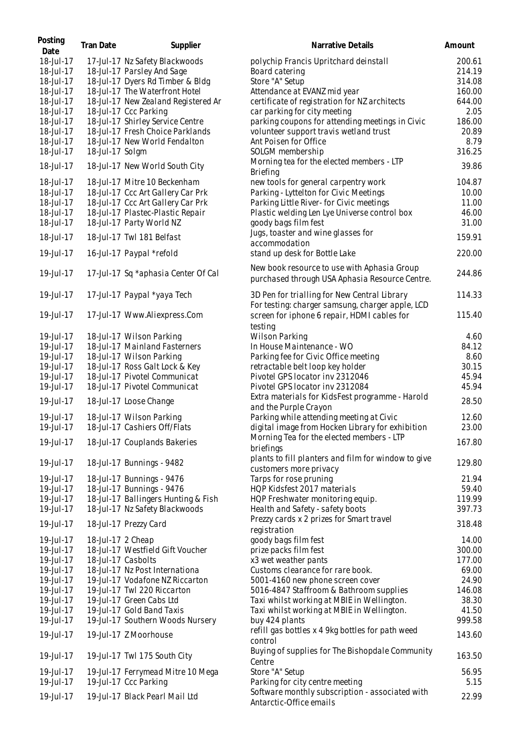| Posting<br>Date | <b>Tran Date</b>   | Supplier                            | Narrative Details                                                                                | Amount |
|-----------------|--------------------|-------------------------------------|--------------------------------------------------------------------------------------------------|--------|
| 18-Jul-17       |                    | 17-Jul-17 Nz Safety Blackwoods      | polychip Francis Upritchard deinstall                                                            | 200.61 |
| 18-Jul-17       |                    | 18-Jul-17 Parsley And Sage          | Board catering                                                                                   | 214.19 |
| 18-Jul-17       |                    | 18-Jul-17 Dyers Rd Timber & Bldg    | Store "A" Setup                                                                                  | 314.08 |
| 18-Jul-17       |                    | 18-Jul-17 The Waterfront Hotel      | Attendance at EVANZ mid year                                                                     | 160.00 |
| 18-Jul-17       |                    | 18-Jul-17 New Zealand Registered Ar | certificate of registration for NZ architects                                                    | 644.00 |
| 18-Jul-17       |                    | 18-Jul-17 Ccc Parking               | car parking for city meeting                                                                     | 2.05   |
| 18-Jul-17       |                    | 18-Jul-17 Shirley Service Centre    | parking coupons for attending meetings in Civic                                                  | 186.00 |
| 18-Jul-17       |                    | 18-Jul-17 Fresh Choice Parklands    | volunteer support travis wetland trust                                                           | 20.89  |
| 18-Jul-17       |                    | 18-Jul-17 New World Fendalton       | Ant Poisen for Office                                                                            | 8.79   |
| 18-Jul-17       | 18-Jul-17 Solgm    |                                     | SOLGM membership                                                                                 | 316.25 |
| 18-Jul-17       |                    | 18-Jul-17 New World South City      | Morning tea for the elected members - LTP<br>Briefing                                            | 39.86  |
| 18-Jul-17       |                    | 18-Jul-17 Mitre 10 Beckenham        | new tools for general carpentry work                                                             | 104.87 |
| 18-Jul-17       |                    | 18-Jul-17 Ccc Art Gallery Car Prk   | Parking - Lyttelton for Civic Meetings                                                           | 10.00  |
| 18-Jul-17       |                    | 18-Jul-17 Ccc Art Gallery Car Prk   | Parking Little River- for Civic meetings                                                         | 11.00  |
| 18-Jul-17       |                    | 18-Jul-17 Plastec-Plastic Repair    | Plastic welding Len Lye Universe control box                                                     | 46.00  |
| 18-Jul-17       |                    | 18-Jul-17 Party World NZ            | goody bags film fest                                                                             | 31.00  |
| 18-Jul-17       |                    | 18-Jul-17 Twl 181 Belfast           | Jugs, toaster and wine glasses for<br>accommodation                                              | 159.91 |
| 19-Jul-17       |                    | 16-Jul-17 Paypal *refold            | stand up desk for Bottle Lake                                                                    | 220.00 |
| 19-Jul-17       |                    | 17-Jul-17 Sq *aphasia Center Of Cal | New book resource to use with Aphasia Group<br>purchased through USA Aphasia Resource Centre.    | 244.86 |
| 19-Jul-17       |                    | 17-Jul-17 Paypal *yaya Tech         | 3D Pen for trialling for New Central Library<br>For testing: charger samsung, charger apple, LCD | 114.33 |
| 19-Jul-17       |                    | 17-Jul-17 Www.Aliexpress.Com        | screen for iphone 6 repair, HDMI cables for<br>testing                                           | 115.40 |
| 19-Jul-17       |                    | 18-Jul-17 Wilson Parking            | <b>Wilson Parking</b>                                                                            | 4.60   |
| 19-Jul-17       |                    | 18-Jul-17 Mainland Fasterners       | In House Maintenance - WO                                                                        | 84.12  |
| 19-Jul-17       |                    | 18-Jul-17 Wilson Parking            | Parking fee for Civic Office meeting                                                             | 8.60   |
| 19-Jul-17       |                    | 18-Jul-17 Ross Galt Lock & Key      | retractable belt loop key holder                                                                 | 30.15  |
| 19-Jul-17       |                    | 18-Jul-17 Pivotel Communicat        | Pivotel GPS locator inv 2312046                                                                  | 45.94  |
| 19-Jul-17       |                    | 18-Jul-17 Pivotel Communicat        | Pivotel GPS locator inv 2312084                                                                  | 45.94  |
| 19-Jul-17       |                    | 18-Jul-17 Loose Change              | Extra materials for KidsFest programme - Harold                                                  | 28.50  |
|                 |                    |                                     | and the Purple Crayon                                                                            |        |
| 19-Jul-17       |                    | 18-Jul-17 Wilson Parking            | Parking while attending meeting at Civic                                                         | 12.60  |
| 19-Jul-17       |                    | 18-Jul-17 Cashiers Off/Flats        | digital image from Hocken Library for exhibition                                                 | 23.00  |
| 19-Jul-17       |                    | 18-Jul-17 Couplands Bakeries        | Morning Tea for the elected members - LTP<br>briefings                                           | 167.80 |
| 19-Jul-17       |                    | 18-Jul-17 Bunnings - 9482           | plants to fill planters and film for window to give<br>customers more privacy                    | 129.80 |
| 19-Jul-17       |                    | 18-Jul-17 Bunnings - 9476           | Tarps for rose pruning                                                                           | 21.94  |
| 19-Jul-17       |                    | 18-Jul-17 Bunnings - 9476           | HQP Kidsfest 2017 materials                                                                      | 59.40  |
| 19-Jul-17       |                    | 18-Jul-17 Ballingers Hunting & Fish | HQP Freshwater monitoring equip.                                                                 | 119.99 |
| 19-Jul-17       |                    | 18-Jul-17 Nz Safety Blackwoods      | Health and Safety - safety boots                                                                 | 397.73 |
| 19-Jul-17       |                    | 18-Jul-17 Prezzy Card               | Prezzy cards x 2 prizes for Smart travel<br>registration                                         | 318.48 |
| 19-Jul-17       | 18-Jul-17 2 Cheap  |                                     | goody bags film fest                                                                             | 14.00  |
| 19-Jul-17       |                    | 18-Jul-17 Westfield Gift Voucher    | prize packs film fest                                                                            | 300.00 |
| 19-Jul-17       | 18-Jul-17 Casbolts |                                     | x3 wet weather pants                                                                             | 177.00 |
| 19-Jul-17       |                    | 18-Jul-17 Nz Post Internationa      | Customs clearance for rare book.                                                                 | 69.00  |
| 19-Jul-17       |                    | 19-Jul-17 Vodafone NZ Riccarton     | 5001-4160 new phone screen cover                                                                 | 24.90  |
| 19-Jul-17       |                    | 19-Jul-17 Twl 220 Riccarton         | 5016-4847 Staffroom & Bathroom supplies                                                          | 146.08 |
| 19-Jul-17       |                    | 19-Jul-17 Green Cabs Ltd            | Taxi whilst working at MBIE in Wellington.                                                       | 38.30  |
| 19-Jul-17       |                    | 19-Jul-17 Gold Band Taxis           | Taxi whilst working at MBIE in Wellington.                                                       | 41.50  |
| 19-Jul-17       |                    | 19-Jul-17 Southern Woods Nursery    | buy 424 plants                                                                                   | 999.58 |
| 19-Jul-17       |                    | 19-Jul-17 Z Moorhouse               | refill gas bottles x 4 9kg bottles for path weed<br>control                                      | 143.60 |
| 19-Jul-17       |                    | 19-Jul-17 Twl 175 South City        | Buying of supplies for The Bishopdale Community<br>Centre                                        | 163.50 |
| 19-Jul-17       |                    | 19-Jul-17 Ferrymead Mitre 10 Mega   | Store "A" Setup                                                                                  | 56.95  |
| 19-Jul-17       |                    | 19-Jul-17 Ccc Parking               | Parking for city centre meeting                                                                  | 5.15   |
| 19-Jul-17       |                    | 19-Jul-17 Black Pearl Mail Ltd      | Software monthly subscription - associated with<br>Antarctic-Office emails                       | 22.99  |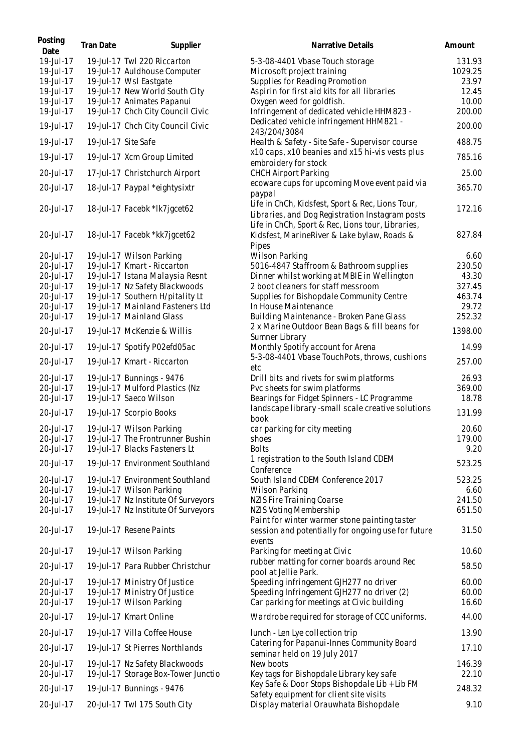| Posting<br>Date | Tran Date           | Supplier                            | Narrative Details                                                                                                                                        | Amount  |
|-----------------|---------------------|-------------------------------------|----------------------------------------------------------------------------------------------------------------------------------------------------------|---------|
| 19-Jul-17       |                     | 19-Jul-17 Twl 220 Riccarton         | 5-3-08-4401 Vbase Touch storage                                                                                                                          | 131.93  |
| 19-Jul-17       |                     | 19-Jul-17 Auldhouse Computer        | Microsoft project training                                                                                                                               | 1029.25 |
| 19-Jul-17       |                     | 19-Jul-17 Wsl Eastgate              | Supplies for Reading Promotion                                                                                                                           | 23.97   |
| 19-Jul-17       |                     | 19-Jul-17 New World South City      | Aspirin for first aid kits for all libraries                                                                                                             | 12.45   |
| 19-Jul-17       |                     | 19-Jul-17 Animates Papanui          | Oxygen weed for goldfish.                                                                                                                                | 10.00   |
| 19-Jul-17       |                     | 19-Jul-17 Chch City Council Civic   | Infringement of dedicated vehicle HHM823 -                                                                                                               | 200.00  |
| 19-Jul-17       |                     | 19-Jul-17 Chch City Council Civic   | Dedicated vehicle infringement HHM821 -<br>243/204/3084                                                                                                  | 200.00  |
| 19-Jul-17       | 19-Jul-17 Site Safe |                                     | Health & Safety - Site Safe - Supervisor course                                                                                                          | 488.75  |
| 19-Jul-17       |                     | 19-Jul-17 Xcm Group Limited         | x10 caps, x10 beanies and x15 hi-vis vests plus<br>embroidery for stock                                                                                  | 785.16  |
| 20-Jul-17       |                     | 17-Jul-17 Christchurch Airport      | <b>CHCH Airport Parking</b>                                                                                                                              | 25.00   |
| 20-Jul-17       |                     | 18-Jul-17 Paypal *eightysixtr       | ecoware cups for upcoming Move event paid via<br>paypal                                                                                                  | 365.70  |
| 20-Jul-17       |                     | 18-Jul-17 Facebk *lk7jgcet62        | Life in ChCh, Kidsfest, Sport & Rec, Lions Tour,<br>Libraries, and Dog Registration Instagram posts<br>Life in ChCh, Sport & Rec, Lions tour, Libraries, | 172.16  |
| 20-Jul-17       |                     | 18-Jul-17 Facebk *kk7jgcet62        | Kidsfest, MarineRiver & Lake bylaw, Roads &<br>Pipes                                                                                                     | 827.84  |
| 20-Jul-17       |                     | 19-Jul-17 Wilson Parking            | <b>Wilson Parking</b>                                                                                                                                    | 6.60    |
| 20-Jul-17       |                     | 19-Jul-17 Kmart - Riccarton         | 5016-4847 Staffroom & Bathroom supplies                                                                                                                  | 230.50  |
| 20-Jul-17       |                     | 19-Jul-17 Istana Malaysia Resnt     | Dinner whilst working at MBIE in Wellington                                                                                                              | 43.30   |
| 20-Jul-17       |                     | 19-Jul-17 Nz Safety Blackwoods      | 2 boot cleaners for staff messroom                                                                                                                       | 327.45  |
| 20-Jul-17       |                     | 19-Jul-17 Southern H/pitality Lt    | Supplies for Bishopdale Community Centre                                                                                                                 | 463.74  |
| 20-Jul-17       |                     | 19-Jul-17 Mainland Fasteners Ltd    | In House Maintenance                                                                                                                                     | 29.72   |
| 20-Jul-17       |                     | 19-Jul-17 Mainland Glass            | Building Maintenance - Broken Pane Glass                                                                                                                 | 252.32  |
| 20-Jul-17       |                     | 19-Jul-17 McKenzie & Willis         | 2 x Marine Outdoor Bean Bags & fill beans for<br>Sumner Library                                                                                          | 1398.00 |
| 20-Jul-17       |                     | 19-Jul-17 Spotify P02efd05ac        | Monthly Spotify account for Arena                                                                                                                        | 14.99   |
| 20-Jul-17       |                     | 19-Jul-17 Kmart - Riccarton         | 5-3-08-4401 Vbase TouchPots, throws, cushions<br>etc                                                                                                     | 257.00  |
| 20-Jul-17       |                     | 19-Jul-17 Bunnings - 9476           | Drill bits and rivets for swim platforms                                                                                                                 | 26.93   |
| 20-Jul-17       |                     | 19-Jul-17 Mulford Plastics (Nz      | Pvc sheets for swim platforms                                                                                                                            | 369.00  |
| 20-Jul-17       |                     | 19-Jul-17 Saeco Wilson              | Bearings for Fidget Spinners - LC Programme                                                                                                              | 18.78   |
| 20-Jul-17       |                     | 19-Jul-17 Scorpio Books             | landscape library -small scale creative solutions                                                                                                        | 131.99  |
|                 |                     |                                     | book                                                                                                                                                     |         |
| 20-Jul-17       |                     | 19-Jul-17 Wilson Parking            | car parking for city meeting                                                                                                                             | 20.60   |
| 20-Jul-17       |                     | 19-Jul-17 The Frontrunner Bushin    | shoes                                                                                                                                                    | 179.00  |
| 20-Jul-17       |                     | 19-Jul-17 Blacks Fasteners Lt       | <b>Bolts</b>                                                                                                                                             | 9.20    |
| 20-Jul-17       |                     | 19-Jul-17 Environment Southland     | 1 registration to the South Island CDEM<br>Conference                                                                                                    | 523.25  |
| 20-Jul-17       |                     | 19-Jul-17 Environment Southland     | South Island CDEM Conference 2017                                                                                                                        | 523.25  |
| 20-Jul-17       |                     | 19-Jul-17 Wilson Parking            | Wilson Parking                                                                                                                                           | 6.60    |
| 20-Jul-17       |                     | 19-Jul-17 Nz Institute Of Surveyors | <b>NZIS Fire Training Coarse</b>                                                                                                                         | 241.50  |
| 20-Jul-17       |                     | 19-Jul-17 Nz Institute Of Surveyors | NZIS Voting Membership                                                                                                                                   | 651.50  |
| 20-Jul-17       |                     | 19-Jul-17 Resene Paints             | Paint for winter warmer stone painting taster<br>session and potentially for ongoing use for future<br>events                                            | 31.50   |
| 20-Jul-17       |                     | 19-Jul-17 Wilson Parking            | Parking for meeting at Civic                                                                                                                             | 10.60   |
| 20-Jul-17       |                     | 19-Jul-17 Para Rubber Christchur    | rubber matting for corner boards around Rec<br>pool at Jellie Park.                                                                                      | 58.50   |
| 20-Jul-17       |                     | 19-Jul-17 Ministry Of Justice       | Speeding infringement GJH277 no driver                                                                                                                   | 60.00   |
| 20-Jul-17       |                     | 19-Jul-17 Ministry Of Justice       | Speeding Infringement GJH277 no driver (2)                                                                                                               | 60.00   |
| 20-Jul-17       |                     | 19-Jul-17 Wilson Parking            | Car parking for meetings at Civic building                                                                                                               | 16.60   |
| 20-Jul-17       |                     | 19-Jul-17 Kmart Online              | Wardrobe required for storage of CCC uniforms.                                                                                                           | 44.00   |
| 20-Jul-17       |                     | 19-Jul-17 Villa Coffee House        | lunch - Len Lye collection trip                                                                                                                          | 13.90   |
| 20-Jul-17       |                     | 19-Jul-17 St Pierres Northlands     | Catering for Papanui-Innes Community Board<br>seminar held on 19 July 2017                                                                               | 17.10   |
| 20-Jul-17       |                     | 19-Jul-17 Nz Safety Blackwoods      | New boots                                                                                                                                                | 146.39  |
| 20-Jul-17       |                     | 19-Jul-17 Storage Box-Tower Junctio | Key tags for Bishopdale Library key safe                                                                                                                 | 22.10   |
| 20-Jul-17       |                     | 19-Jul-17 Bunnings - 9476           | Key Safe & Door Stops Bishopdale Lib + Lib FM                                                                                                            | 248.32  |
|                 |                     |                                     | Safety equipment for client site visits                                                                                                                  |         |
| 20-Jul-17       |                     | 20-Jul-17 Twl 175 South City        | Display material Orauwhata Bishopdale                                                                                                                    | 9.10    |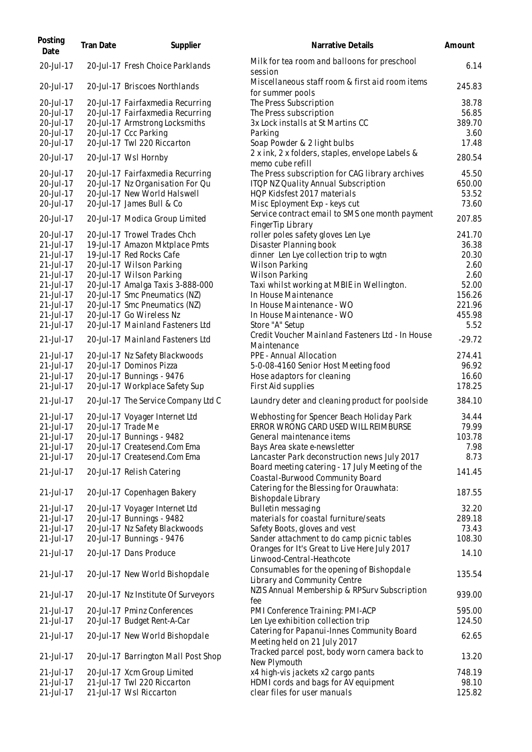| Posting<br>Date | <b>Tran Date</b> | Supplier                            | Narrative Details                                                                  | Amount   |
|-----------------|------------------|-------------------------------------|------------------------------------------------------------------------------------|----------|
| 20-Jul-17       |                  | 20-Jul-17 Fresh Choice Parklands    | Milk for tea room and balloons for preschool<br>session                            | 6.14     |
| 20-Jul-17       |                  | 20-Jul-17 Briscoes Northlands       | Miscellaneous staff room & first aid room items<br>for summer pools                | 245.83   |
| 20-Jul-17       |                  | 20-Jul-17 Fairfaxmedia Recurring    | The Press Subscription                                                             | 38.78    |
| 20-Jul-17       |                  | 20-Jul-17 Fairfaxmedia Recurring    | The Press subscription                                                             | 56.85    |
| 20-Jul-17       |                  | 20-Jul-17 Armstrong Locksmiths      | 3x Lock installs at St Martins CC                                                  | 389.70   |
| 20-Jul-17       |                  | 20-Jul-17 Ccc Parking               | Parking                                                                            | 3.60     |
| 20-Jul-17       |                  | 20-Jul-17 Twl 220 Riccarton         | Soap Powder & 2 light bulbs                                                        | 17.48    |
| 20-Jul-17       |                  | 20-Jul-17 Wsl Hornby                | 2 x ink, 2 x folders, staples, envelope Labels &<br>memo cube refill               | 280.54   |
| 20-Jul-17       |                  | 20-Jul-17 Fairfaxmedia Recurring    | The Press subscription for CAG library archives                                    | 45.50    |
| 20-Jul-17       |                  | 20-Jul-17 Nz Organisation For Qu    | ITQP NZ Quality Annual Subscription                                                | 650.00   |
| 20-Jul-17       |                  | 20-Jul-17 New World Halswell        | HQP Kidsfest 2017 materials                                                        | 53.52    |
| 20-Jul-17       |                  | 20-Jul-17 James Bull & Co           | Misc Eployment Exp - keys cut                                                      | 73.60    |
| 20-Jul-17       |                  | 20-Jul-17 Modica Group Limited      | Service contract email to SMS one month payment<br>FingerTip Library               | 207.85   |
| 20-Jul-17       |                  | 20-Jul-17 Trowel Trades Chch        | roller poles safety gloves Len Lye                                                 | 241.70   |
| 21-Jul-17       |                  | 19-Jul-17 Amazon Mktplace Pmts      | Disaster Planning book                                                             | 36.38    |
| 21-Jul-17       |                  | 19-Jul-17 Red Rocks Cafe            | dinner Len Lye collection trip to wgtn                                             | 20.30    |
| 21-Jul-17       |                  | 20-Jul-17 Wilson Parking            | Wilson Parking                                                                     | 2.60     |
| 21-Jul-17       |                  | 20-Jul-17 Wilson Parking            | <b>Wilson Parking</b>                                                              | 2.60     |
| 21-Jul-17       |                  | 20-Jul-17 Amalga Taxis 3-888-000    | Taxi whilst working at MBIE in Wellington.                                         | 52.00    |
| 21-Jul-17       |                  | 20-Jul-17 Smc Pneumatics (NZ)       | In House Maintenance                                                               | 156.26   |
| 21-Jul-17       |                  | 20-Jul-17 Smc Pneumatics (NZ)       | In House Maintenance - WO                                                          | 221.96   |
| 21-Jul-17       |                  | 20-Jul-17 Go Wireless Nz            | In House Maintenance - WO                                                          | 455.98   |
| 21-Jul-17       |                  | 20-Jul-17 Mainland Fasteners Ltd    | Store "A" Setup                                                                    | 5.52     |
| 21-Jul-17       |                  | 20-Jul-17 Mainland Fasteners Ltd    | Credit Voucher Mainland Fasteners Ltd - In House<br>Maintenance                    | $-29.72$ |
| 21-Jul-17       |                  | 20-Jul-17 Nz Safety Blackwoods      | PPE - Annual Allocation                                                            | 274.41   |
| 21-Jul-17       |                  | 20-Jul-17 Dominos Pizza             | 5-0-08-4160 Senior Host Meeting food                                               | 96.92    |
| 21-Jul-17       |                  | 20-Jul-17 Bunnings - 9476           | Hose adaptors for cleaning                                                         | 16.60    |
| 21-Jul-17       |                  | 20-Jul-17 Workplace Safety Sup      | First Aid supplies                                                                 | 178.25   |
| 21-Jul-17       |                  | 20-Jul-17 The Service Company Ltd C | Laundry deter and cleaning product for poolside                                    | 384.10   |
| 21-Jul-17       |                  | 20-Jul-17 Voyager Internet Ltd      | Webhosting for Spencer Beach Holiday Park                                          | 34.44    |
| 21-Jul-17       |                  | 20-Jul-17 Trade Me                  | ERROR WRONG CARD USED WILL REIMBURSE                                               | 79.99    |
| 21-Jul-17       |                  | 20-Jul-17 Bunnings - 9482           | General maintenance items                                                          | 103.78   |
| 21-Jul-17       |                  | 20-Jul-17 Createsend.Com Ema        | Bays Area skate e-newsletter                                                       | 7.98     |
| 21-Jul-17       |                  | 20-Jul-17 Createsend.Com Ema        | Lancaster Park deconstruction news July 2017                                       | 8.73     |
| 21-Jul-17       |                  | 20-Jul-17 Relish Catering           | Board meeting catering - 17 July Meeting of the<br>Coastal-Burwood Community Board | 141.45   |
| 21-Jul-17       |                  | 20-Jul-17 Copenhagen Bakery         | Catering for the Blessing for Orauwhata:                                           | 187.55   |
|                 |                  |                                     | Bishopdale Library                                                                 |          |
| 21-Jul-17       |                  | 20-Jul-17 Voyager Internet Ltd      | Bulletin messaging                                                                 | 32.20    |
| 21-Jul-17       |                  | 20-Jul-17 Bunnings - 9482           | materials for coastal furniture/seats                                              | 289.18   |
| 21-Jul-17       |                  | 20-Jul-17 Nz Safety Blackwoods      | Safety Boots, gloves and vest                                                      | 73.43    |
| 21-Jul-17       |                  | 20-Jul-17 Bunnings - 9476           | Sander attachment to do camp picnic tables                                         | 108.30   |
| 21-Jul-17       |                  | 20-Jul-17 Dans Produce              | Oranges for It's Great to Live Here July 2017<br>Linwood-Central-Heathcote         | 14.10    |
| 21-Jul-17       |                  | 20-Jul-17 New World Bishopdale      | Consumables for the opening of Bishopdale<br>Library and Community Centre          | 135.54   |
| $21$ -Jul-17    |                  | 20-Jul-17 Nz Institute Of Surveyors | NZIS Annual Membership & RPSurv Subscription<br>fee                                | 939.00   |
| 21-Jul-17       |                  | 20-Jul-17 Pminz Conferences         | PMI Conference Training: PMI-ACP                                                   | 595.00   |
| 21-Jul-17       |                  | 20-Jul-17 Budget Rent-A-Car         | Len Lye exhibition collection trip                                                 | 124.50   |
| 21-Jul-17       |                  | 20-Jul-17 New World Bishopdale      | Catering for Papanui-Innes Community Board                                         | 62.65    |
|                 |                  |                                     | Meeting held on 21 July 2017                                                       |          |
| $21$ -Jul-17    |                  | 20-Jul-17 Barrington Mall Post Shop | Tracked parcel post, body worn camera back to<br>New Plymouth                      | 13.20    |
| 21-Jul-17       |                  | 20-Jul-17 Xcm Group Limited         | x4 high-vis jackets x2 cargo pants                                                 | 748.19   |
| 21-Jul-17       |                  | 21-Jul-17 Twl 220 Riccarton         | HDMI cords and bags for AV equipment                                               | 98.10    |
| 21-Jul-17       |                  | 21-Jul-17 Wsl Riccarton             | clear files for user manuals                                                       | 125.82   |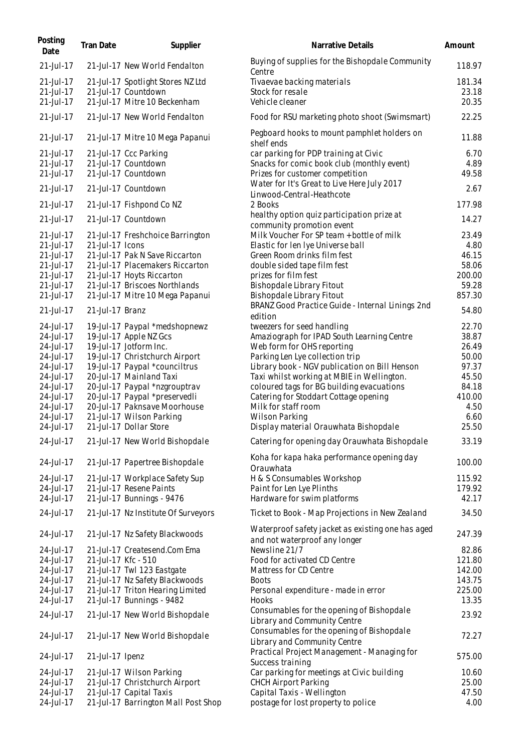| Posting<br>Date                                                                                                                             | <b>Tran Date</b> | Supplier                                                                                                                                                                                                                                                                                                                                | Narrative Details                                                                                                                                                                                                                                                                                                                                                                                                       | Amount                                                                                         |
|---------------------------------------------------------------------------------------------------------------------------------------------|------------------|-----------------------------------------------------------------------------------------------------------------------------------------------------------------------------------------------------------------------------------------------------------------------------------------------------------------------------------------|-------------------------------------------------------------------------------------------------------------------------------------------------------------------------------------------------------------------------------------------------------------------------------------------------------------------------------------------------------------------------------------------------------------------------|------------------------------------------------------------------------------------------------|
| $21 -$ Jul $-17$                                                                                                                            |                  | 21-Jul-17 New World Fendalton                                                                                                                                                                                                                                                                                                           | Buying of supplies for the Bishopdale Community<br>Centre                                                                                                                                                                                                                                                                                                                                                               | 118.97                                                                                         |
| $21$ -Jul-17<br>21-Jul-17<br>21-Jul-17                                                                                                      |                  | 21-Jul-17 Spotlight Stores NZ Ltd<br>21-Jul-17 Countdown<br>21-Jul-17 Mitre 10 Beckenham                                                                                                                                                                                                                                                | Tivaevae backing materials<br>Stock for resale<br>Vehicle cleaner                                                                                                                                                                                                                                                                                                                                                       | 181.34<br>23.18<br>20.35                                                                       |
| 21-Jul-17                                                                                                                                   |                  | 21-Jul-17 New World Fendalton                                                                                                                                                                                                                                                                                                           | Food for RSU marketing photo shoot (Swimsmart)                                                                                                                                                                                                                                                                                                                                                                          | 22.25                                                                                          |
| 21-Jul-17                                                                                                                                   |                  | 21-Jul-17 Mitre 10 Mega Papanui                                                                                                                                                                                                                                                                                                         | Pegboard hooks to mount pamphlet holders on<br>shelf ends                                                                                                                                                                                                                                                                                                                                                               | 11.88                                                                                          |
| 21-Jul-17<br>21-Jul-17<br>21-Jul-17                                                                                                         |                  | 21-Jul-17 Ccc Parking<br>21-Jul-17 Countdown<br>21-Jul-17 Countdown                                                                                                                                                                                                                                                                     | car parking for PDP training at Civic<br>Snacks for comic book club (monthly event)<br>Prizes for customer competition<br>Water for It's Great to Live Here July 2017                                                                                                                                                                                                                                                   | 6.70<br>4.89<br>49.58                                                                          |
| 21-Jul-17                                                                                                                                   |                  | 21-Jul-17 Countdown                                                                                                                                                                                                                                                                                                                     | Linwood-Central-Heathcote                                                                                                                                                                                                                                                                                                                                                                                               | 2.67                                                                                           |
| 21-Jul-17<br>21-Jul-17                                                                                                                      |                  | 21-Jul-17 Fishpond Co NZ<br>21-Jul-17 Countdown                                                                                                                                                                                                                                                                                         | 2 Books<br>healthy option quiz participation prize at                                                                                                                                                                                                                                                                                                                                                                   | 177.98<br>14.27                                                                                |
| 21-Jul-17<br>21-Jul-17<br>21-Jul-17<br>21-Jul-17<br>21-Jul-17<br>$21$ -Jul-17<br>21-Jul-17                                                  | 21-Jul-17 Icons  | 21-Jul-17 Freshchoice Barrington<br>21-Jul-17 Pak N Save Riccarton<br>21-Jul-17 Placemakers Riccarton<br>21-Jul-17 Hoyts Riccarton<br>21-Jul-17 Briscoes Northlands<br>21-Jul-17 Mitre 10 Mega Papanui                                                                                                                                  | community promotion event<br>Milk Voucher For SP team + bottle of milk<br>Elastic for Ien Iye Universe ball<br>Green Room drinks film fest<br>double sided tape film fest<br>prizes for film fest<br><b>Bishopdale Library Fitout</b><br>Bishopdale Library Fitout                                                                                                                                                      | 23.49<br>4.80<br>46.15<br>58.06<br>200.00<br>59.28<br>857.30                                   |
| 21-Jul-17                                                                                                                                   | 21-Jul-17 Branz  |                                                                                                                                                                                                                                                                                                                                         | BRANZ Good Practice Guide - Internal Linings 2nd<br>edition                                                                                                                                                                                                                                                                                                                                                             | 54.80                                                                                          |
| 24-Jul-17<br>24-Jul-17<br>24-Jul-17<br>24-Jul-17<br>24-Jul-17<br>24-Jul-17<br>24-Jul-17<br>24-Jul-17<br>24-Jul-17<br>24-Jul-17<br>24-Jul-17 |                  | 19-Jul-17 Paypal *medshopnewz<br>19-Jul-17 Apple NZ Gcs<br>19-Jul-17 Jotform Inc.<br>19-Jul-17 Christchurch Airport<br>19-Jul-17 Paypal *counciltrus<br>20-Jul-17 Mainland Taxi<br>20-Jul-17 Paypal *nzgrouptrav<br>20-Jul-17 Paypal *preservedli<br>20-Jul-17 Paknsave Moorhouse<br>21-Jul-17 Wilson Parking<br>21-Jul-17 Dollar Store | tweezers for seed handling<br>Amaziograph for IPAD South Learning Centre<br>Web form for OHS reporting<br>Parking Len Lye collection trip<br>Library book - NGV publication on Bill Henson<br>Taxi whilst working at MBIE in Wellington.<br>coloured tags for BG building evacuations<br>Catering for Stoddart Cottage opening<br>Milk for staff room<br><b>Wilson Parking</b><br>Display material Orauwhata Bishopdale | 22.70<br>38.87<br>26.49<br>50.00<br>97.37<br>45.50<br>84.18<br>410.00<br>4.50<br>6.60<br>25.50 |
| 24-Jul-17                                                                                                                                   |                  | 21-Jul-17 New World Bishopdale                                                                                                                                                                                                                                                                                                          | Catering for opening day Orauwhata Bishopdale                                                                                                                                                                                                                                                                                                                                                                           | 33.19                                                                                          |
| 24-Jul-17                                                                                                                                   |                  | 21-Jul-17 Papertree Bishopdale                                                                                                                                                                                                                                                                                                          | Koha for kapa haka performance opening day<br>Orauwhata                                                                                                                                                                                                                                                                                                                                                                 | 100.00                                                                                         |
| 24-Jul-17                                                                                                                                   |                  | 21-Jul-17 Workplace Safety Sup                                                                                                                                                                                                                                                                                                          | H & S Consumables Workshop                                                                                                                                                                                                                                                                                                                                                                                              | 115.92                                                                                         |
| 24-Jul-17<br>24-Jul-17                                                                                                                      |                  | 21-Jul-17 Resene Paints<br>21-Jul-17 Bunnings - 9476                                                                                                                                                                                                                                                                                    | Paint for Len Lye Plinths<br>Hardware for swim platforms                                                                                                                                                                                                                                                                                                                                                                | 179.92<br>42.17                                                                                |
| 24-Jul-17                                                                                                                                   |                  | 21-Jul-17 Nz Institute Of Surveyors                                                                                                                                                                                                                                                                                                     | Ticket to Book - Map Projections in New Zealand                                                                                                                                                                                                                                                                                                                                                                         | 34.50                                                                                          |
| 24-Jul-17                                                                                                                                   |                  | 21-Jul-17 Nz Safety Blackwoods                                                                                                                                                                                                                                                                                                          | Waterproof safety jacket as existing one has aged<br>and not waterproof any longer                                                                                                                                                                                                                                                                                                                                      | 247.39                                                                                         |
| 24-Jul-17<br>24-Jul-17<br>24-Jul-17<br>24-Jul-17<br>24-Jul-17                                                                               |                  | 21-Jul-17 Createsend.Com Ema<br>21-Jul-17 Kfc - 510<br>21-Jul-17 Twl 123 Eastgate<br>21-Jul-17 Nz Safety Blackwoods<br>21-Jul-17 Triton Hearing Limited                                                                                                                                                                                 | Newsline 21/7<br>Food for activated CD Centre<br>Mattress for CD Centre<br><b>Boots</b><br>Personal expenditure - made in error                                                                                                                                                                                                                                                                                         | 82.86<br>121.80<br>142.00<br>143.75<br>225.00                                                  |
| 24-Jul-17<br>24-Jul-17                                                                                                                      |                  | 21-Jul-17 Bunnings - 9482<br>21-Jul-17 New World Bishopdale                                                                                                                                                                                                                                                                             | Hooks<br>Consumables for the opening of Bishopdale                                                                                                                                                                                                                                                                                                                                                                      | 13.35<br>23.92                                                                                 |
| 24-Jul-17                                                                                                                                   |                  | 21-Jul-17 New World Bishopdale                                                                                                                                                                                                                                                                                                          | Library and Community Centre<br>Consumables for the opening of Bishopdale<br>Library and Community Centre                                                                                                                                                                                                                                                                                                               | 72.27                                                                                          |
| 24-Jul-17                                                                                                                                   | 21-Jul-17 Ipenz  |                                                                                                                                                                                                                                                                                                                                         | Practical Project Management - Managing for<br>Success training                                                                                                                                                                                                                                                                                                                                                         | 575.00                                                                                         |
| 24-Jul-17<br>24-Jul-17<br>24-Jul-17                                                                                                         |                  | 21-Jul-17 Wilson Parking<br>21-Jul-17 Christchurch Airport<br>21-Jul-17 Capital Taxis                                                                                                                                                                                                                                                   | Car parking for meetings at Civic building<br>CHCH Airport Parking<br>Capital Taxis - Wellington                                                                                                                                                                                                                                                                                                                        | 10.60<br>25.00<br>47.50                                                                        |
| 24-Jul-17                                                                                                                                   |                  | 21-Jul-17 Barrington Mall Post Shop                                                                                                                                                                                                                                                                                                     | postage for lost property to police                                                                                                                                                                                                                                                                                                                                                                                     | 4.00                                                                                           |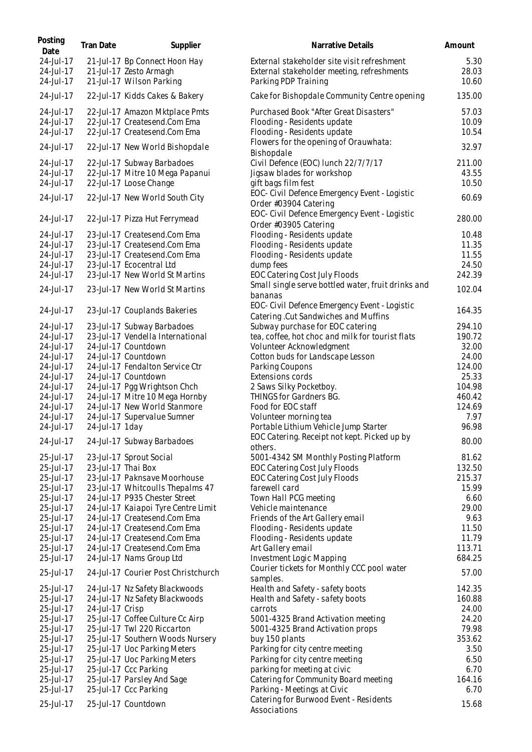| 24-Jul-17<br>External stakeholder site visit refreshment<br>21-Jul-17 Bp Connect Hoon Hay<br>24-Jul-17<br>21-Jul-17 Zesto Armagh<br>External stakeholder meeting, refreshments<br>24-Jul-17<br>21-Jul-17 Wilson Parking<br>Parking PDP Training<br>24-Jul-17<br>Cake for Bishopdale Community Centre opening<br>22-Jul-17 Kidds Cakes & Bakery<br>24-Jul-17<br>22-Jul-17 Amazon Mktplace Pmts<br>Purchased Book "After Great Disasters"<br>24-Jul-17<br>22-Jul-17 Createsend.Com Ema<br>Flooding - Residents update<br>24-Jul-17<br>22-Jul-17 Createsend.Com Ema<br>Flooding - Residents update<br>Flowers for the opening of Orauwhata:<br>24-Jul-17<br>22-Jul-17 New World Bishopdale<br>Bishopdale<br>24-Jul-17<br>22-Jul-17 Subway Barbadoes<br>Civil Defence (EOC) lunch 22/7/7/17<br>24-Jul-17<br>22-Jul-17 Mitre 10 Mega Papanui<br>Jigsaw blades for workshop<br>24-Jul-17<br>22-Jul-17 Loose Change<br>gift bags film fest<br>EOC- Civil Defence Emergency Event - Logistic<br>24-Jul-17<br>22-Jul-17 New World South City<br>Order #03904 Catering<br>EOC- Civil Defence Emergency Event - Logistic<br>24-Jul-17<br>22-Jul-17 Pizza Hut Ferrymead<br>Order #03905 Catering<br>Flooding - Residents update<br>24-Jul-17<br>23-Jul-17 Createsend.Com Ema<br>23-Jul-17 Createsend.Com Ema<br>Flooding - Residents update<br>24-Jul-17<br>23-Jul-17 Createsend.Com Ema<br>24-Jul-17<br>Flooding - Residents update<br>24-Jul-17<br>23-Jul-17 Ecocentral Ltd<br>dump fees<br>24-Jul-17<br>23-Jul-17 New World St Martins<br>EOC Catering Cost July Floods<br>Small single serve bottled water, fruit drinks and<br>24-Jul-17<br>23-Jul-17 New World St Martins<br>bananas<br>EOC- Civil Defence Emergency Event - Logistic<br>24-Jul-17<br>23-Jul-17 Couplands Bakeries<br>Catering .Cut Sandwiches and Muffins<br>23-Jul-17 Subway Barbadoes<br>Subway purchase for EOC catering<br>294.10<br>24-Jul-17<br>24-Jul-17<br>23-Jul-17 Vendella International<br>tea, coffee, hot choc and milk for tourist flats<br>24-Jul-17<br>24-Jul-17 Countdown<br>Volunteer Acknowledgment<br>24-Jul-17 Countdown<br>24-Jul-17<br>Cotton buds for Landscape Lesson<br>24-Jul-17 Fendalton Service Ctr<br>Parking Coupons<br>24-Jul-17<br>24-Jul-17<br>Extensions cords<br>24-Jul-17 Countdown<br>24-Jul-17 Pgg Wrightson Chch<br>2 Saws Silky Pocketboy.<br>24-Jul-17<br>24-Jul-17 Mitre 10 Mega Hornby<br>THINGS for Gardners BG.<br>24-Jul-17<br>24-Jul-17 New World Stanmore<br>Food for EOC staff<br>24-Jul-17<br>24-Jul-17<br>24-Jul-17 Supervalue Sumner<br>Volunteer morning tea<br>96.98<br>24-Jul-17<br>24-Jul-17 1day<br>Portable Lithium Vehicle Jump Starter<br>EOC Catering. Receipt not kept. Picked up by<br>24-Jul-17<br>24-Jul-17 Subway Barbadoes<br>others.<br>5001-4342 SM Monthly Posting Platform<br>25-Jul-17<br>23-Jul-17 Sprout Social<br>25-Jul-17<br>EOC Catering Cost July Floods<br>23-Jul-17 Thai Box<br>25-Jul-17<br>23-Jul-17 Paknsave Moorhouse<br>EOC Catering Cost July Floods<br>25-Jul-17<br>23-Jul-17 Whitcoulls Thepalms 47<br>farewell card<br>25-Jul-17<br>24-Jul-17 P935 Chester Street<br>Town Hall PCG meeting<br>25-Jul-17<br>24-Jul-17 Kaiapoi Tyre Centre Limit<br>Vehicle maintenance<br>24-Jul-17 Createsend.Com Ema<br>25-Jul-17<br>Friends of the Art Gallery email<br>24-Jul-17 Createsend.Com Ema<br>25-Jul-17<br>Flooding - Residents update<br>24-Jul-17 Createsend.Com Ema<br>25-Jul-17<br>Flooding - Residents update<br>25-Jul-17<br>24-Jul-17 Createsend.Com Ema<br>Art Gallery email<br>25-Jul-17<br>24-Jul-17 Nams Group Ltd<br>Investment Logic Mapping<br>684.25<br>Courier tickets for Monthly CCC pool water<br>25-Jul-17<br>24-Jul-17 Courier Post Christchurch<br>samples.<br>25-Jul-17<br>24-Jul-17 Nz Safety Blackwoods<br>Health and Safety - safety boots<br>25-Jul-17<br>24-Jul-17 Nz Safety Blackwoods<br>Health and Safety - safety boots<br>25-Jul-17<br>24-Jul-17 Crisp<br>carrots<br>25-Jul-17 Coffee Culture Cc Airp<br>25-Jul-17<br>5001-4325 Brand Activation meeting<br>25-Jul-17 Twl 220 Riccarton<br>25-Jul-17<br>5001-4325 Brand Activation props<br>25-Jul-17<br>25-Jul-17 Southern Woods Nursery<br>buy 150 plants<br>25-Jul-17<br>25-Jul-17 Uoc Parking Meters<br>Parking for city centre meeting<br>25-Jul-17<br>25-Jul-17 Uoc Parking Meters<br>Parking for city centre meeting<br>25-Jul-17<br>25-Jul-17 Ccc Parking<br>parking for meeting at civic<br>Catering for Community Board meeting<br>25-Jul-17<br>25-Jul-17 Parsley And Sage<br>25-Jul-17 Ccc Parking<br>Parking - Meetings at Civic<br>25-Jul-17<br>Catering for Burwood Event - Residents<br>25-Jul-17<br>25-Jul-17 Countdown | Posting<br>Date | <b>Tran Date</b> | Supplier | Narrative Details | Amount                 |
|------------------------------------------------------------------------------------------------------------------------------------------------------------------------------------------------------------------------------------------------------------------------------------------------------------------------------------------------------------------------------------------------------------------------------------------------------------------------------------------------------------------------------------------------------------------------------------------------------------------------------------------------------------------------------------------------------------------------------------------------------------------------------------------------------------------------------------------------------------------------------------------------------------------------------------------------------------------------------------------------------------------------------------------------------------------------------------------------------------------------------------------------------------------------------------------------------------------------------------------------------------------------------------------------------------------------------------------------------------------------------------------------------------------------------------------------------------------------------------------------------------------------------------------------------------------------------------------------------------------------------------------------------------------------------------------------------------------------------------------------------------------------------------------------------------------------------------------------------------------------------------------------------------------------------------------------------------------------------------------------------------------------------------------------------------------------------------------------------------------------------------------------------------------------------------------------------------------------------------------------------------------------------------------------------------------------------------------------------------------------------------------------------------------------------------------------------------------------------------------------------------------------------------------------------------------------------------------------------------------------------------------------------------------------------------------------------------------------------------------------------------------------------------------------------------------------------------------------------------------------------------------------------------------------------------------------------------------------------------------------------------------------------------------------------------------------------------------------------------------------------------------------------------------------------------------------------------------------------------------------------------------------------------------------------------------------------------------------------------------------------------------------------------------------------------------------------------------------------------------------------------------------------------------------------------------------------------------------------------------------------------------------------------------------------------------------------------------------------------------------------------------------------------------------------------------------------------------------------------------------------------------------------------------------------------------------------------------------------------------------------------------------------------------------------------------------------------------------------------------------------------------------------------------------------------------------------------------------------------------------------------------------------------------------------------------------------------------------------------------------------------------------------------------------------------------------------------------------------------------------------------------------------------------------------------------------------------------------------------------------------------------------------------------------------|-----------------|------------------|----------|-------------------|------------------------|
|                                                                                                                                                                                                                                                                                                                                                                                                                                                                                                                                                                                                                                                                                                                                                                                                                                                                                                                                                                                                                                                                                                                                                                                                                                                                                                                                                                                                                                                                                                                                                                                                                                                                                                                                                                                                                                                                                                                                                                                                                                                                                                                                                                                                                                                                                                                                                                                                                                                                                                                                                                                                                                                                                                                                                                                                                                                                                                                                                                                                                                                                                                                                                                                                                                                                                                                                                                                                                                                                                                                                                                                                                                                                                                                                                                                                                                                                                                                                                                                                                                                                                                                                                                                                                                                                                                                                                                                                                                                                                                                                                                                                                                                                              |                 |                  |          |                   | 5.30<br>28.03<br>10.60 |
|                                                                                                                                                                                                                                                                                                                                                                                                                                                                                                                                                                                                                                                                                                                                                                                                                                                                                                                                                                                                                                                                                                                                                                                                                                                                                                                                                                                                                                                                                                                                                                                                                                                                                                                                                                                                                                                                                                                                                                                                                                                                                                                                                                                                                                                                                                                                                                                                                                                                                                                                                                                                                                                                                                                                                                                                                                                                                                                                                                                                                                                                                                                                                                                                                                                                                                                                                                                                                                                                                                                                                                                                                                                                                                                                                                                                                                                                                                                                                                                                                                                                                                                                                                                                                                                                                                                                                                                                                                                                                                                                                                                                                                                                              |                 |                  |          |                   | 135.00                 |
|                                                                                                                                                                                                                                                                                                                                                                                                                                                                                                                                                                                                                                                                                                                                                                                                                                                                                                                                                                                                                                                                                                                                                                                                                                                                                                                                                                                                                                                                                                                                                                                                                                                                                                                                                                                                                                                                                                                                                                                                                                                                                                                                                                                                                                                                                                                                                                                                                                                                                                                                                                                                                                                                                                                                                                                                                                                                                                                                                                                                                                                                                                                                                                                                                                                                                                                                                                                                                                                                                                                                                                                                                                                                                                                                                                                                                                                                                                                                                                                                                                                                                                                                                                                                                                                                                                                                                                                                                                                                                                                                                                                                                                                                              |                 |                  |          |                   | 57.03                  |
|                                                                                                                                                                                                                                                                                                                                                                                                                                                                                                                                                                                                                                                                                                                                                                                                                                                                                                                                                                                                                                                                                                                                                                                                                                                                                                                                                                                                                                                                                                                                                                                                                                                                                                                                                                                                                                                                                                                                                                                                                                                                                                                                                                                                                                                                                                                                                                                                                                                                                                                                                                                                                                                                                                                                                                                                                                                                                                                                                                                                                                                                                                                                                                                                                                                                                                                                                                                                                                                                                                                                                                                                                                                                                                                                                                                                                                                                                                                                                                                                                                                                                                                                                                                                                                                                                                                                                                                                                                                                                                                                                                                                                                                                              |                 |                  |          |                   | 10.09                  |
|                                                                                                                                                                                                                                                                                                                                                                                                                                                                                                                                                                                                                                                                                                                                                                                                                                                                                                                                                                                                                                                                                                                                                                                                                                                                                                                                                                                                                                                                                                                                                                                                                                                                                                                                                                                                                                                                                                                                                                                                                                                                                                                                                                                                                                                                                                                                                                                                                                                                                                                                                                                                                                                                                                                                                                                                                                                                                                                                                                                                                                                                                                                                                                                                                                                                                                                                                                                                                                                                                                                                                                                                                                                                                                                                                                                                                                                                                                                                                                                                                                                                                                                                                                                                                                                                                                                                                                                                                                                                                                                                                                                                                                                                              |                 |                  |          |                   | 10.54                  |
|                                                                                                                                                                                                                                                                                                                                                                                                                                                                                                                                                                                                                                                                                                                                                                                                                                                                                                                                                                                                                                                                                                                                                                                                                                                                                                                                                                                                                                                                                                                                                                                                                                                                                                                                                                                                                                                                                                                                                                                                                                                                                                                                                                                                                                                                                                                                                                                                                                                                                                                                                                                                                                                                                                                                                                                                                                                                                                                                                                                                                                                                                                                                                                                                                                                                                                                                                                                                                                                                                                                                                                                                                                                                                                                                                                                                                                                                                                                                                                                                                                                                                                                                                                                                                                                                                                                                                                                                                                                                                                                                                                                                                                                                              |                 |                  |          |                   | 32.97                  |
|                                                                                                                                                                                                                                                                                                                                                                                                                                                                                                                                                                                                                                                                                                                                                                                                                                                                                                                                                                                                                                                                                                                                                                                                                                                                                                                                                                                                                                                                                                                                                                                                                                                                                                                                                                                                                                                                                                                                                                                                                                                                                                                                                                                                                                                                                                                                                                                                                                                                                                                                                                                                                                                                                                                                                                                                                                                                                                                                                                                                                                                                                                                                                                                                                                                                                                                                                                                                                                                                                                                                                                                                                                                                                                                                                                                                                                                                                                                                                                                                                                                                                                                                                                                                                                                                                                                                                                                                                                                                                                                                                                                                                                                                              |                 |                  |          |                   | 211.00                 |
|                                                                                                                                                                                                                                                                                                                                                                                                                                                                                                                                                                                                                                                                                                                                                                                                                                                                                                                                                                                                                                                                                                                                                                                                                                                                                                                                                                                                                                                                                                                                                                                                                                                                                                                                                                                                                                                                                                                                                                                                                                                                                                                                                                                                                                                                                                                                                                                                                                                                                                                                                                                                                                                                                                                                                                                                                                                                                                                                                                                                                                                                                                                                                                                                                                                                                                                                                                                                                                                                                                                                                                                                                                                                                                                                                                                                                                                                                                                                                                                                                                                                                                                                                                                                                                                                                                                                                                                                                                                                                                                                                                                                                                                                              |                 |                  |          |                   | 43.55<br>10.50         |
|                                                                                                                                                                                                                                                                                                                                                                                                                                                                                                                                                                                                                                                                                                                                                                                                                                                                                                                                                                                                                                                                                                                                                                                                                                                                                                                                                                                                                                                                                                                                                                                                                                                                                                                                                                                                                                                                                                                                                                                                                                                                                                                                                                                                                                                                                                                                                                                                                                                                                                                                                                                                                                                                                                                                                                                                                                                                                                                                                                                                                                                                                                                                                                                                                                                                                                                                                                                                                                                                                                                                                                                                                                                                                                                                                                                                                                                                                                                                                                                                                                                                                                                                                                                                                                                                                                                                                                                                                                                                                                                                                                                                                                                                              |                 |                  |          |                   | 60.69                  |
|                                                                                                                                                                                                                                                                                                                                                                                                                                                                                                                                                                                                                                                                                                                                                                                                                                                                                                                                                                                                                                                                                                                                                                                                                                                                                                                                                                                                                                                                                                                                                                                                                                                                                                                                                                                                                                                                                                                                                                                                                                                                                                                                                                                                                                                                                                                                                                                                                                                                                                                                                                                                                                                                                                                                                                                                                                                                                                                                                                                                                                                                                                                                                                                                                                                                                                                                                                                                                                                                                                                                                                                                                                                                                                                                                                                                                                                                                                                                                                                                                                                                                                                                                                                                                                                                                                                                                                                                                                                                                                                                                                                                                                                                              |                 |                  |          |                   | 280.00                 |
|                                                                                                                                                                                                                                                                                                                                                                                                                                                                                                                                                                                                                                                                                                                                                                                                                                                                                                                                                                                                                                                                                                                                                                                                                                                                                                                                                                                                                                                                                                                                                                                                                                                                                                                                                                                                                                                                                                                                                                                                                                                                                                                                                                                                                                                                                                                                                                                                                                                                                                                                                                                                                                                                                                                                                                                                                                                                                                                                                                                                                                                                                                                                                                                                                                                                                                                                                                                                                                                                                                                                                                                                                                                                                                                                                                                                                                                                                                                                                                                                                                                                                                                                                                                                                                                                                                                                                                                                                                                                                                                                                                                                                                                                              |                 |                  |          |                   | 10.48                  |
|                                                                                                                                                                                                                                                                                                                                                                                                                                                                                                                                                                                                                                                                                                                                                                                                                                                                                                                                                                                                                                                                                                                                                                                                                                                                                                                                                                                                                                                                                                                                                                                                                                                                                                                                                                                                                                                                                                                                                                                                                                                                                                                                                                                                                                                                                                                                                                                                                                                                                                                                                                                                                                                                                                                                                                                                                                                                                                                                                                                                                                                                                                                                                                                                                                                                                                                                                                                                                                                                                                                                                                                                                                                                                                                                                                                                                                                                                                                                                                                                                                                                                                                                                                                                                                                                                                                                                                                                                                                                                                                                                                                                                                                                              |                 |                  |          |                   | 11.35                  |
|                                                                                                                                                                                                                                                                                                                                                                                                                                                                                                                                                                                                                                                                                                                                                                                                                                                                                                                                                                                                                                                                                                                                                                                                                                                                                                                                                                                                                                                                                                                                                                                                                                                                                                                                                                                                                                                                                                                                                                                                                                                                                                                                                                                                                                                                                                                                                                                                                                                                                                                                                                                                                                                                                                                                                                                                                                                                                                                                                                                                                                                                                                                                                                                                                                                                                                                                                                                                                                                                                                                                                                                                                                                                                                                                                                                                                                                                                                                                                                                                                                                                                                                                                                                                                                                                                                                                                                                                                                                                                                                                                                                                                                                                              |                 |                  |          |                   | 11.55<br>24.50         |
|                                                                                                                                                                                                                                                                                                                                                                                                                                                                                                                                                                                                                                                                                                                                                                                                                                                                                                                                                                                                                                                                                                                                                                                                                                                                                                                                                                                                                                                                                                                                                                                                                                                                                                                                                                                                                                                                                                                                                                                                                                                                                                                                                                                                                                                                                                                                                                                                                                                                                                                                                                                                                                                                                                                                                                                                                                                                                                                                                                                                                                                                                                                                                                                                                                                                                                                                                                                                                                                                                                                                                                                                                                                                                                                                                                                                                                                                                                                                                                                                                                                                                                                                                                                                                                                                                                                                                                                                                                                                                                                                                                                                                                                                              |                 |                  |          |                   | 242.39                 |
|                                                                                                                                                                                                                                                                                                                                                                                                                                                                                                                                                                                                                                                                                                                                                                                                                                                                                                                                                                                                                                                                                                                                                                                                                                                                                                                                                                                                                                                                                                                                                                                                                                                                                                                                                                                                                                                                                                                                                                                                                                                                                                                                                                                                                                                                                                                                                                                                                                                                                                                                                                                                                                                                                                                                                                                                                                                                                                                                                                                                                                                                                                                                                                                                                                                                                                                                                                                                                                                                                                                                                                                                                                                                                                                                                                                                                                                                                                                                                                                                                                                                                                                                                                                                                                                                                                                                                                                                                                                                                                                                                                                                                                                                              |                 |                  |          |                   | 102.04                 |
|                                                                                                                                                                                                                                                                                                                                                                                                                                                                                                                                                                                                                                                                                                                                                                                                                                                                                                                                                                                                                                                                                                                                                                                                                                                                                                                                                                                                                                                                                                                                                                                                                                                                                                                                                                                                                                                                                                                                                                                                                                                                                                                                                                                                                                                                                                                                                                                                                                                                                                                                                                                                                                                                                                                                                                                                                                                                                                                                                                                                                                                                                                                                                                                                                                                                                                                                                                                                                                                                                                                                                                                                                                                                                                                                                                                                                                                                                                                                                                                                                                                                                                                                                                                                                                                                                                                                                                                                                                                                                                                                                                                                                                                                              |                 |                  |          |                   | 164.35                 |
|                                                                                                                                                                                                                                                                                                                                                                                                                                                                                                                                                                                                                                                                                                                                                                                                                                                                                                                                                                                                                                                                                                                                                                                                                                                                                                                                                                                                                                                                                                                                                                                                                                                                                                                                                                                                                                                                                                                                                                                                                                                                                                                                                                                                                                                                                                                                                                                                                                                                                                                                                                                                                                                                                                                                                                                                                                                                                                                                                                                                                                                                                                                                                                                                                                                                                                                                                                                                                                                                                                                                                                                                                                                                                                                                                                                                                                                                                                                                                                                                                                                                                                                                                                                                                                                                                                                                                                                                                                                                                                                                                                                                                                                                              |                 |                  |          |                   |                        |
|                                                                                                                                                                                                                                                                                                                                                                                                                                                                                                                                                                                                                                                                                                                                                                                                                                                                                                                                                                                                                                                                                                                                                                                                                                                                                                                                                                                                                                                                                                                                                                                                                                                                                                                                                                                                                                                                                                                                                                                                                                                                                                                                                                                                                                                                                                                                                                                                                                                                                                                                                                                                                                                                                                                                                                                                                                                                                                                                                                                                                                                                                                                                                                                                                                                                                                                                                                                                                                                                                                                                                                                                                                                                                                                                                                                                                                                                                                                                                                                                                                                                                                                                                                                                                                                                                                                                                                                                                                                                                                                                                                                                                                                                              |                 |                  |          |                   | 190.72                 |
|                                                                                                                                                                                                                                                                                                                                                                                                                                                                                                                                                                                                                                                                                                                                                                                                                                                                                                                                                                                                                                                                                                                                                                                                                                                                                                                                                                                                                                                                                                                                                                                                                                                                                                                                                                                                                                                                                                                                                                                                                                                                                                                                                                                                                                                                                                                                                                                                                                                                                                                                                                                                                                                                                                                                                                                                                                                                                                                                                                                                                                                                                                                                                                                                                                                                                                                                                                                                                                                                                                                                                                                                                                                                                                                                                                                                                                                                                                                                                                                                                                                                                                                                                                                                                                                                                                                                                                                                                                                                                                                                                                                                                                                                              |                 |                  |          |                   | 32.00                  |
|                                                                                                                                                                                                                                                                                                                                                                                                                                                                                                                                                                                                                                                                                                                                                                                                                                                                                                                                                                                                                                                                                                                                                                                                                                                                                                                                                                                                                                                                                                                                                                                                                                                                                                                                                                                                                                                                                                                                                                                                                                                                                                                                                                                                                                                                                                                                                                                                                                                                                                                                                                                                                                                                                                                                                                                                                                                                                                                                                                                                                                                                                                                                                                                                                                                                                                                                                                                                                                                                                                                                                                                                                                                                                                                                                                                                                                                                                                                                                                                                                                                                                                                                                                                                                                                                                                                                                                                                                                                                                                                                                                                                                                                                              |                 |                  |          |                   | 24.00                  |
|                                                                                                                                                                                                                                                                                                                                                                                                                                                                                                                                                                                                                                                                                                                                                                                                                                                                                                                                                                                                                                                                                                                                                                                                                                                                                                                                                                                                                                                                                                                                                                                                                                                                                                                                                                                                                                                                                                                                                                                                                                                                                                                                                                                                                                                                                                                                                                                                                                                                                                                                                                                                                                                                                                                                                                                                                                                                                                                                                                                                                                                                                                                                                                                                                                                                                                                                                                                                                                                                                                                                                                                                                                                                                                                                                                                                                                                                                                                                                                                                                                                                                                                                                                                                                                                                                                                                                                                                                                                                                                                                                                                                                                                                              |                 |                  |          |                   | 124.00                 |
|                                                                                                                                                                                                                                                                                                                                                                                                                                                                                                                                                                                                                                                                                                                                                                                                                                                                                                                                                                                                                                                                                                                                                                                                                                                                                                                                                                                                                                                                                                                                                                                                                                                                                                                                                                                                                                                                                                                                                                                                                                                                                                                                                                                                                                                                                                                                                                                                                                                                                                                                                                                                                                                                                                                                                                                                                                                                                                                                                                                                                                                                                                                                                                                                                                                                                                                                                                                                                                                                                                                                                                                                                                                                                                                                                                                                                                                                                                                                                                                                                                                                                                                                                                                                                                                                                                                                                                                                                                                                                                                                                                                                                                                                              |                 |                  |          |                   | 25.33                  |
|                                                                                                                                                                                                                                                                                                                                                                                                                                                                                                                                                                                                                                                                                                                                                                                                                                                                                                                                                                                                                                                                                                                                                                                                                                                                                                                                                                                                                                                                                                                                                                                                                                                                                                                                                                                                                                                                                                                                                                                                                                                                                                                                                                                                                                                                                                                                                                                                                                                                                                                                                                                                                                                                                                                                                                                                                                                                                                                                                                                                                                                                                                                                                                                                                                                                                                                                                                                                                                                                                                                                                                                                                                                                                                                                                                                                                                                                                                                                                                                                                                                                                                                                                                                                                                                                                                                                                                                                                                                                                                                                                                                                                                                                              |                 |                  |          |                   | 104.98                 |
|                                                                                                                                                                                                                                                                                                                                                                                                                                                                                                                                                                                                                                                                                                                                                                                                                                                                                                                                                                                                                                                                                                                                                                                                                                                                                                                                                                                                                                                                                                                                                                                                                                                                                                                                                                                                                                                                                                                                                                                                                                                                                                                                                                                                                                                                                                                                                                                                                                                                                                                                                                                                                                                                                                                                                                                                                                                                                                                                                                                                                                                                                                                                                                                                                                                                                                                                                                                                                                                                                                                                                                                                                                                                                                                                                                                                                                                                                                                                                                                                                                                                                                                                                                                                                                                                                                                                                                                                                                                                                                                                                                                                                                                                              |                 |                  |          |                   | 460.42                 |
|                                                                                                                                                                                                                                                                                                                                                                                                                                                                                                                                                                                                                                                                                                                                                                                                                                                                                                                                                                                                                                                                                                                                                                                                                                                                                                                                                                                                                                                                                                                                                                                                                                                                                                                                                                                                                                                                                                                                                                                                                                                                                                                                                                                                                                                                                                                                                                                                                                                                                                                                                                                                                                                                                                                                                                                                                                                                                                                                                                                                                                                                                                                                                                                                                                                                                                                                                                                                                                                                                                                                                                                                                                                                                                                                                                                                                                                                                                                                                                                                                                                                                                                                                                                                                                                                                                                                                                                                                                                                                                                                                                                                                                                                              |                 |                  |          |                   | 124.69                 |
|                                                                                                                                                                                                                                                                                                                                                                                                                                                                                                                                                                                                                                                                                                                                                                                                                                                                                                                                                                                                                                                                                                                                                                                                                                                                                                                                                                                                                                                                                                                                                                                                                                                                                                                                                                                                                                                                                                                                                                                                                                                                                                                                                                                                                                                                                                                                                                                                                                                                                                                                                                                                                                                                                                                                                                                                                                                                                                                                                                                                                                                                                                                                                                                                                                                                                                                                                                                                                                                                                                                                                                                                                                                                                                                                                                                                                                                                                                                                                                                                                                                                                                                                                                                                                                                                                                                                                                                                                                                                                                                                                                                                                                                                              |                 |                  |          |                   | 7.97                   |
|                                                                                                                                                                                                                                                                                                                                                                                                                                                                                                                                                                                                                                                                                                                                                                                                                                                                                                                                                                                                                                                                                                                                                                                                                                                                                                                                                                                                                                                                                                                                                                                                                                                                                                                                                                                                                                                                                                                                                                                                                                                                                                                                                                                                                                                                                                                                                                                                                                                                                                                                                                                                                                                                                                                                                                                                                                                                                                                                                                                                                                                                                                                                                                                                                                                                                                                                                                                                                                                                                                                                                                                                                                                                                                                                                                                                                                                                                                                                                                                                                                                                                                                                                                                                                                                                                                                                                                                                                                                                                                                                                                                                                                                                              |                 |                  |          |                   |                        |
|                                                                                                                                                                                                                                                                                                                                                                                                                                                                                                                                                                                                                                                                                                                                                                                                                                                                                                                                                                                                                                                                                                                                                                                                                                                                                                                                                                                                                                                                                                                                                                                                                                                                                                                                                                                                                                                                                                                                                                                                                                                                                                                                                                                                                                                                                                                                                                                                                                                                                                                                                                                                                                                                                                                                                                                                                                                                                                                                                                                                                                                                                                                                                                                                                                                                                                                                                                                                                                                                                                                                                                                                                                                                                                                                                                                                                                                                                                                                                                                                                                                                                                                                                                                                                                                                                                                                                                                                                                                                                                                                                                                                                                                                              |                 |                  |          |                   | 80.00<br>81.62         |
|                                                                                                                                                                                                                                                                                                                                                                                                                                                                                                                                                                                                                                                                                                                                                                                                                                                                                                                                                                                                                                                                                                                                                                                                                                                                                                                                                                                                                                                                                                                                                                                                                                                                                                                                                                                                                                                                                                                                                                                                                                                                                                                                                                                                                                                                                                                                                                                                                                                                                                                                                                                                                                                                                                                                                                                                                                                                                                                                                                                                                                                                                                                                                                                                                                                                                                                                                                                                                                                                                                                                                                                                                                                                                                                                                                                                                                                                                                                                                                                                                                                                                                                                                                                                                                                                                                                                                                                                                                                                                                                                                                                                                                                                              |                 |                  |          |                   | 132.50                 |
|                                                                                                                                                                                                                                                                                                                                                                                                                                                                                                                                                                                                                                                                                                                                                                                                                                                                                                                                                                                                                                                                                                                                                                                                                                                                                                                                                                                                                                                                                                                                                                                                                                                                                                                                                                                                                                                                                                                                                                                                                                                                                                                                                                                                                                                                                                                                                                                                                                                                                                                                                                                                                                                                                                                                                                                                                                                                                                                                                                                                                                                                                                                                                                                                                                                                                                                                                                                                                                                                                                                                                                                                                                                                                                                                                                                                                                                                                                                                                                                                                                                                                                                                                                                                                                                                                                                                                                                                                                                                                                                                                                                                                                                                              |                 |                  |          |                   | 215.37                 |
|                                                                                                                                                                                                                                                                                                                                                                                                                                                                                                                                                                                                                                                                                                                                                                                                                                                                                                                                                                                                                                                                                                                                                                                                                                                                                                                                                                                                                                                                                                                                                                                                                                                                                                                                                                                                                                                                                                                                                                                                                                                                                                                                                                                                                                                                                                                                                                                                                                                                                                                                                                                                                                                                                                                                                                                                                                                                                                                                                                                                                                                                                                                                                                                                                                                                                                                                                                                                                                                                                                                                                                                                                                                                                                                                                                                                                                                                                                                                                                                                                                                                                                                                                                                                                                                                                                                                                                                                                                                                                                                                                                                                                                                                              |                 |                  |          |                   | 15.99                  |
|                                                                                                                                                                                                                                                                                                                                                                                                                                                                                                                                                                                                                                                                                                                                                                                                                                                                                                                                                                                                                                                                                                                                                                                                                                                                                                                                                                                                                                                                                                                                                                                                                                                                                                                                                                                                                                                                                                                                                                                                                                                                                                                                                                                                                                                                                                                                                                                                                                                                                                                                                                                                                                                                                                                                                                                                                                                                                                                                                                                                                                                                                                                                                                                                                                                                                                                                                                                                                                                                                                                                                                                                                                                                                                                                                                                                                                                                                                                                                                                                                                                                                                                                                                                                                                                                                                                                                                                                                                                                                                                                                                                                                                                                              |                 |                  |          |                   | 6.60                   |
|                                                                                                                                                                                                                                                                                                                                                                                                                                                                                                                                                                                                                                                                                                                                                                                                                                                                                                                                                                                                                                                                                                                                                                                                                                                                                                                                                                                                                                                                                                                                                                                                                                                                                                                                                                                                                                                                                                                                                                                                                                                                                                                                                                                                                                                                                                                                                                                                                                                                                                                                                                                                                                                                                                                                                                                                                                                                                                                                                                                                                                                                                                                                                                                                                                                                                                                                                                                                                                                                                                                                                                                                                                                                                                                                                                                                                                                                                                                                                                                                                                                                                                                                                                                                                                                                                                                                                                                                                                                                                                                                                                                                                                                                              |                 |                  |          |                   | 29.00                  |
|                                                                                                                                                                                                                                                                                                                                                                                                                                                                                                                                                                                                                                                                                                                                                                                                                                                                                                                                                                                                                                                                                                                                                                                                                                                                                                                                                                                                                                                                                                                                                                                                                                                                                                                                                                                                                                                                                                                                                                                                                                                                                                                                                                                                                                                                                                                                                                                                                                                                                                                                                                                                                                                                                                                                                                                                                                                                                                                                                                                                                                                                                                                                                                                                                                                                                                                                                                                                                                                                                                                                                                                                                                                                                                                                                                                                                                                                                                                                                                                                                                                                                                                                                                                                                                                                                                                                                                                                                                                                                                                                                                                                                                                                              |                 |                  |          |                   | 9.63                   |
|                                                                                                                                                                                                                                                                                                                                                                                                                                                                                                                                                                                                                                                                                                                                                                                                                                                                                                                                                                                                                                                                                                                                                                                                                                                                                                                                                                                                                                                                                                                                                                                                                                                                                                                                                                                                                                                                                                                                                                                                                                                                                                                                                                                                                                                                                                                                                                                                                                                                                                                                                                                                                                                                                                                                                                                                                                                                                                                                                                                                                                                                                                                                                                                                                                                                                                                                                                                                                                                                                                                                                                                                                                                                                                                                                                                                                                                                                                                                                                                                                                                                                                                                                                                                                                                                                                                                                                                                                                                                                                                                                                                                                                                                              |                 |                  |          |                   | 11.50                  |
|                                                                                                                                                                                                                                                                                                                                                                                                                                                                                                                                                                                                                                                                                                                                                                                                                                                                                                                                                                                                                                                                                                                                                                                                                                                                                                                                                                                                                                                                                                                                                                                                                                                                                                                                                                                                                                                                                                                                                                                                                                                                                                                                                                                                                                                                                                                                                                                                                                                                                                                                                                                                                                                                                                                                                                                                                                                                                                                                                                                                                                                                                                                                                                                                                                                                                                                                                                                                                                                                                                                                                                                                                                                                                                                                                                                                                                                                                                                                                                                                                                                                                                                                                                                                                                                                                                                                                                                                                                                                                                                                                                                                                                                                              |                 |                  |          |                   | 11.79                  |
|                                                                                                                                                                                                                                                                                                                                                                                                                                                                                                                                                                                                                                                                                                                                                                                                                                                                                                                                                                                                                                                                                                                                                                                                                                                                                                                                                                                                                                                                                                                                                                                                                                                                                                                                                                                                                                                                                                                                                                                                                                                                                                                                                                                                                                                                                                                                                                                                                                                                                                                                                                                                                                                                                                                                                                                                                                                                                                                                                                                                                                                                                                                                                                                                                                                                                                                                                                                                                                                                                                                                                                                                                                                                                                                                                                                                                                                                                                                                                                                                                                                                                                                                                                                                                                                                                                                                                                                                                                                                                                                                                                                                                                                                              |                 |                  |          |                   | 113.71                 |
|                                                                                                                                                                                                                                                                                                                                                                                                                                                                                                                                                                                                                                                                                                                                                                                                                                                                                                                                                                                                                                                                                                                                                                                                                                                                                                                                                                                                                                                                                                                                                                                                                                                                                                                                                                                                                                                                                                                                                                                                                                                                                                                                                                                                                                                                                                                                                                                                                                                                                                                                                                                                                                                                                                                                                                                                                                                                                                                                                                                                                                                                                                                                                                                                                                                                                                                                                                                                                                                                                                                                                                                                                                                                                                                                                                                                                                                                                                                                                                                                                                                                                                                                                                                                                                                                                                                                                                                                                                                                                                                                                                                                                                                                              |                 |                  |          |                   | 57.00                  |
|                                                                                                                                                                                                                                                                                                                                                                                                                                                                                                                                                                                                                                                                                                                                                                                                                                                                                                                                                                                                                                                                                                                                                                                                                                                                                                                                                                                                                                                                                                                                                                                                                                                                                                                                                                                                                                                                                                                                                                                                                                                                                                                                                                                                                                                                                                                                                                                                                                                                                                                                                                                                                                                                                                                                                                                                                                                                                                                                                                                                                                                                                                                                                                                                                                                                                                                                                                                                                                                                                                                                                                                                                                                                                                                                                                                                                                                                                                                                                                                                                                                                                                                                                                                                                                                                                                                                                                                                                                                                                                                                                                                                                                                                              |                 |                  |          |                   | 142.35                 |
|                                                                                                                                                                                                                                                                                                                                                                                                                                                                                                                                                                                                                                                                                                                                                                                                                                                                                                                                                                                                                                                                                                                                                                                                                                                                                                                                                                                                                                                                                                                                                                                                                                                                                                                                                                                                                                                                                                                                                                                                                                                                                                                                                                                                                                                                                                                                                                                                                                                                                                                                                                                                                                                                                                                                                                                                                                                                                                                                                                                                                                                                                                                                                                                                                                                                                                                                                                                                                                                                                                                                                                                                                                                                                                                                                                                                                                                                                                                                                                                                                                                                                                                                                                                                                                                                                                                                                                                                                                                                                                                                                                                                                                                                              |                 |                  |          |                   | 160.88                 |
|                                                                                                                                                                                                                                                                                                                                                                                                                                                                                                                                                                                                                                                                                                                                                                                                                                                                                                                                                                                                                                                                                                                                                                                                                                                                                                                                                                                                                                                                                                                                                                                                                                                                                                                                                                                                                                                                                                                                                                                                                                                                                                                                                                                                                                                                                                                                                                                                                                                                                                                                                                                                                                                                                                                                                                                                                                                                                                                                                                                                                                                                                                                                                                                                                                                                                                                                                                                                                                                                                                                                                                                                                                                                                                                                                                                                                                                                                                                                                                                                                                                                                                                                                                                                                                                                                                                                                                                                                                                                                                                                                                                                                                                                              |                 |                  |          |                   | 24.00                  |
|                                                                                                                                                                                                                                                                                                                                                                                                                                                                                                                                                                                                                                                                                                                                                                                                                                                                                                                                                                                                                                                                                                                                                                                                                                                                                                                                                                                                                                                                                                                                                                                                                                                                                                                                                                                                                                                                                                                                                                                                                                                                                                                                                                                                                                                                                                                                                                                                                                                                                                                                                                                                                                                                                                                                                                                                                                                                                                                                                                                                                                                                                                                                                                                                                                                                                                                                                                                                                                                                                                                                                                                                                                                                                                                                                                                                                                                                                                                                                                                                                                                                                                                                                                                                                                                                                                                                                                                                                                                                                                                                                                                                                                                                              |                 |                  |          |                   | 24.20                  |
|                                                                                                                                                                                                                                                                                                                                                                                                                                                                                                                                                                                                                                                                                                                                                                                                                                                                                                                                                                                                                                                                                                                                                                                                                                                                                                                                                                                                                                                                                                                                                                                                                                                                                                                                                                                                                                                                                                                                                                                                                                                                                                                                                                                                                                                                                                                                                                                                                                                                                                                                                                                                                                                                                                                                                                                                                                                                                                                                                                                                                                                                                                                                                                                                                                                                                                                                                                                                                                                                                                                                                                                                                                                                                                                                                                                                                                                                                                                                                                                                                                                                                                                                                                                                                                                                                                                                                                                                                                                                                                                                                                                                                                                                              |                 |                  |          |                   | 79.98                  |
|                                                                                                                                                                                                                                                                                                                                                                                                                                                                                                                                                                                                                                                                                                                                                                                                                                                                                                                                                                                                                                                                                                                                                                                                                                                                                                                                                                                                                                                                                                                                                                                                                                                                                                                                                                                                                                                                                                                                                                                                                                                                                                                                                                                                                                                                                                                                                                                                                                                                                                                                                                                                                                                                                                                                                                                                                                                                                                                                                                                                                                                                                                                                                                                                                                                                                                                                                                                                                                                                                                                                                                                                                                                                                                                                                                                                                                                                                                                                                                                                                                                                                                                                                                                                                                                                                                                                                                                                                                                                                                                                                                                                                                                                              |                 |                  |          |                   | 353.62                 |
|                                                                                                                                                                                                                                                                                                                                                                                                                                                                                                                                                                                                                                                                                                                                                                                                                                                                                                                                                                                                                                                                                                                                                                                                                                                                                                                                                                                                                                                                                                                                                                                                                                                                                                                                                                                                                                                                                                                                                                                                                                                                                                                                                                                                                                                                                                                                                                                                                                                                                                                                                                                                                                                                                                                                                                                                                                                                                                                                                                                                                                                                                                                                                                                                                                                                                                                                                                                                                                                                                                                                                                                                                                                                                                                                                                                                                                                                                                                                                                                                                                                                                                                                                                                                                                                                                                                                                                                                                                                                                                                                                                                                                                                                              |                 |                  |          |                   | 3.50                   |
|                                                                                                                                                                                                                                                                                                                                                                                                                                                                                                                                                                                                                                                                                                                                                                                                                                                                                                                                                                                                                                                                                                                                                                                                                                                                                                                                                                                                                                                                                                                                                                                                                                                                                                                                                                                                                                                                                                                                                                                                                                                                                                                                                                                                                                                                                                                                                                                                                                                                                                                                                                                                                                                                                                                                                                                                                                                                                                                                                                                                                                                                                                                                                                                                                                                                                                                                                                                                                                                                                                                                                                                                                                                                                                                                                                                                                                                                                                                                                                                                                                                                                                                                                                                                                                                                                                                                                                                                                                                                                                                                                                                                                                                                              |                 |                  |          |                   | 6.50                   |
|                                                                                                                                                                                                                                                                                                                                                                                                                                                                                                                                                                                                                                                                                                                                                                                                                                                                                                                                                                                                                                                                                                                                                                                                                                                                                                                                                                                                                                                                                                                                                                                                                                                                                                                                                                                                                                                                                                                                                                                                                                                                                                                                                                                                                                                                                                                                                                                                                                                                                                                                                                                                                                                                                                                                                                                                                                                                                                                                                                                                                                                                                                                                                                                                                                                                                                                                                                                                                                                                                                                                                                                                                                                                                                                                                                                                                                                                                                                                                                                                                                                                                                                                                                                                                                                                                                                                                                                                                                                                                                                                                                                                                                                                              |                 |                  |          |                   | 6.70                   |
|                                                                                                                                                                                                                                                                                                                                                                                                                                                                                                                                                                                                                                                                                                                                                                                                                                                                                                                                                                                                                                                                                                                                                                                                                                                                                                                                                                                                                                                                                                                                                                                                                                                                                                                                                                                                                                                                                                                                                                                                                                                                                                                                                                                                                                                                                                                                                                                                                                                                                                                                                                                                                                                                                                                                                                                                                                                                                                                                                                                                                                                                                                                                                                                                                                                                                                                                                                                                                                                                                                                                                                                                                                                                                                                                                                                                                                                                                                                                                                                                                                                                                                                                                                                                                                                                                                                                                                                                                                                                                                                                                                                                                                                                              |                 |                  |          |                   | 164.16<br>6.70         |
|                                                                                                                                                                                                                                                                                                                                                                                                                                                                                                                                                                                                                                                                                                                                                                                                                                                                                                                                                                                                                                                                                                                                                                                                                                                                                                                                                                                                                                                                                                                                                                                                                                                                                                                                                                                                                                                                                                                                                                                                                                                                                                                                                                                                                                                                                                                                                                                                                                                                                                                                                                                                                                                                                                                                                                                                                                                                                                                                                                                                                                                                                                                                                                                                                                                                                                                                                                                                                                                                                                                                                                                                                                                                                                                                                                                                                                                                                                                                                                                                                                                                                                                                                                                                                                                                                                                                                                                                                                                                                                                                                                                                                                                                              |                 |                  |          | Associations      | 15.68                  |